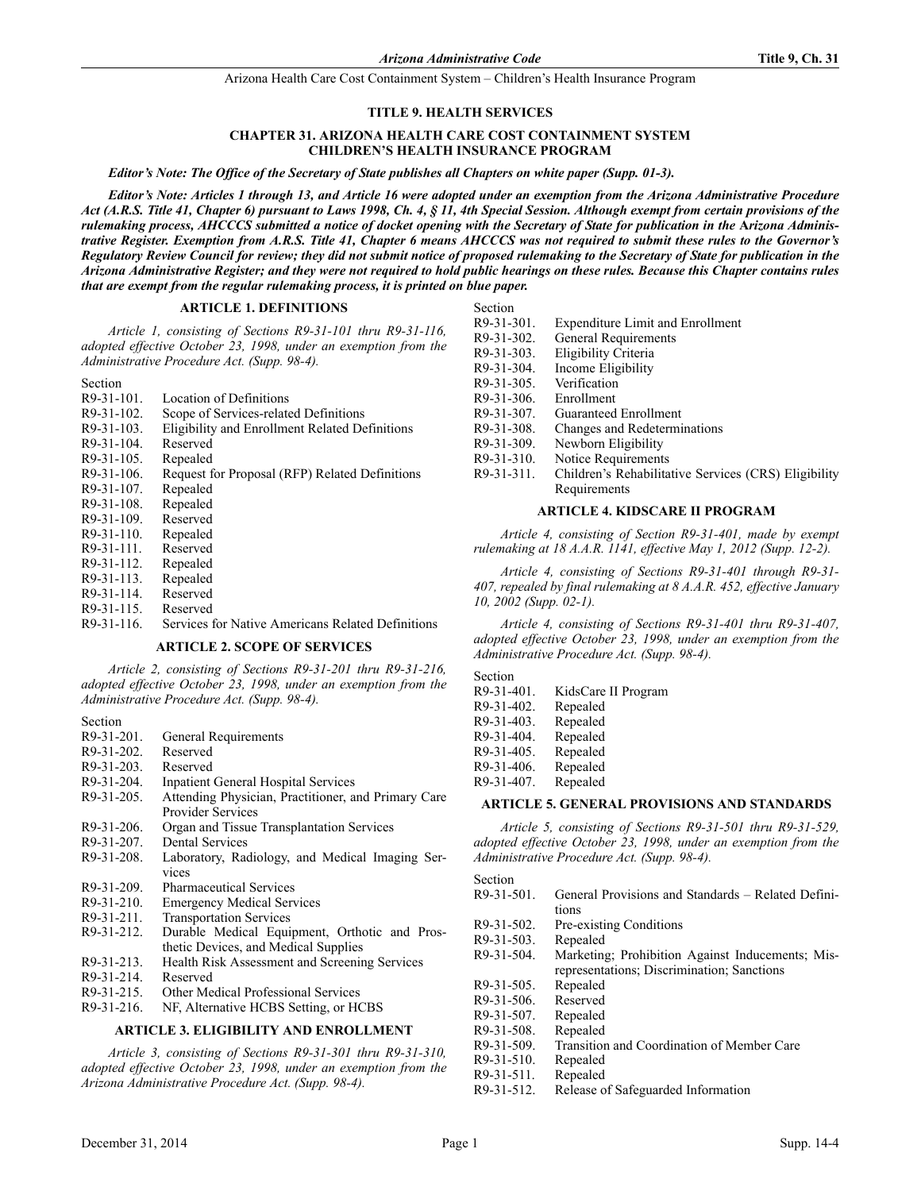#### **TITLE 9. HEALTH SERVICES**

### **CHAPTER 31. ARIZONA HEALTH CARE COST CONTAINMENT SYSTEM CHILDREN'S HEALTH INSURANCE PROGRAM**

*Editor's Note: The Office of the Secretary of State publishes all Chapters on white paper (Supp. 01-3).*

*Editor's Note: Articles 1 through 13, and Article 16 were adopted under an exemption from the Arizona Administrative Procedure Act (A.R.S. Title 41, Chapter 6) pursuant to Laws 1998, Ch. 4, § 11, 4th Special Session. Although exempt from certain provisions of the* rulemaking process, AHCCCS submitted a notice of docket opening with the Secretary of State for publication in the Arizona Adminis*trative Register. Exemption from A.R.S. Title 41, Chapter 6 means AHCCCS was not required to submit these rules to the Governor's Regulatory Review Council for review; they did not submit notice of proposed rulemaking to the Secretary of State for publication in the Arizona Administrative Register; and they were not required to hold public hearings on these rules. Because this Chapter contains rules that are exempt from the regular rulemaking process, it is printed on blue paper.*

### **ARTICLE 1. DEFINITIONS**

*Article 1, consisting of Sections R9-31-101 thru R9-31-116, adopted effective October 23, 1998, under an exemption from the Administrative Procedure Act. (Supp. 98-4).*

Section

| R9-31-101. | Location of Definitions                        |
|------------|------------------------------------------------|
| DO 21-102  | $C_{\alpha\alpha}$ of $C_{\alpha}$ is an index |

- R9-31-102. Scope of Services-related Definitions
- R9-31-103. Eligibility and Enrollment Related Definitions
- R9-31-104. Reserved
- R9-31-105. Repealed
- R9-31-106. Request for Proposal (RFP) Related Definitions
- R9-31-107. Repealed R9-31-108. Repealed
- R9-31-109. Reserved
- R9-31-110. Repealed
- R9-31-111. Reserved
- R9-31-112. Repealed
- 
- R9-31-113. Repealed
- R9-31-114. Reserved R9-31-115. Reserved
- R9-31-116. Services for Native Americans Related Definitions

### **ARTICLE 2. SCOPE OF SERVICES**

*Article 2, consisting of Sections R9-31-201 thru R9-31-216, adopted effective October 23, 1998, under an exemption from the Administrative Procedure Act. (Supp. 98-4).*

Section

- R9-31-201. General Requirements
- R9-31-202. Reserved
- R9-31-203. Reserved
- R9-31-204. Inpatient General Hospital Services
- R9-31-205. Attending Physician, Practitioner, and Primary Care Provider Services
- R9-31-206. Organ and Tissue Transplantation Services
- R9-31-207. Dental Services
- R9-31-208. Laboratory, Radiology, and Medical Imaging Services
- R9-31-209. Pharmaceutical Services
- R9-31-210. Emergency Medical Services
- R9-31-211. Transportation Services
- R9-31-212. Durable Medical Equipment, Orthotic and Prosthetic Devices, and Medical Supplies
- R9-31-213. Health Risk Assessment and Screening Services
- R9-31-214. Reserved
- R9-31-215. Other Medical Professional Services
- R9-31-216. NF, Alternative HCBS Setting, or HCBS

# **ARTICLE 3. ELIGIBILITY AND ENROLLMENT**

*Article 3, consisting of Sections R9-31-301 thru R9-31-310, adopted effective October 23, 1998, under an exemption from the Arizona Administrative Procedure Act. (Supp. 98-4).*

#### Section

| R9-31-301.   | <b>Expenditure Limit and Enrollment</b>              |
|--------------|------------------------------------------------------|
| R9-31-302.   | General Requirements                                 |
| $R9-31-303.$ | Eligibility Criteria                                 |
| R9-31-304.   | Income Eligibility                                   |
| R9-31-305.   | Verification                                         |
| R9-31-306.   | Enrollment                                           |
| R9-31-307.   | Guaranteed Enrollment                                |
| R9-31-308.   | Changes and Redeterminations                         |
| R9-31-309.   | Newborn Eligibility                                  |
| R9-31-310.   | Notice Requirements                                  |
| R9-31-311.   | Children's Rehabilitative Services (CRS) Eligibility |
|              | Requirements                                         |
|              |                                                      |

#### **ARTICLE 4. KIDSCARE II PROGRAM**

*Article 4, consisting of Section R9-31-401, made by exempt rulemaking at 18 A.A.R. 1141, effective May 1, 2012 (Supp. 12-2).*

*Article 4, consisting of Sections R9-31-401 through R9-31- 407, repealed by final rulemaking at 8 A.A.R. 452, effective January 10, 2002 (Supp. 02-1).*

*Article 4, consisting of Sections R9-31-401 thru R9-31-407, adopted effective October 23, 1998, under an exemption from the Administrative Procedure Act. (Supp. 98-4).*

Section

 $\sigma$   $\mathbf{S}$ 

| R9-31-401. | KidsCare II Program |
|------------|---------------------|
| R9-31-402. | Repealed            |
| R9-31-403. | Repealed            |
| R9-31-404. | Repealed            |
| R9-31-405. | Repealed            |
| R9-31-406. | Repealed            |
| R9-31-407. | Repealed            |

#### **ARTICLE 5. GENERAL PROVISIONS AND STANDARDS**

*Article 5, consisting of Sections R9-31-501 thru R9-31-529, adopted effective October 23, 1998, under an exemption from the Administrative Procedure Act. (Supp. 98-4).*

| эеспоп        |                                                    |
|---------------|----------------------------------------------------|
| R9-31-501.    | General Provisions and Standards – Related Defini- |
|               | tions                                              |
| R9-31-502.    | Pre-existing Conditions                            |
| $R9-31-503$ . | Repealed                                           |
| R9-31-504.    | Marketing; Prohibition Against Inducements; Mis-   |
|               | representations; Discrimination; Sanctions         |
| $R9-31-505$ . | Repealed                                           |
| R9-31-506.    | Reserved                                           |
| R9-31-507.    | Repealed                                           |
| R9-31-508.    | Repealed                                           |
| R9-31-509.    | Transition and Coordination of Member Care         |
| $R9-31-510.$  | Repealed                                           |
| $R9-31-511$ . | Repealed                                           |
| R9-31-512.    | Release of Safeguarded Information                 |
|               |                                                    |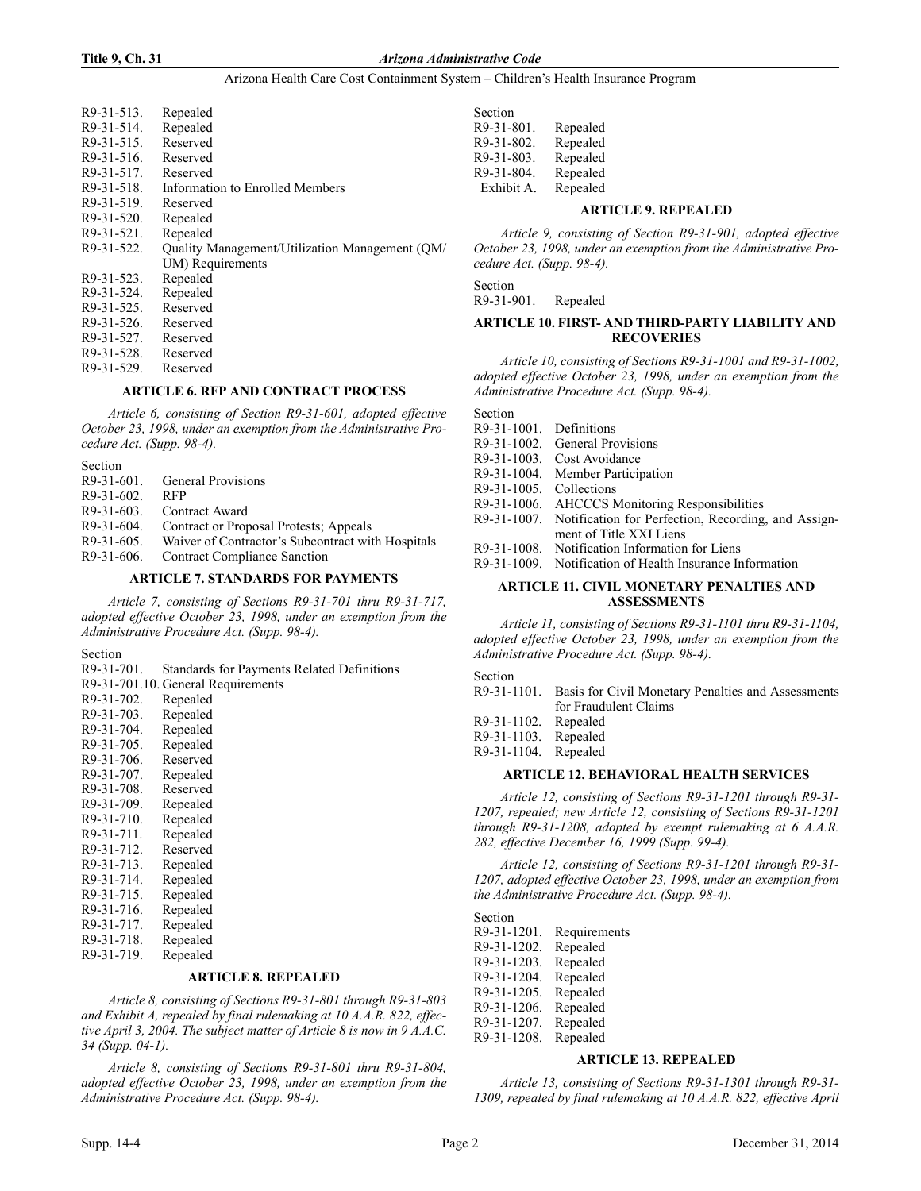#### **Title 9, Ch. 31** *Arizona Administrative Code*

#### Arizona Health Care Cost Containment System – Children's Health Insurance Program

| R9-31-513.    | Repealed                                       |
|---------------|------------------------------------------------|
| R9-31-514.    | Repealed                                       |
| R9-31-515.    | Reserved                                       |
| $R9-31-516$ . | Reserved                                       |
| $R9-31-517$ . | Reserved                                       |
| R9-31-518     | Information to Enrolled Members                |
| R9-31-519.    | Reserved                                       |
| R9-31-520.    | Repealed                                       |
| R9-31-521.    | Repealed                                       |
| R9-31-522.    | Quality Management/Utilization Management (QM/ |
|               | UM) Requirements                               |
| R9-31-523.    | Repealed                                       |
| R9-31-524.    | Repealed                                       |
| R9-31-525.    | Reserved                                       |
| R9-31-526.    | Reserved                                       |
| R9-31-527.    | Reserved                                       |
| R9-31-528.    | Reserved                                       |
| R9-31-529.    | Reserved                                       |
|               |                                                |

# **ARTICLE 6. RFP AND CONTRACT PROCESS**

*Article 6, consisting of Section R9-31-601, adopted effective October 23, 1998, under an exemption from the Administrative Procedure Act. (Supp. 98-4).*

Section R9-31-601. General Provisions R9-31-602. RFP R9-31-603. Contract Award R9-31-604. Contract or Proposal Protests; Appeals R9-31-605. Waiver of Contractor's Subcontract with Hospitals R9-31-606. Contract Compliance Sanction

# **ARTICLE 7. STANDARDS FOR PAYMENTS**

*Article 7, consisting of Sections R9-31-701 thru R9-31-717, adopted effective October 23, 1998, under an exemption from the Administrative Procedure Act. (Supp. 98-4).*

Section

| R9-31-701. | Standards for Payments Related Definitions |
|------------|--------------------------------------------|
|            | R9-31-701.10. General Requirements         |
| R9-31-702. | Repealed                                   |
| R9-31-703. | Repealed                                   |
| R9-31-704. | Repealed                                   |
| R9-31-705. | Repealed                                   |
| R9-31-706. | Reserved                                   |
| R9-31-707. | Repealed                                   |
| R9-31-708. | Reserved                                   |
| R9-31-709. | Repealed                                   |
| R9-31-710. | Repealed                                   |
| R9-31-711. | Repealed                                   |
| R9-31-712. | Reserved                                   |
| R9-31-713. | Repealed                                   |
| R9-31-714. | Repealed                                   |
| R9-31-715. | Repealed                                   |
| R9-31-716. | Repealed                                   |
| R9-31-717. | Repealed                                   |
| R9-31-718. | Repealed                                   |
| R9-31-719. | Repealed                                   |
|            |                                            |

# **ARTICLE 8. REPEALED**

*Article 8, consisting of Sections R9-31-801 through R9-31-803 and Exhibit A, repealed by final rulemaking at 10 A.A.R. 822, effective April 3, 2004. The subject matter of Article 8 is now in 9 A.A.C. 34 (Supp. 04-1).*

*Article 8, consisting of Sections R9-31-801 thru R9-31-804, adopted effective October 23, 1998, under an exemption from the Administrative Procedure Act. (Supp. 98-4).*

| Section    |          |
|------------|----------|
| R9-31-801. | Repealed |
| R9-31-802. | Repealed |
| R9-31-803. | Repealed |
| R9-31-804. | Repealed |
| Exhibit A. | Repealed |

#### **ARTICLE 9. REPEALED**

*Article 9, consisting of Section R9-31-901, adopted effective October 23, 1998, under an exemption from the Administrative Procedure Act. (Supp. 98-4).*

Section

R9-31-901. Repealed

# **ARTICLE 10. FIRST- AND THIRD-PARTY LIABILITY AND RECOVERIES**

*Article 10, consisting of Sections R9-31-1001 and R9-31-1002, adopted effective October 23, 1998, under an exemption from the Administrative Procedure Act. (Supp. 98-4).*

| Section                 |                                                                 |
|-------------------------|-----------------------------------------------------------------|
| R9-31-1001. Definitions |                                                                 |
|                         | R9-31-1002. General Provisions                                  |
|                         | R9-31-1003. Cost Avoidance                                      |
|                         | R9-31-1004. Member Participation                                |
| R9-31-1005. Collections |                                                                 |
|                         | R9-31-1006. AHCCCS Monitoring Responsibilities                  |
|                         | R9-31-1007. Notification for Perfection, Recording, and Assign- |
|                         | ment of Title XXI Liens                                         |
|                         | R9-31-1008. Notification Information for Liens                  |
|                         | R9-31-1009. Notification of Health Insurance Information        |
|                         |                                                                 |

# **ARTICLE 11. CIVIL MONETARY PENALTIES AND ASSESSMENTS**

*Article 11, consisting of Sections R9-31-1101 thru R9-31-1104, adopted effective October 23, 1998, under an exemption from the Administrative Procedure Act. (Supp. 98-4).*

Section

| R9-31-1101. Basis for Civil Monetary Penalties and Assessments |
|----------------------------------------------------------------|
| for Fraudulent Claims                                          |

| R9-31-1102. | Repealed |
|-------------|----------|
|-------------|----------|

```
R9-31-1103. Repealed
```
R9-31-1104. Repealed

### **ARTICLE 12. BEHAVIORAL HEALTH SERVICES**

*Article 12, consisting of Sections R9-31-1201 through R9-31- 1207, repealed; new Article 12, consisting of Sections R9-31-1201 through R9-31-1208, adopted by exempt rulemaking at 6 A.A.R. 282, effective December 16, 1999 (Supp. 99-4).*

*Article 12, consisting of Sections R9-31-1201 through R9-31- 1207, adopted effective October 23, 1998, under an exemption from the Administrative Procedure Act. (Supp. 98-4).*

Section

| R9-31-1201. | Requirements |
|-------------|--------------|
| R9-31-1202. | Repealed     |
| R9-31-1203. | Repealed     |
| R9-31-1204. | Repealed     |
| R9-31-1205. | Repealed     |
| R9-31-1206. | Repealed     |
| R9-31-1207. | Repealed     |
| R9-31-1208. | Repealed     |
|             |              |

# **ARTICLE 13. REPEALED**

*Article 13, consisting of Sections R9-31-1301 through R9-31- 1309, repealed by final rulemaking at 10 A.A.R. 822, effective April*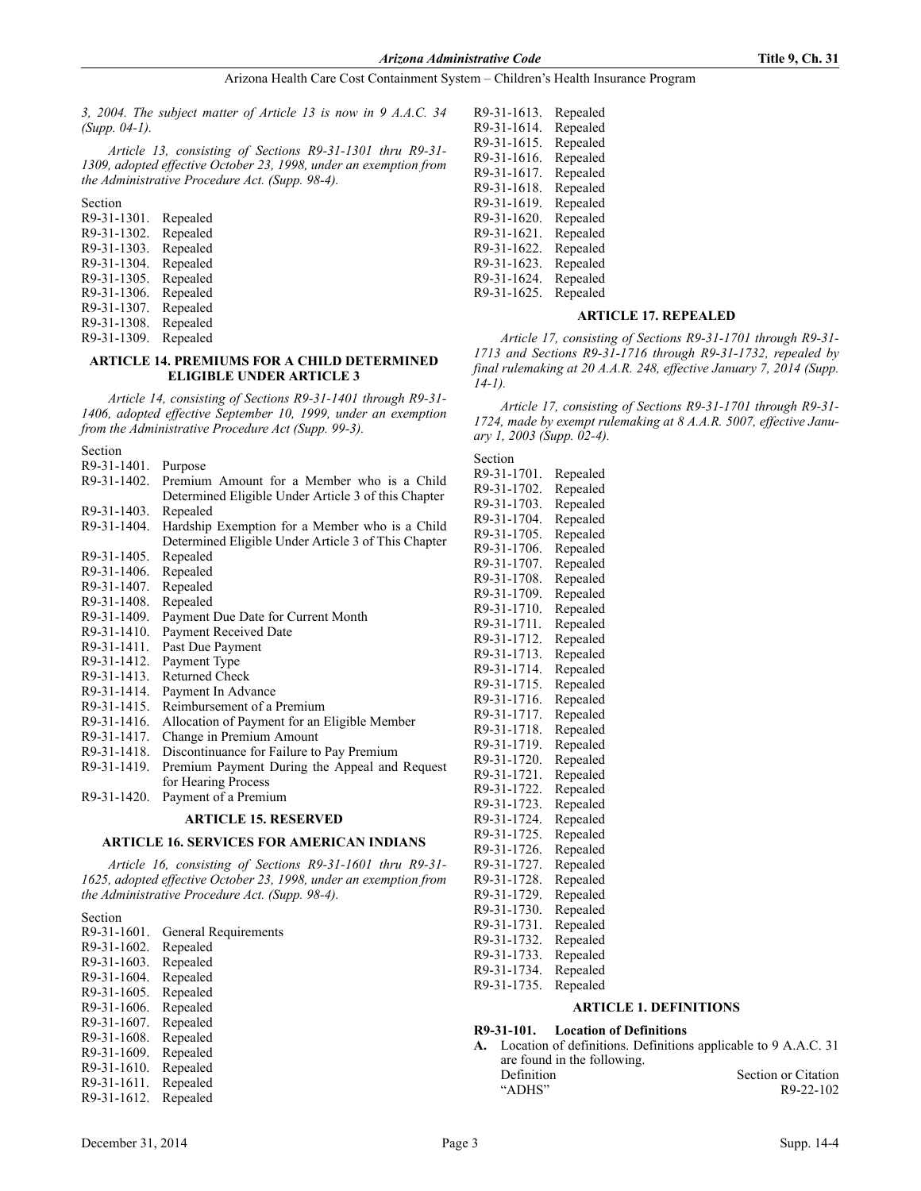*3, 2004. The subject matter of Article 13 is now in 9 A.A.C. 34 (Supp. 04-1).*

*Article 13, consisting of Sections R9-31-1301 thru R9-31- 1309, adopted effective October 23, 1998, under an exemption from the Administrative Procedure Act. (Supp. 98-4).*

Section R9-31-1301. Repealed R9-31-1302. Repealed R9-31-1303. Repealed R9-31-1304. Repealed R9-31-1305. Repealed R9-31-1306. Repealed R9-31-1307. Repealed R9-31-1308. Repealed R9-31-1309. Repealed

#### **ARTICLE 14. PREMIUMS FOR A CHILD DETERMINED ELIGIBLE UNDER ARTICLE 3**

*Article 14, consisting of Sections R9-31-1401 through R9-31- 1406, adopted effective September 10, 1999, under an exemption from the Administrative Procedure Act (Supp. 99-3).*

Section R9-31-1401. Purpose

| 1\ <i>)-)</i> 1-1701. | r urpose                                            |
|-----------------------|-----------------------------------------------------|
| R9-31-1402.           | Premium Amount for a Member who is a Child          |
|                       | Determined Eligible Under Article 3 of this Chapter |
| R9-31-1403.           | Repealed                                            |
| R9-31-1404.           | Hardship Exemption for a Member who is a Child      |
|                       | Determined Eligible Under Article 3 of This Chapter |
| R9-31-1405.           | Repealed                                            |
| R9-31-1406.           | Repealed                                            |
| R9-31-1407.           | Repealed                                            |
| R9-31-1408.           | Repealed                                            |
| R9-31-1409.           | Payment Due Date for Current Month                  |
| R9-31-1410.           | Payment Received Date                               |
| R9-31-1411.           | Past Due Payment                                    |
| R9-31-1412.           | Payment Type                                        |
| R9-31-1413.           | <b>Returned Check</b>                               |
| R9-31-1414.           | Payment In Advance                                  |
| R9-31-1415.           | Reimbursement of a Premium                          |
| R9-31-1416.           | Allocation of Payment for an Eligible Member        |
| R9-31-1417.           | Change in Premium Amount                            |
| R9-31-1418.           | Discontinuance for Failure to Pay Premium           |
| R9-31-1419.           | Premium Payment During the Appeal and Request       |
|                       | for Hearing Process                                 |
| R9-31-1420.           | Payment of a Premium                                |
|                       | <b>ARTICLE 15. RESERVED</b>                         |
|                       |                                                     |

# **ARTICLE 16. SERVICES FOR AMERICAN INDIANS**

*Article 16, consisting of Sections R9-31-1601 thru R9-31- 1625, adopted effective October 23, 1998, under an exemption from the Administrative Procedure Act. (Supp. 98-4).*

# Section

| R9-31-1601. | General Requirements |
|-------------|----------------------|
| R9-31-1602. | Repealed             |
| R9-31-1603. | Repealed             |
| R9-31-1604. | Repealed             |
| R9-31-1605. | Repealed             |
| R9-31-1606. | Repealed             |
| R9-31-1607. | Repealed             |
| R9-31-1608. | Repealed             |
| R9-31-1609. | Repealed             |
| R9-31-1610. | Repealed             |
| R9-31-1611. | Repealed             |
| R9-31-1612. | Repealed             |
|             |                      |

| R9-31-1613. | Repealed |
|-------------|----------|
| R9-31-1614. | Repealed |
| R9-31-1615. | Repealed |
| R9-31-1616. | Repealed |
| R9-31-1617. | Repealed |
| R9-31-1618. | Repealed |
| R9-31-1619. | Repealed |
| R9-31-1620. | Repealed |
| R9-31-1621. | Repealed |
| R9-31-1622. | Repealed |
| R9-31-1623. | Repealed |
| R9-31-1624. | Repealed |
| R9-31-1625. | Repealed |
|             |          |

# **ARTICLE 17. REPEALED**

*Article 17, consisting of Sections R9-31-1701 through R9-31- 1713 and Sections R9-31-1716 through R9-31-1732, repealed by final rulemaking at 20 A.A.R. 248, effective January 7, 2014 (Supp. 14-1).*

*Article 17, consisting of Sections R9-31-1701 through R9-31- 1724, made by exempt rulemaking at 8 A.A.R. 5007, effective January 1, 2003 (Supp. 02-4).*

| Section     |          |
|-------------|----------|
| R9-31-1701. | Repealed |
| R9-31-1702. | Repealed |
| R9-31-1703. | Repealed |
| R9-31-1704. | Repealed |
| R9-31-1705. | Repealed |
| R9-31-1706. | Repealed |
| R9-31-1707. | Repealed |
| R9-31-1708. | Repealed |
| R9-31-1709. | Repealed |
| R9-31-1710. | Repealed |
| R9-31-1711. | Repealed |
| R9-31-1712. | Repealed |
| R9-31-1713. | Repealed |
| R9-31-1714. | Repealed |
| R9-31-1715. | Repealed |
| R9-31-1716. | Repealed |
| R9-31-1717. | Repealed |
| R9-31-1718. | Repealed |
| R9-31-1719. | Repealed |
| R9-31-1720. | Repealed |
| R9-31-1721. | Repealed |
| R9-31-1722. | Repealed |
| R9-31-1723. | Repealed |
| R9-31-1724. | Repealed |
| R9-31-1725. | Repealed |
| R9-31-1726. | Repealed |
| R9-31-1727. | Repealed |
| R9-31-1728. | Repealed |
| R9-31-1729. | Repealed |
| R9-31-1730. | Repealed |
| R9-31-1731. | Repealed |
| R9-31-1732. | Repealed |
| R9-31-1733. | Repealed |
| R9-31-1734. | Repealed |
| R9-31-1735. | Repealed |

### **ARTICLE 1. DEFINITIONS**

# **R9-31-101. Location of Definitions**

**A.** Location of definitions. Definitions applicable to 9 A.A.C. 31 are found in the following. Definition Section or Citation "ADHS" R9-22-102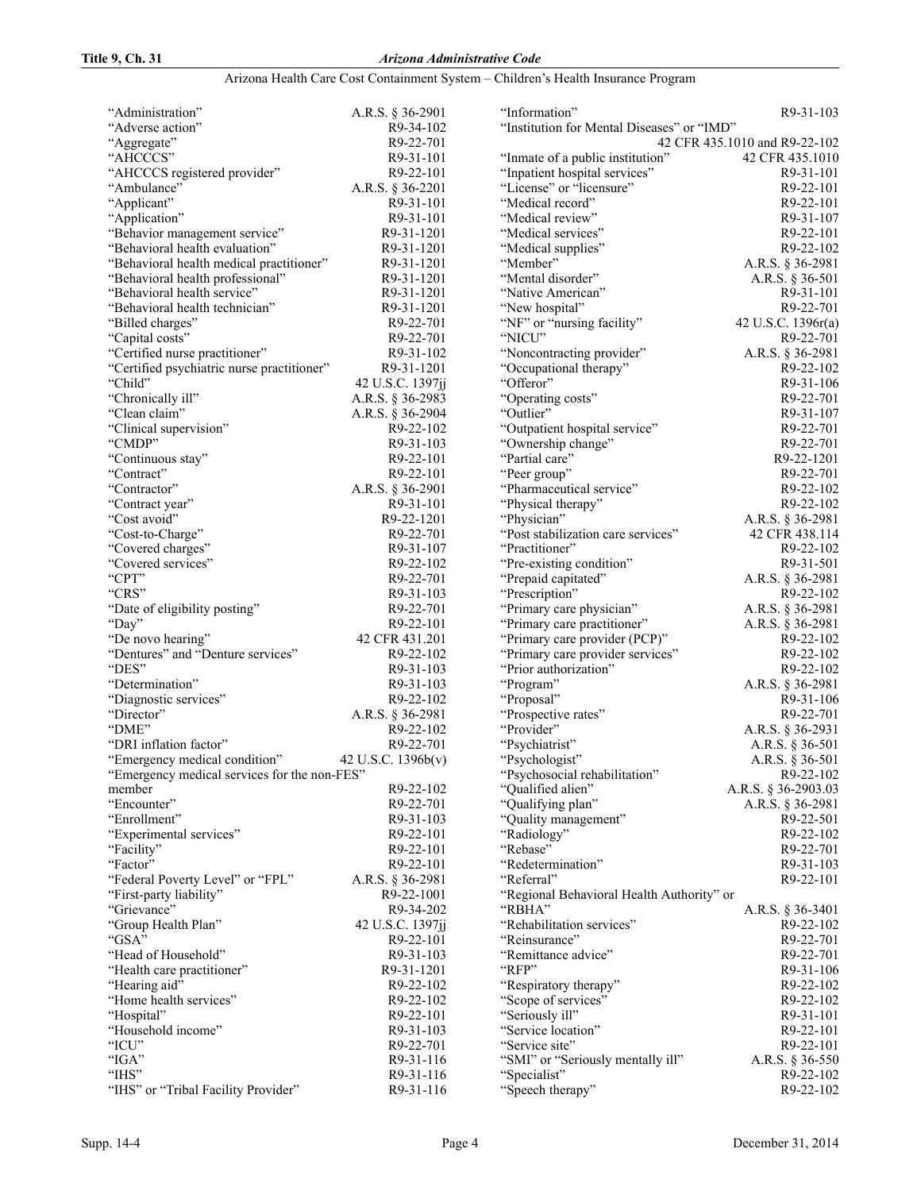# **Title 9, Ch. 31** *Arizona Administrative Code*

# Arizona Health Care Cost Containment System – Children's Health Insurance Program

| "Administration"                             | A.R.S. § 36-2901       |
|----------------------------------------------|------------------------|
| "Adverse action"                             | R9-34-102              |
| "Aggregate"                                  | R9-22-701              |
| "AHCCCS"                                     | R9-31-101              |
| "AHCCCS registered provider"                 | R9-22-101              |
| "Ambulance"                                  | A.R.S. § 36-2201       |
| "Applicant"                                  | R9-31-101              |
| "Application"                                | R9-31-101              |
| "Behavior management service"                | R9-31-1201             |
| "Behavioral health evaluation"               | R9-31-1201             |
| "Behavioral health medical practitioner"     | R9-31-1201             |
| "Behavioral health professional"             | R9-31-1201             |
| "Behavioral health service"                  | R9-31-1201             |
| "Behavioral health technician"               | R9-31-1201             |
| "Billed charges"                             | R9-22-701              |
| "Capital costs"                              | R9-22-701              |
| "Certified nurse practitioner"               | R9-31-102              |
| "Certified psychiatric nurse practitioner"   | R9-31-1201             |
| "Child"                                      | 42 U.S.C. 1397jj       |
| "Chronically ill"                            | A.R.S. § 36-2983       |
| "Clean claim"                                | A.R.S. § 36-2904       |
| "Clinical supervision"                       | R9-22-102              |
| "CMDP"                                       | R9-31-103              |
| "Continuous stay"                            | R9-22-101              |
| "Contract"                                   | R9-22-101              |
| "Contractor"                                 | A.R.S. § 36-2901       |
| "Contract year"                              | R9-31-101              |
| "Cost avoid"                                 | R9-22-1201             |
| "Cost-to-Charge"                             | R9-22-701              |
| "Covered charges"                            | R9-31-107              |
| "Covered services"                           | R9-22-102              |
| "CPT"                                        | R9-22-701              |
| "CRS"                                        | R9-31-103              |
| "Date of eligibility posting"                | R9-22-701              |
| "Day"                                        | R9-22-101              |
| "De novo hearing"                            | 42 CFR 431.201         |
| "Dentures" and "Denture services"            | R9-22-102              |
| "DES"                                        | R9-31-103              |
| "Determination"                              | R9-31-103              |
| "Diagnostic services"                        | R9-22-102              |
| "Director"                                   | A.R.S. § 36-2981       |
| "DME"                                        | R9-22-102              |
| "DRI inflation factor"                       | R9-22-701              |
| "Emergency medical condition"                | 42 U.S.C. 1396b(v)     |
| "Emergency medical services for the non-FES" |                        |
| member                                       | R9-22-102              |
| "Encounter"                                  | R9-22-701              |
| "Enrollment"                                 | R9-31-103              |
| "Experimental services"                      |                        |
|                                              |                        |
|                                              | R9-22-101              |
| "Facility"                                   | R9-22-101              |
| "Factor"                                     | R9-22-101              |
| "Federal Poverty Level" or "FPL"             | A.R.S. § 36-2981       |
| "First-party liability"                      | R9-22-1001             |
| "Grievance"                                  | R9-34-202              |
| "Group Health Plan"                          | 42 U.S.C. 1397jj       |
| "GSA"                                        | R9-22-101              |
| "Head of Household"                          | R9-31-103              |
| "Health care practitioner"                   | R9-31-1201             |
| "Hearing aid"                                | R9-22-102              |
| "Home health services"                       | R9-22-102              |
| "Hospital"                                   | R9-22-101              |
| "Household income"                           | R9-31-103              |
| "ICU"                                        | R9-22-701              |
| "IGA"                                        | R9-31-116              |
| "IHS"<br>"IHS" or "Tribal Facility Provider" | R9-31-116<br>R9-31-116 |

| "Information"                              | R9-31-103                     |
|--------------------------------------------|-------------------------------|
| "Institution for Mental Diseases" or "IMD" |                               |
|                                            | 42 CFR 435.1010 and R9-22-102 |
| "Inmate of a public institution"           | 42 CFR 435.1010               |
| "Inpatient hospital services"              | R9-31-101                     |
| "License" or "licensure"                   | R9-22-101                     |
| "Medical record"                           | R9-22-101                     |
| "Medical review"                           | R9-31-107                     |
|                                            |                               |
| "Medical services"                         | R9-22-101                     |
| "Medical supplies"                         | R9-22-102                     |
| "Member"                                   | A.R.S. § 36-2981              |
| "Mental disorder"                          | A.R.S. § 36-501               |
| "Native American"                          | R9-31-101                     |
| "New hospital"                             | R9-22-701                     |
| "NF" or "nursing facility"                 | 42 U.S.C. 1396r(a)            |
| "NICU"                                     | R9-22-701                     |
| "Noncontracting provider"                  | A.R.S. § 36-2981              |
| "Occupational therapy"                     | R9-22-102                     |
| "Offeror"                                  | R9-31-106                     |
| "Operating costs"                          | R9-22-701                     |
| "Outlier"                                  | R9-31-107                     |
| "Outpatient hospital service"              | R9-22-701                     |
|                                            |                               |
| "Ownership change"                         | R9-22-701                     |
| "Partial care"                             | R9-22-1201                    |
| "Peer group"                               | R9-22-701                     |
| "Pharmaceutical service"                   | R9-22-102                     |
| "Physical therapy"                         | R9-22-102                     |
| "Physician"                                | A.R.S. § 36-2981              |
| "Post stabilization care services"         | 42 CFR 438.114                |
| "Practitioner"                             | R9-22-102                     |
| "Pre-existing condition"                   | R9-31-501                     |
| "Prepaid capitated"                        | A.R.S. § 36-2981              |
| "Prescription"                             | R9-22-102                     |
| "Primary care physician"                   | A.R.S. § 36-2981              |
| "Primary care practitioner"                | A.R.S. § 36-2981              |
| "Primary care provider (PCP)"              | R9-22-102                     |
| "Primary care provider services"           | R9-22-102                     |
|                                            |                               |
| "Prior authorization"                      | R9-22-102                     |
| "Program"                                  | A.R.S. § 36-2981              |
| "Proposal"                                 | R9-31-106                     |
| "Prospective rates"                        | R9-22-701                     |
| "Provider"                                 | A.R.S. § 36-2931              |
| "Psychiatrist"                             | A.R.S. § 36-501               |
| "Psychologist"                             | A.R.S. § 36-501               |
| "Psychosocial rehabilitation"              | R9-22-102                     |
| "Qualified alien"                          | A.R.S. § 36-2903.03           |
| "Qualifying plan"                          | A.R.S. § 36-2981              |
| "Quality management"                       | R9-22-501                     |
| "Radiology"                                | R9-22-102                     |
| "Rebase"                                   | R9-22-701                     |
| "Redetermination"                          | R9-31-103                     |
|                                            |                               |
| "Referral"                                 | R9-22-101                     |
| "Regional Behavioral Health Authority" or  |                               |
| "RBHA"                                     | A.R.S. § 36-3401              |
| "Rehabilitation services"                  | R9-22-102                     |
| "Reinsurance"                              | R9-22-701                     |
| "Remittance advice"                        | R9-22-701                     |
| "RFP"                                      | R9-31-106                     |
| "Respiratory therapy"                      | R9-22-102                     |
| "Scope of services"                        | R9-22-102                     |
| "Seriously ill"                            | R9-31-101                     |
| "Service location"                         | R9-22-101                     |
| "Service site"                             | R9-22-101                     |
| "SMI" or "Seriously mentally ill"          | A.R.S. § 36-550               |
| "Specialist"                               | R9-22-102                     |
| "Speech therapy"                           |                               |
|                                            | R9-22-102                     |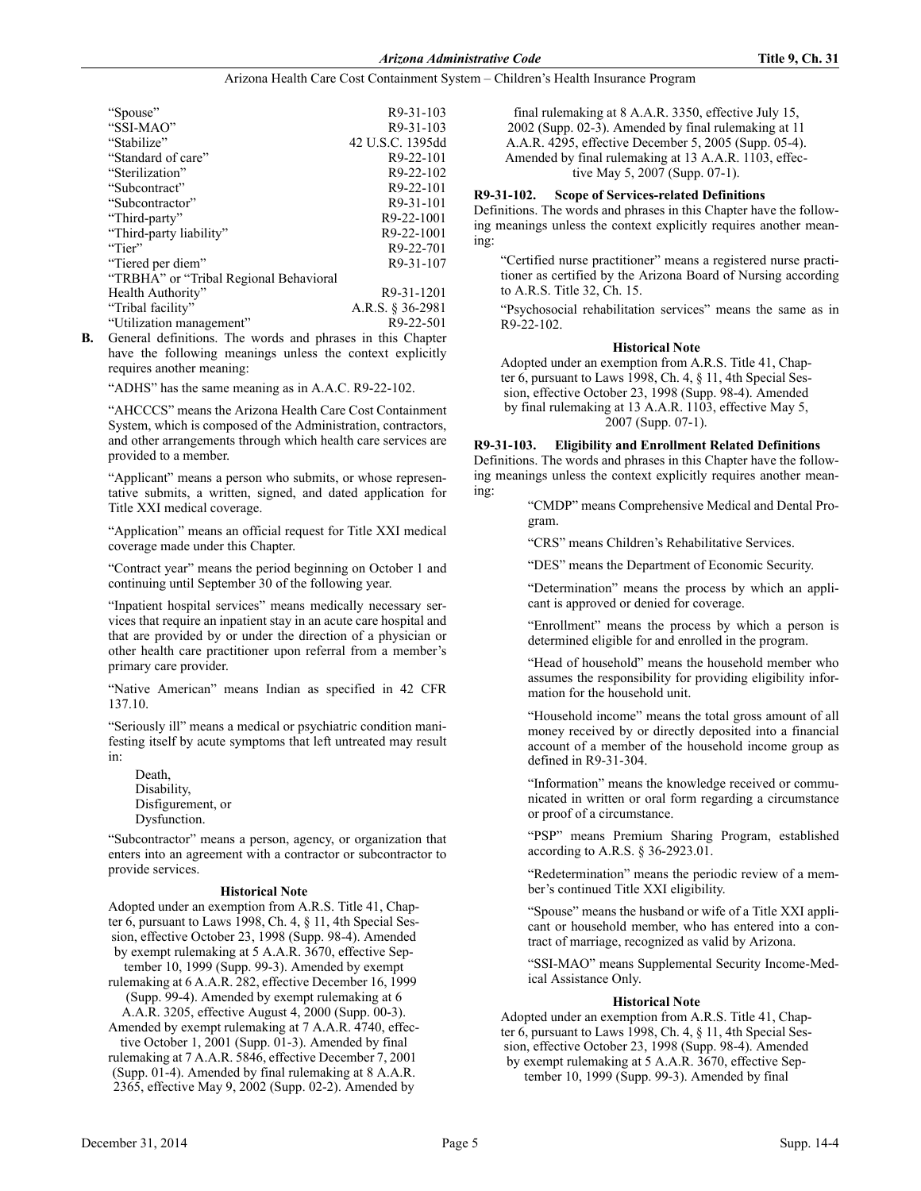| "Spouse"                                | R9-31-103        |
|-----------------------------------------|------------------|
| "SSI-MAO"                               | R9-31-103        |
| "Stabilize"                             | 42 U.S.C. 1395dd |
| "Standard of care"                      | R9-22-101        |
| "Sterilization"                         | R9-22-102        |
| "Subcontract"                           | R9-22-101        |
| "Subcontractor"                         | R9-31-101        |
| "Third-party"                           | R9-22-1001       |
| "Third-party liability"                 | R9-22-1001       |
| "Tier"                                  | R9-22-701        |
| "Tiered per diem"                       | R9-31-107        |
| "TRBHA" or "Tribal Regional Behavioral" |                  |
| Health Authority"                       | R9-31-1201       |
| "Tribal facility"                       | A.R.S. § 36-2981 |
| "Utilization management"                | R9-22-501        |

**B.** General definitions. The words and phrases in this Chapter have the following meanings unless the context explicitly requires another meaning:

"ADHS" has the same meaning as in A.A.C. R9-22-102.

"AHCCCS" means the Arizona Health Care Cost Containment System, which is composed of the Administration, contractors, and other arrangements through which health care services are provided to a member.

"Applicant" means a person who submits, or whose representative submits, a written, signed, and dated application for Title XXI medical coverage.

"Application" means an official request for Title XXI medical coverage made under this Chapter.

"Contract year" means the period beginning on October 1 and continuing until September 30 of the following year.

"Inpatient hospital services" means medically necessary services that require an inpatient stay in an acute care hospital and that are provided by or under the direction of a physician or other health care practitioner upon referral from a member's primary care provider.

"Native American" means Indian as specified in 42 CFR 137.10.

"Seriously ill" means a medical or psychiatric condition manifesting itself by acute symptoms that left untreated may result in:

Death, Disability, Disfigurement, or Dysfunction.

"Subcontractor" means a person, agency, or organization that enters into an agreement with a contractor or subcontractor to provide services.

#### **Historical Note**

Adopted under an exemption from A.R.S. Title 41, Chapter 6, pursuant to Laws 1998, Ch. 4, § 11, 4th Special Session, effective October 23, 1998 (Supp. 98-4). Amended by exempt rulemaking at 5 A.A.R. 3670, effective Sep-

tember 10, 1999 (Supp. 99-3). Amended by exempt rulemaking at 6 A.A.R. 282, effective December 16, 1999 (Supp. 99-4). Amended by exempt rulemaking at 6

A.A.R. 3205, effective August 4, 2000 (Supp. 00-3).

Amended by exempt rulemaking at 7 A.A.R. 4740, effective October 1, 2001 (Supp. 01-3). Amended by final rulemaking at 7 A.A.R. 5846, effective December 7, 2001 (Supp. 01-4). Amended by final rulemaking at 8 A.A.R. 2365, effective May 9, 2002 (Supp. 02-2). Amended by

final rulemaking at 8 A.A.R. 3350, effective July 15, 2002 (Supp. 02-3). Amended by final rulemaking at 11 A.A.R. 4295, effective December 5, 2005 (Supp. 05-4). Amended by final rulemaking at 13 A.A.R. 1103, effective May 5, 2007 (Supp. 07-1).

#### **R9-31-102. Scope of Services-related Definitions**

Definitions. The words and phrases in this Chapter have the following meanings unless the context explicitly requires another meaning:

"Certified nurse practitioner" means a registered nurse practitioner as certified by the Arizona Board of Nursing according to A.R.S. Title 32, Ch. 15.

"Psychosocial rehabilitation services" means the same as in R9-22-102.

#### **Historical Note**

Adopted under an exemption from A.R.S. Title 41, Chapter 6, pursuant to Laws 1998, Ch. 4, § 11, 4th Special Session, effective October 23, 1998 (Supp. 98-4). Amended by final rulemaking at 13 A.A.R. 1103, effective May 5, 2007 (Supp. 07-1).

**R9-31-103. Eligibility and Enrollment Related Definitions** Definitions. The words and phrases in this Chapter have the following meanings unless the context explicitly requires another meaning:

> "CMDP" means Comprehensive Medical and Dental Program.

"CRS" means Children's Rehabilitative Services.

"DES" means the Department of Economic Security.

"Determination" means the process by which an applicant is approved or denied for coverage.

"Enrollment" means the process by which a person is determined eligible for and enrolled in the program.

"Head of household" means the household member who assumes the responsibility for providing eligibility information for the household unit.

"Household income" means the total gross amount of all money received by or directly deposited into a financial account of a member of the household income group as defined in R9-31-304.

"Information" means the knowledge received or communicated in written or oral form regarding a circumstance or proof of a circumstance.

"PSP" means Premium Sharing Program, established according to A.R.S. § 36-2923.01.

"Redetermination" means the periodic review of a member's continued Title XXI eligibility.

"Spouse" means the husband or wife of a Title XXI applicant or household member, who has entered into a contract of marriage, recognized as valid by Arizona.

"SSI-MAO" means Supplemental Security Income-Medical Assistance Only.

# **Historical Note**

Adopted under an exemption from A.R.S. Title 41, Chapter 6, pursuant to Laws 1998, Ch. 4, § 11, 4th Special Session, effective October 23, 1998 (Supp. 98-4). Amended by exempt rulemaking at 5 A.A.R. 3670, effective September 10, 1999 (Supp. 99-3). Amended by final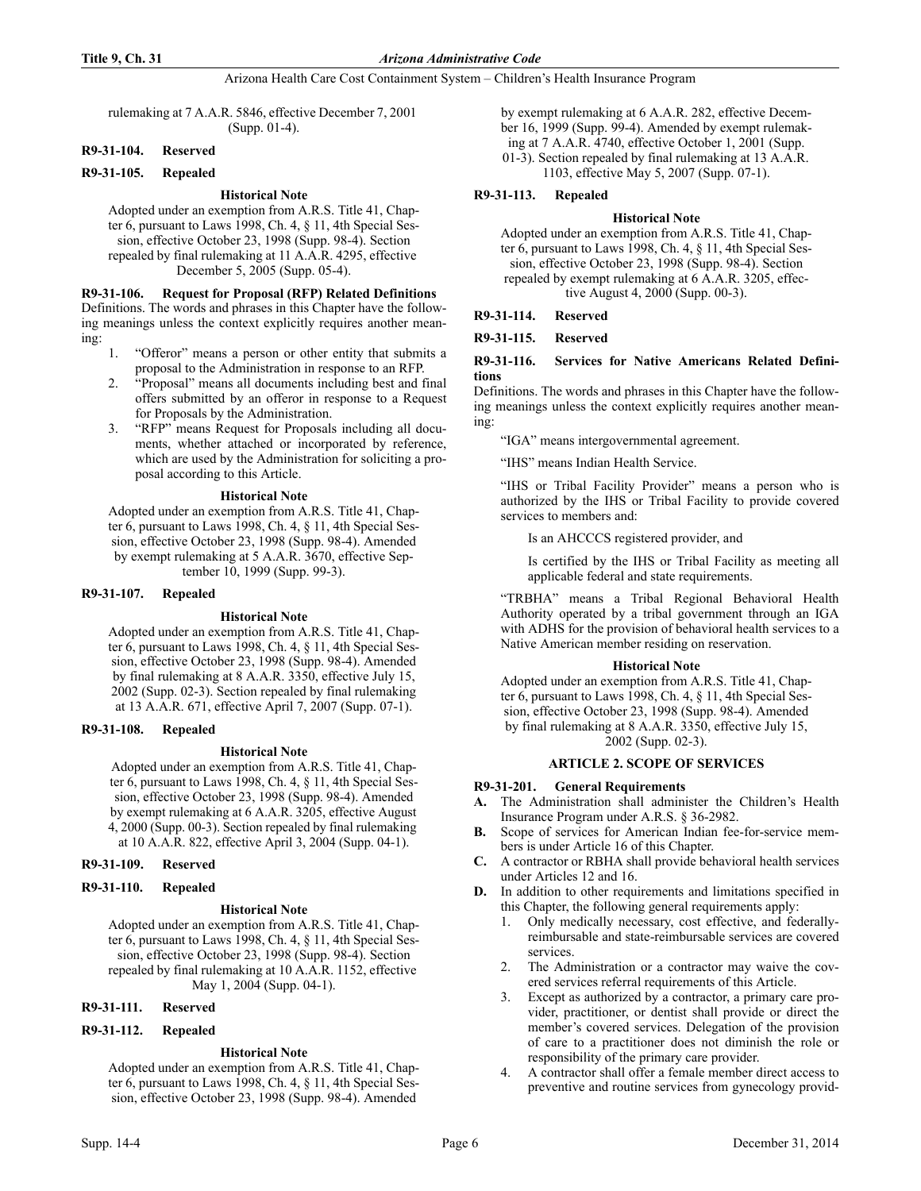ing:

# Arizona Health Care Cost Containment System – Children's Health Insurance Program

rulemaking at 7 A.A.R. 5846, effective December 7, 2001 (Supp. 01-4).

# **R9-31-104. Reserved**

# **R9-31-105. Repealed**

# **Historical Note**

Adopted under an exemption from A.R.S. Title 41, Chapter 6, pursuant to Laws 1998, Ch. 4, § 11, 4th Special Session, effective October 23, 1998 (Supp. 98-4). Section repealed by final rulemaking at 11 A.A.R. 4295, effective December 5, 2005 (Supp. 05-4).

**R9-31-106. Request for Proposal (RFP) Related Definitions** Definitions. The words and phrases in this Chapter have the following meanings unless the context explicitly requires another mean-

- 1. "Offeror" means a person or other entity that submits a proposal to the Administration in response to an RFP.
- 2. "Proposal" means all documents including best and final offers submitted by an offeror in response to a Request for Proposals by the Administration.
- 3. "RFP" means Request for Proposals including all documents, whether attached or incorporated by reference, which are used by the Administration for soliciting a proposal according to this Article.

# **Historical Note**

Adopted under an exemption from A.R.S. Title 41, Chapter 6, pursuant to Laws 1998, Ch. 4, § 11, 4th Special Session, effective October 23, 1998 (Supp. 98-4). Amended by exempt rulemaking at 5 A.A.R. 3670, effective September 10, 1999 (Supp. 99-3).

# **R9-31-107. Repealed**

# **Historical Note**

Adopted under an exemption from A.R.S. Title 41, Chapter 6, pursuant to Laws 1998, Ch. 4, § 11, 4th Special Session, effective October 23, 1998 (Supp. 98-4). Amended by final rulemaking at 8 A.A.R. 3350, effective July 15, 2002 (Supp. 02-3). Section repealed by final rulemaking at 13 A.A.R. 671, effective April 7, 2007 (Supp. 07-1).

# **R9-31-108. Repealed**

# **Historical Note**

Adopted under an exemption from A.R.S. Title 41, Chapter 6, pursuant to Laws 1998, Ch. 4, § 11, 4th Special Session, effective October 23, 1998 (Supp. 98-4). Amended by exempt rulemaking at 6 A.A.R. 3205, effective August 4, 2000 (Supp. 00-3). Section repealed by final rulemaking at 10 A.A.R. 822, effective April 3, 2004 (Supp. 04-1).

# **R9-31-109. Reserved**

# **R9-31-110. Repealed**

# **Historical Note**

Adopted under an exemption from A.R.S. Title 41, Chapter 6, pursuant to Laws 1998, Ch. 4, § 11, 4th Special Session, effective October 23, 1998 (Supp. 98-4). Section repealed by final rulemaking at 10 A.A.R. 1152, effective May 1, 2004 (Supp. 04-1).

# **R9-31-111. Reserved**

# **R9-31-112. Repealed**

# **Historical Note**

Adopted under an exemption from A.R.S. Title 41, Chapter 6, pursuant to Laws 1998, Ch. 4, § 11, 4th Special Session, effective October 23, 1998 (Supp. 98-4). Amended

by exempt rulemaking at 6 A.A.R. 282, effective December 16, 1999 (Supp. 99-4). Amended by exempt rulemaking at 7 A.A.R. 4740, effective October 1, 2001 (Supp. 01-3). Section repealed by final rulemaking at 13 A.A.R.

1103, effective May 5, 2007 (Supp. 07-1).

# **R9-31-113. Repealed**

# **Historical Note**

Adopted under an exemption from A.R.S. Title 41, Chapter 6, pursuant to Laws 1998, Ch. 4, § 11, 4th Special Session, effective October 23, 1998 (Supp. 98-4). Section repealed by exempt rulemaking at 6 A.A.R. 3205, effective August 4, 2000 (Supp. 00-3).

# **R9-31-114. Reserved**

**R9-31-115. Reserved**

# **R9-31-116. Services for Native Americans Related Definitions**

Definitions. The words and phrases in this Chapter have the following meanings unless the context explicitly requires another meaning:

"IGA" means intergovernmental agreement.

"IHS" means Indian Health Service.

"IHS or Tribal Facility Provider" means a person who is authorized by the IHS or Tribal Facility to provide covered services to members and:

Is an AHCCCS registered provider, and

Is certified by the IHS or Tribal Facility as meeting all applicable federal and state requirements.

"TRBHA" means a Tribal Regional Behavioral Health Authority operated by a tribal government through an IGA with ADHS for the provision of behavioral health services to a Native American member residing on reservation.

# **Historical Note**

Adopted under an exemption from A.R.S. Title 41, Chapter 6, pursuant to Laws 1998, Ch. 4, § 11, 4th Special Session, effective October 23, 1998 (Supp. 98-4). Amended by final rulemaking at 8 A.A.R. 3350, effective July 15, 2002 (Supp. 02-3).

# **ARTICLE 2. SCOPE OF SERVICES**

# **R9-31-201. General Requirements**

- **A.** The Administration shall administer the Children's Health Insurance Program under A.R.S. § 36-2982.
- **B.** Scope of services for American Indian fee-for-service members is under Article 16 of this Chapter.
- **C.** A contractor or RBHA shall provide behavioral health services under Articles 12 and 16.
- **D.** In addition to other requirements and limitations specified in this Chapter, the following general requirements apply:
	- 1. Only medically necessary, cost effective, and federallyreimbursable and state-reimbursable services are covered services.
	- 2. The Administration or a contractor may waive the covered services referral requirements of this Article.
	- 3. Except as authorized by a contractor, a primary care provider, practitioner, or dentist shall provide or direct the member's covered services. Delegation of the provision of care to a practitioner does not diminish the role or responsibility of the primary care provider.
	- 4. A contractor shall offer a female member direct access to preventive and routine services from gynecology provid-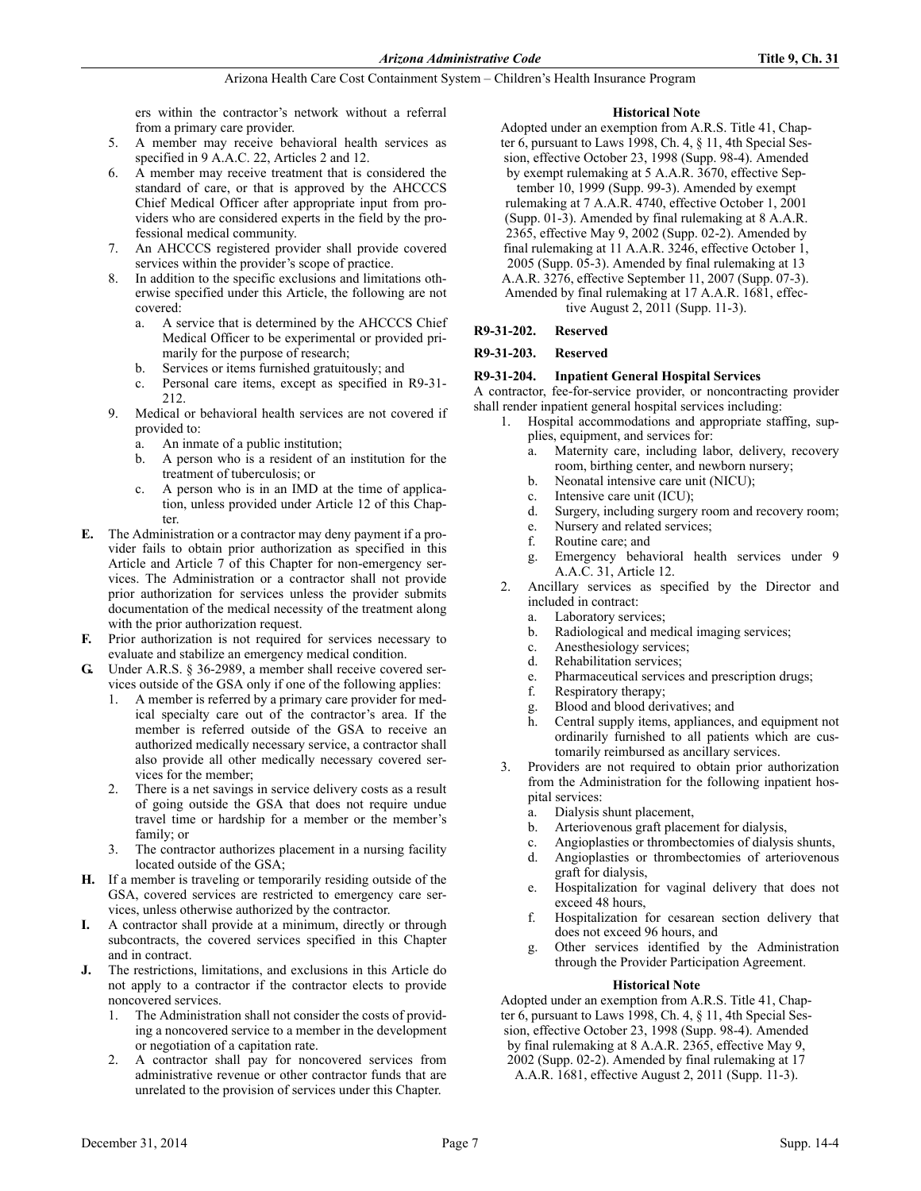ers within the contractor's network without a referral from a primary care provider.

- 5. A member may receive behavioral health services as specified in 9 A.A.C. 22, Articles 2 and 12.
- 6. A member may receive treatment that is considered the standard of care, or that is approved by the AHCCCS Chief Medical Officer after appropriate input from providers who are considered experts in the field by the professional medical community.
- 7. An AHCCCS registered provider shall provide covered services within the provider's scope of practice.
- 8. In addition to the specific exclusions and limitations otherwise specified under this Article, the following are not covered:
	- a. A service that is determined by the AHCCCS Chief Medical Officer to be experimental or provided primarily for the purpose of research;
	- b. Services or items furnished gratuitously; and
	- c. Personal care items, except as specified in R9-31- 212.
- 9. Medical or behavioral health services are not covered if provided to:
	- a. An inmate of a public institution;
	- b. A person who is a resident of an institution for the treatment of tuberculosis; or
	- c. A person who is in an IMD at the time of application, unless provided under Article 12 of this Chapter.
- **E.** The Administration or a contractor may deny payment if a provider fails to obtain prior authorization as specified in this Article and Article 7 of this Chapter for non-emergency services. The Administration or a contractor shall not provide prior authorization for services unless the provider submits documentation of the medical necessity of the treatment along with the prior authorization request.
- **F.** Prior authorization is not required for services necessary to evaluate and stabilize an emergency medical condition.
- **G.** Under A.R.S. § 36-2989, a member shall receive covered services outside of the GSA only if one of the following applies:
	- 1. A member is referred by a primary care provider for medical specialty care out of the contractor's area. If the member is referred outside of the GSA to receive an authorized medically necessary service, a contractor shall also provide all other medically necessary covered services for the member;
	- There is a net savings in service delivery costs as a result of going outside the GSA that does not require undue travel time or hardship for a member or the member's family; or
	- The contractor authorizes placement in a nursing facility located outside of the GSA;
- **H.** If a member is traveling or temporarily residing outside of the GSA, covered services are restricted to emergency care services, unless otherwise authorized by the contractor.
- **I.** A contractor shall provide at a minimum, directly or through subcontracts, the covered services specified in this Chapter and in contract.
- **J.** The restrictions, limitations, and exclusions in this Article do not apply to a contractor if the contractor elects to provide noncovered services.
	- 1. The Administration shall not consider the costs of providing a noncovered service to a member in the development or negotiation of a capitation rate.
	- 2. A contractor shall pay for noncovered services from administrative revenue or other contractor funds that are unrelated to the provision of services under this Chapter.

# **Historical Note**

- Adopted under an exemption from A.R.S. Title 41, Chapter 6, pursuant to Laws 1998, Ch. 4, § 11, 4th Special Session, effective October 23, 1998 (Supp. 98-4). Amended by exempt rulemaking at 5 A.A.R. 3670, effective Sep-
- tember 10, 1999 (Supp. 99-3). Amended by exempt rulemaking at 7 A.A.R. 4740, effective October 1, 2001 (Supp. 01-3). Amended by final rulemaking at 8 A.A.R. 2365, effective May 9, 2002 (Supp. 02-2). Amended by final rulemaking at 11 A.A.R. 3246, effective October 1, 2005 (Supp. 05-3). Amended by final rulemaking at 13 A.A.R. 3276, effective September 11, 2007 (Supp. 07-3). Amended by final rulemaking at 17 A.A.R. 1681, effective August 2, 2011 (Supp. 11-3).
- **R9-31-202. Reserved**

# **R9-31-203. Reserved**

# **R9-31-204. Inpatient General Hospital Services**

A contractor, fee-for-service provider, or noncontracting provider shall render inpatient general hospital services including:

- 1. Hospital accommodations and appropriate staffing, supplies, equipment, and services for:
	- a. Maternity care, including labor, delivery, recovery room, birthing center, and newborn nursery;
	- b. Neonatal intensive care unit (NICU);
	- c. Intensive care unit (ICU);
	- d. Surgery, including surgery room and recovery room;
	- e. Nursery and related services;
	- f. Routine care; and
	- g. Emergency behavioral health services under 9 A.A.C. 31, Article 12.
- 2. Ancillary services as specified by the Director and included in contract:
	- a. Laboratory services;
	- b. Radiological and medical imaging services;
	- c. Anesthesiology services;
	- d. Rehabilitation services;
	- e. Pharmaceutical services and prescription drugs;
	- f. Respiratory therapy;
	- g. Blood and blood derivatives; and
	- h. Central supply items, appliances, and equipment not ordinarily furnished to all patients which are customarily reimbursed as ancillary services.
- 3. Providers are not required to obtain prior authorization from the Administration for the following inpatient hospital services:
	- a. Dialysis shunt placement,
	- b. Arteriovenous graft placement for dialysis,
	- c. Angioplasties or thrombectomies of dialysis shunts,
	- d. Angioplasties or thrombectomies of arteriovenous graft for dialysis,
	- e. Hospitalization for vaginal delivery that does not exceed 48 hours,
	- f. Hospitalization for cesarean section delivery that does not exceed 96 hours, and
	- g. Other services identified by the Administration through the Provider Participation Agreement.

# **Historical Note**

Adopted under an exemption from A.R.S. Title 41, Chapter 6, pursuant to Laws 1998, Ch. 4, § 11, 4th Special Session, effective October 23, 1998 (Supp. 98-4). Amended by final rulemaking at 8 A.A.R. 2365, effective May 9, 2002 (Supp. 02-2). Amended by final rulemaking at 17 A.A.R. 1681, effective August 2, 2011 (Supp. 11-3).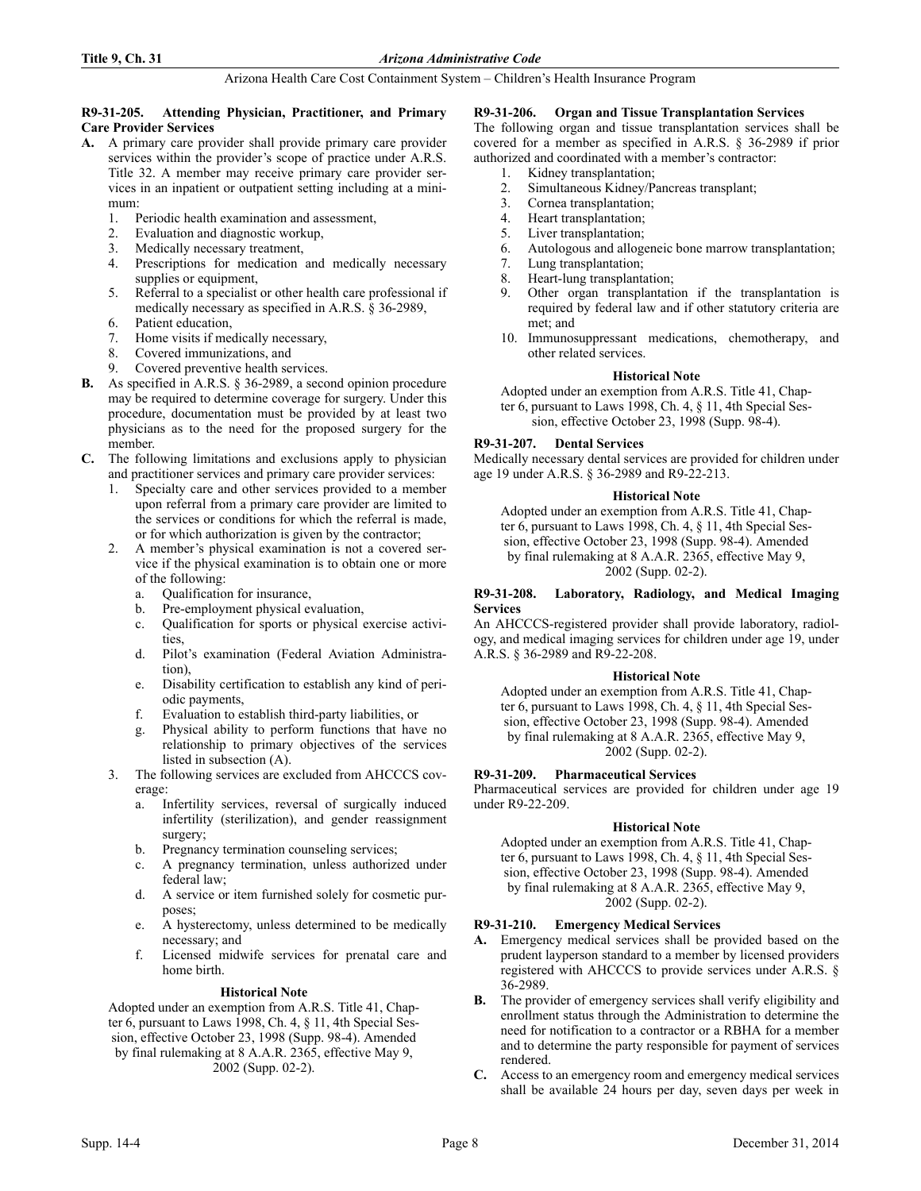# **R9-31-205. Attending Physician, Practitioner, and Primary Care Provider Services**

- **A.** A primary care provider shall provide primary care provider services within the provider's scope of practice under A.R.S. Title 32. A member may receive primary care provider services in an inpatient or outpatient setting including at a minimum:
	- 1. Periodic health examination and assessment,
	- 2. Evaluation and diagnostic workup,
	- 3. Medically necessary treatment,<br>4. Prescriptions for medication
	- Prescriptions for medication and medically necessary supplies or equipment,
	- 5. Referral to a specialist or other health care professional if medically necessary as specified in A.R.S. § 36-2989,
	- 6. Patient education,
	- 7. Home visits if medically necessary,
	- 8. Covered immunizations, and
	- 9. Covered preventive health services.
- **B.** As specified in A.R.S. § 36-2989, a second opinion procedure may be required to determine coverage for surgery. Under this procedure, documentation must be provided by at least two physicians as to the need for the proposed surgery for the member.
- **C.** The following limitations and exclusions apply to physician and practitioner services and primary care provider services:
	- 1. Specialty care and other services provided to a member upon referral from a primary care provider are limited to the services or conditions for which the referral is made, or for which authorization is given by the contractor;
	- 2. A member's physical examination is not a covered service if the physical examination is to obtain one or more of the following:
		- a. Qualification for insurance,
		- b. Pre-employment physical evaluation,
		- c. Qualification for sports or physical exercise activities,
		- d. Pilot's examination (Federal Aviation Administration),
		- e. Disability certification to establish any kind of periodic payments,
		- f. Evaluation to establish third-party liabilities, or
		- g. Physical ability to perform functions that have no relationship to primary objectives of the services listed in subsection (A).
	- 3. The following services are excluded from AHCCCS coverage:
		- a. Infertility services, reversal of surgically induced infertility (sterilization), and gender reassignment surgery;
		- b. Pregnancy termination counseling services;
		- c. A pregnancy termination, unless authorized under federal law;
		- d. A service or item furnished solely for cosmetic purposes;
		- e. A hysterectomy, unless determined to be medically necessary; and
		- f. Licensed midwife services for prenatal care and home birth.

# **Historical Note**

Adopted under an exemption from A.R.S. Title 41, Chapter 6, pursuant to Laws 1998, Ch. 4, § 11, 4th Special Session, effective October 23, 1998 (Supp. 98-4). Amended by final rulemaking at 8 A.A.R. 2365, effective May 9, 2002 (Supp. 02-2).

# **R9-31-206. Organ and Tissue Transplantation Services**

The following organ and tissue transplantation services shall be covered for a member as specified in A.R.S. § 36-2989 if prior authorized and coordinated with a member's contractor:

- 1. Kidney transplantation;
- 2. Simultaneous Kidney/Pancreas transplant;
- 3. Cornea transplantation;
- 4. Heart transplantation;
- 5. Liver transplantation;
- 6. Autologous and allogeneic bone marrow transplantation;<br>7. Lung transplantation:
- Lung transplantation;
- 8. Heart-lung transplantation;
- 9. Other organ transplantation if the transplantation is required by federal law and if other statutory criteria are met; and
- 10. Immunosuppressant medications, chemotherapy, and other related services.

# **Historical Note**

Adopted under an exemption from A.R.S. Title 41, Chapter 6, pursuant to Laws 1998, Ch. 4, § 11, 4th Special Session, effective October 23, 1998 (Supp. 98-4).

# **R9-31-207. Dental Services**

Medically necessary dental services are provided for children under age 19 under A.R.S. § 36-2989 and R9-22-213.

# **Historical Note**

Adopted under an exemption from A.R.S. Title 41, Chapter 6, pursuant to Laws 1998, Ch. 4, § 11, 4th Special Session, effective October 23, 1998 (Supp. 98-4). Amended by final rulemaking at 8 A.A.R. 2365, effective May 9, 2002 (Supp. 02-2).

### **R9-31-208. Laboratory, Radiology, and Medical Imaging Services**

An AHCCCS-registered provider shall provide laboratory, radiology, and medical imaging services for children under age 19, under A.R.S. § 36-2989 and R9-22-208.

# **Historical Note**

Adopted under an exemption from A.R.S. Title 41, Chapter 6, pursuant to Laws 1998, Ch. 4, § 11, 4th Special Session, effective October 23, 1998 (Supp. 98-4). Amended by final rulemaking at 8 A.A.R. 2365, effective May 9, 2002 (Supp. 02-2).

# **R9-31-209. Pharmaceutical Services**

Pharmaceutical services are provided for children under age 19 under R9-22-209.

# **Historical Note**

Adopted under an exemption from A.R.S. Title 41, Chapter 6, pursuant to Laws 1998, Ch. 4, § 11, 4th Special Session, effective October 23, 1998 (Supp. 98-4). Amended by final rulemaking at 8 A.A.R. 2365, effective May 9, 2002 (Supp. 02-2).

# **R9-31-210. Emergency Medical Services**

- **A.** Emergency medical services shall be provided based on the prudent layperson standard to a member by licensed providers registered with AHCCCS to provide services under A.R.S. § 36-2989.
- **B.** The provider of emergency services shall verify eligibility and enrollment status through the Administration to determine the need for notification to a contractor or a RBHA for a member and to determine the party responsible for payment of services rendered.
- **C.** Access to an emergency room and emergency medical services shall be available 24 hours per day, seven days per week in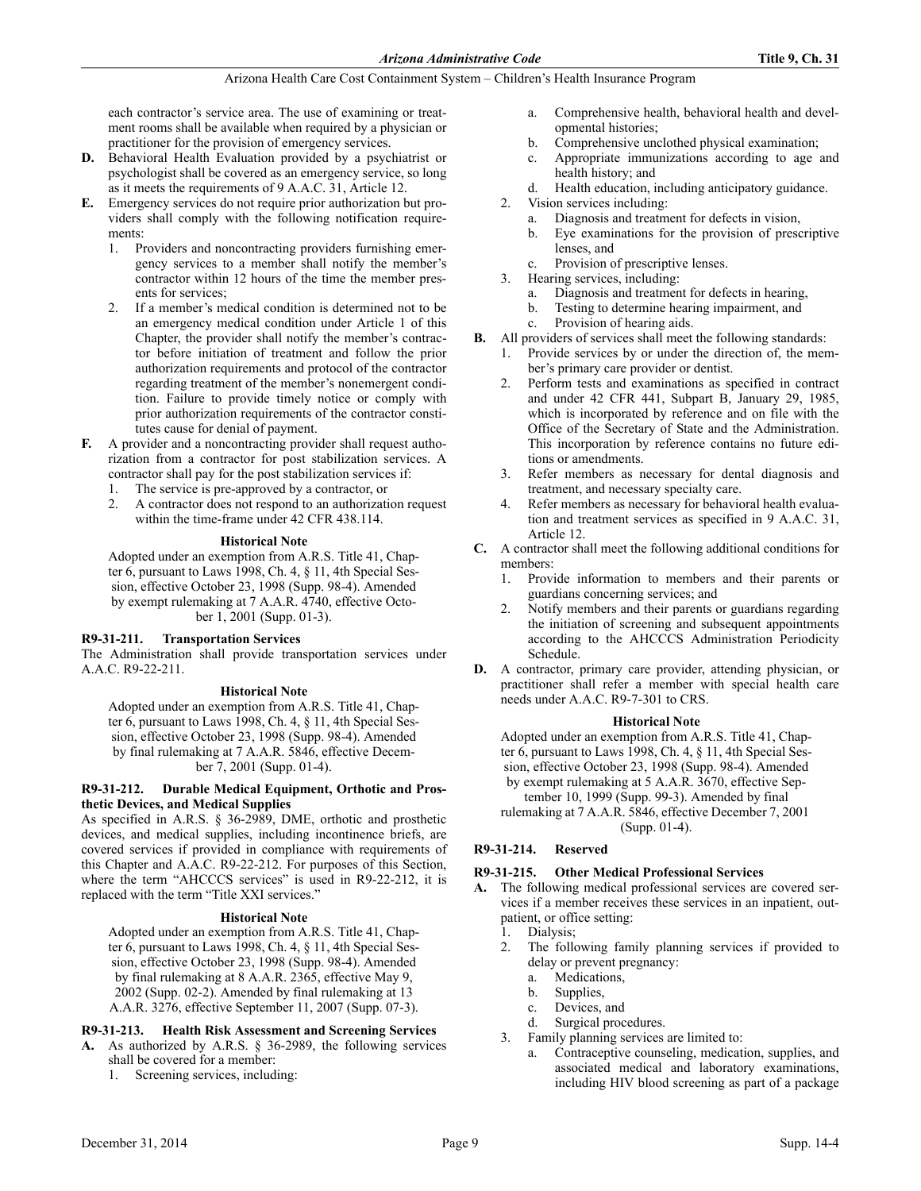each contractor's service area. The use of examining or treatment rooms shall be available when required by a physician or practitioner for the provision of emergency services.

- **D.** Behavioral Health Evaluation provided by a psychiatrist or psychologist shall be covered as an emergency service, so long as it meets the requirements of 9 A.A.C. 31, Article 12.
- **E.** Emergency services do not require prior authorization but providers shall comply with the following notification requirements:
	- 1. Providers and noncontracting providers furnishing emergency services to a member shall notify the member's contractor within 12 hours of the time the member presents for services;
	- 2. If a member's medical condition is determined not to be an emergency medical condition under Article 1 of this Chapter, the provider shall notify the member's contractor before initiation of treatment and follow the prior authorization requirements and protocol of the contractor regarding treatment of the member's nonemergent condition. Failure to provide timely notice or comply with prior authorization requirements of the contractor constitutes cause for denial of payment.
- **F.** A provider and a noncontracting provider shall request authorization from a contractor for post stabilization services. A contractor shall pay for the post stabilization services if:
	- 1. The service is pre-approved by a contractor, or
	- 2. A contractor does not respond to an authorization request within the time-frame under 42 CFR 438.114.

# **Historical Note**

Adopted under an exemption from A.R.S. Title 41, Chapter 6, pursuant to Laws 1998, Ch. 4, § 11, 4th Special Session, effective October 23, 1998 (Supp. 98-4). Amended by exempt rulemaking at 7 A.A.R. 4740, effective October 1, 2001 (Supp. 01-3).

# **R9-31-211. Transportation Services**

The Administration shall provide transportation services under A.A.C. R9-22-211.

# **Historical Note**

Adopted under an exemption from A.R.S. Title 41, Chapter 6, pursuant to Laws 1998, Ch. 4, § 11, 4th Special Session, effective October 23, 1998 (Supp. 98-4). Amended by final rulemaking at 7 A.A.R. 5846, effective December 7, 2001 (Supp. 01-4).

**R9-31-212. Durable Medical Equipment, Orthotic and Prosthetic Devices, and Medical Supplies**

As specified in A.R.S. § 36-2989, DME, orthotic and prosthetic devices, and medical supplies, including incontinence briefs, are covered services if provided in compliance with requirements of this Chapter and A.A.C. R9-22-212. For purposes of this Section, where the term "AHCCCS services" is used in R9-22-212, it is replaced with the term "Title XXI services."

#### **Historical Note**

Adopted under an exemption from A.R.S. Title 41, Chapter 6, pursuant to Laws 1998, Ch. 4, § 11, 4th Special Session, effective October 23, 1998 (Supp. 98-4). Amended by final rulemaking at 8 A.A.R. 2365, effective May 9, 2002 (Supp. 02-2). Amended by final rulemaking at 13 A.A.R. 3276, effective September 11, 2007 (Supp. 07-3).

# **R9-31-213. Health Risk Assessment and Screening Services**

- **A.** As authorized by A.R.S. § 36-2989, the following services shall be covered for a member:
	- 1. Screening services, including:
- a. Comprehensive health, behavioral health and developmental histories;
- b. Comprehensive unclothed physical examination;
- c. Appropriate immunizations according to age and health history; and
- d. Health education, including anticipatory guidance.
- 2. Vision services including:
	- a. Diagnosis and treatment for defects in vision,
	- b. Eye examinations for the provision of prescriptive lenses, and
	- c. Provision of prescriptive lenses.
- 3. Hearing services, including:
	- a. Diagnosis and treatment for defects in hearing,
	- b. Testing to determine hearing impairment, and
	- c. Provision of hearing aids.
- **B.** All providers of services shall meet the following standards:
	- 1. Provide services by or under the direction of, the member's primary care provider or dentist.
		- 2. Perform tests and examinations as specified in contract and under 42 CFR 441, Subpart B, January 29, 1985, which is incorporated by reference and on file with the Office of the Secretary of State and the Administration. This incorporation by reference contains no future editions or amendments.
		- 3. Refer members as necessary for dental diagnosis and treatment, and necessary specialty care.
		- 4. Refer members as necessary for behavioral health evaluation and treatment services as specified in 9 A.A.C. 31, Article 12.
- **C.** A contractor shall meet the following additional conditions for members:
	- 1. Provide information to members and their parents or guardians concerning services; and
	- 2. Notify members and their parents or guardians regarding the initiation of screening and subsequent appointments according to the AHCCCS Administration Periodicity Schedule.
- **D.** A contractor, primary care provider, attending physician, or practitioner shall refer a member with special health care needs under A.A.C. R9-7-301 to CRS.

# **Historical Note**

Adopted under an exemption from A.R.S. Title 41, Chapter 6, pursuant to Laws 1998, Ch. 4, § 11, 4th Special Session, effective October 23, 1998 (Supp. 98-4). Amended by exempt rulemaking at 5 A.A.R. 3670, effective September 10, 1999 (Supp. 99-3). Amended by final

rulemaking at 7 A.A.R. 5846, effective December 7, 2001 (Supp. 01-4).

# **R9-31-214. Reserved**

# **R9-31-215. Other Medical Professional Services**

- **A.** The following medical professional services are covered services if a member receives these services in an inpatient, outpatient, or office setting:
	- 1. Dialysis;
	- 2. The following family planning services if provided to delay or prevent pregnancy:
		- a. Medications,
		- b. Supplies,
		- c. Devices, and
		- d. Surgical procedures.
	- 3. Family planning services are limited to:
		- a. Contraceptive counseling, medication, supplies, and associated medical and laboratory examinations, including HIV blood screening as part of a package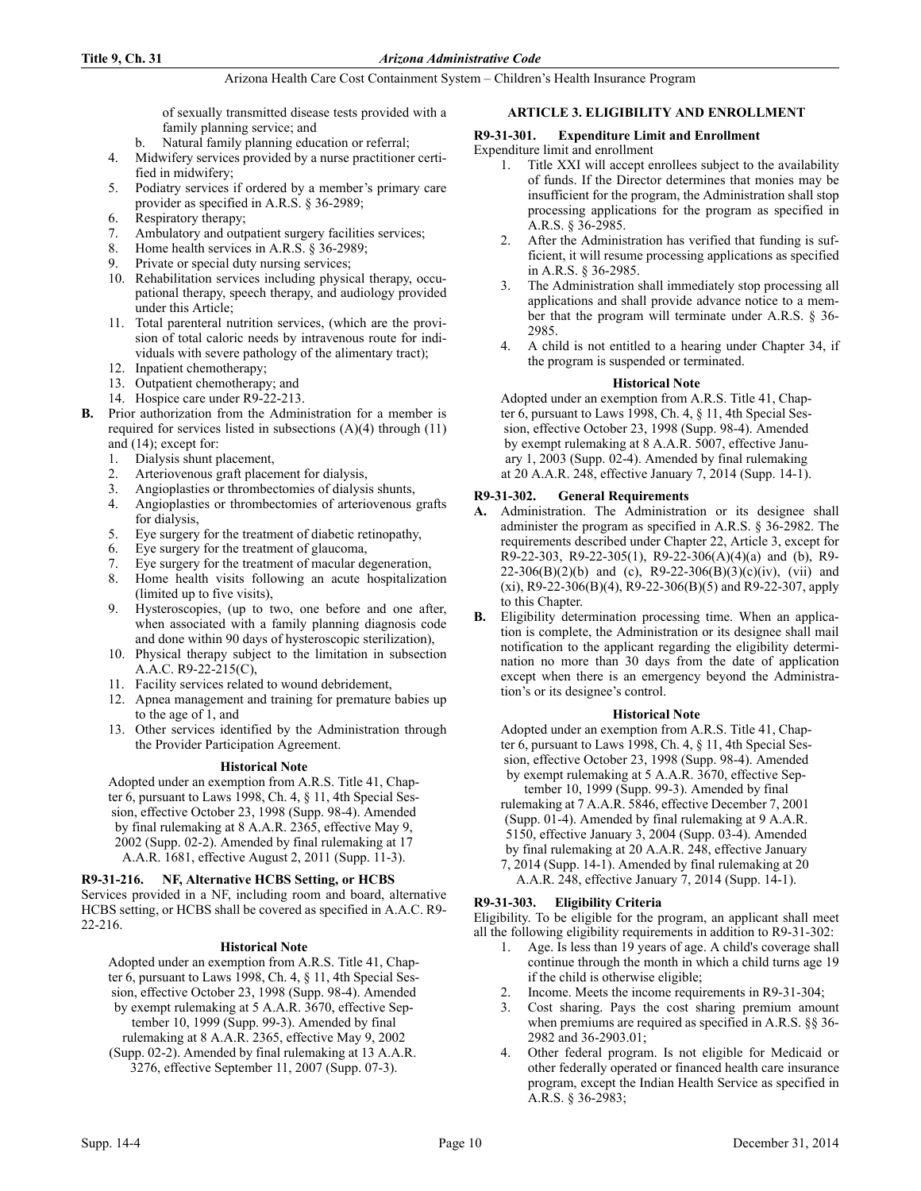of sexually transmitted disease tests provided with a family planning service; and

- b. Natural family planning education or referral;
- 4. Midwifery services provided by a nurse practitioner certified in midwifery;
- 5. Podiatry services if ordered by a member's primary care provider as specified in A.R.S. § 36-2989;
- 6. Respiratory therapy;
- 7. Ambulatory and outpatient surgery facilities services;
- 8. Home health services in A.R.S. § 36-2989;
- 9. Private or special duty nursing services;
- 10. Rehabilitation services including physical therapy, occupational therapy, speech therapy, and audiology provided under this Article;
- 11. Total parenteral nutrition services, (which are the provision of total caloric needs by intravenous route for individuals with severe pathology of the alimentary tract);
- 12. Inpatient chemotherapy;
- 13. Outpatient chemotherapy; and
- 14. Hospice care under R9-22-213.
- **B.** Prior authorization from the Administration for a member is required for services listed in subsections (A)(4) through (11) and (14); except for:
	- 1. Dialysis shunt placement,
	- 2. Arteriovenous graft placement for dialysis,
	- 3. Angioplasties or thrombectomies of dialysis shunts,
	- 4. Angioplasties or thrombectomies of arteriovenous grafts for dialysis,
	- 5. Eye surgery for the treatment of diabetic retinopathy,
	- 6. Eye surgery for the treatment of glaucoma,
	- 7. Eye surgery for the treatment of macular degeneration,
	- 8. Home health visits following an acute hospitalization (limited up to five visits),
	- 9. Hysteroscopies, (up to two, one before and one after, when associated with a family planning diagnosis code and done within 90 days of hysteroscopic sterilization),
	- 10. Physical therapy subject to the limitation in subsection A.A.C. R9-22-215(C),
	- 11. Facility services related to wound debridement,
	- 12. Apnea management and training for premature babies up to the age of 1, and
	- 13. Other services identified by the Administration through the Provider Participation Agreement.

# **Historical Note**

Adopted under an exemption from A.R.S. Title 41, Chapter 6, pursuant to Laws 1998, Ch. 4, § 11, 4th Special Session, effective October 23, 1998 (Supp. 98-4). Amended by final rulemaking at 8 A.A.R. 2365, effective May 9, 2002 (Supp. 02-2). Amended by final rulemaking at 17 A.A.R. 1681, effective August 2, 2011 (Supp. 11-3).

# **R9-31-216. NF, Alternative HCBS Setting, or HCBS**

Services provided in a NF, including room and board, alternative HCBS setting, or HCBS shall be covered as specified in A.A.C. R9- 22-216.

# **Historical Note**

Adopted under an exemption from A.R.S. Title 41, Chapter 6, pursuant to Laws 1998, Ch. 4, § 11, 4th Special Session, effective October 23, 1998 (Supp. 98-4). Amended by exempt rulemaking at 5 A.A.R. 3670, effective September 10, 1999 (Supp. 99-3). Amended by final rulemaking at 8 A.A.R. 2365, effective May 9, 2002 (Supp. 02-2). Amended by final rulemaking at 13 A.A.R. 3276, effective September 11, 2007 (Supp. 07-3).

**ARTICLE 3. ELIGIBILITY AND ENROLLMENT**

# **R9-31-301. Expenditure Limit and Enrollment**

Expenditure limit and enrollment

- 1. Title XXI will accept enrollees subject to the availability of funds. If the Director determines that monies may be insufficient for the program, the Administration shall stop processing applications for the program as specified in A.R.S. § 36-2985.
- 2. After the Administration has verified that funding is sufficient, it will resume processing applications as specified in A.R.S. § 36-2985.
- 3. The Administration shall immediately stop processing all applications and shall provide advance notice to a member that the program will terminate under A.R.S. § 36- 2985.
- 4. A child is not entitled to a hearing under Chapter 34, if the program is suspended or terminated.

# **Historical Note**

Adopted under an exemption from A.R.S. Title 41, Chapter 6, pursuant to Laws 1998, Ch. 4, § 11, 4th Special Session, effective October 23, 1998 (Supp. 98-4). Amended by exempt rulemaking at 8 A.A.R. 5007, effective January 1, 2003 (Supp. 02-4). Amended by final rulemaking at 20 A.A.R. 248, effective January 7, 2014 (Supp. 14-1).

# **R9-31-302. General Requirements**

- **A.** Administration. The Administration or its designee shall administer the program as specified in A.R.S. § 36-2982. The requirements described under Chapter 22, Article 3, except for R9-22-303, R9-22-305(1), R9-22-306(A)(4)(a) and (b), R9-  $22-306(B)(2)(b)$  and (c), R9-22-306(B)(3)(c)(iv), (vii) and (xi), R9-22-306(B)(4), R9-22-306(B)(5) and R9-22-307, apply to this Chapter.
- **B.** Eligibility determination processing time. When an application is complete, the Administration or its designee shall mail notification to the applicant regarding the eligibility determination no more than 30 days from the date of application except when there is an emergency beyond the Administration's or its designee's control.

# **Historical Note**

Adopted under an exemption from A.R.S. Title 41, Chapter 6, pursuant to Laws 1998, Ch. 4, § 11, 4th Special Session, effective October 23, 1998 (Supp. 98-4). Amended by exempt rulemaking at 5 A.A.R. 3670, effective Sep-

tember 10, 1999 (Supp. 99-3). Amended by final rulemaking at 7 A.A.R. 5846, effective December 7, 2001 (Supp. 01-4). Amended by final rulemaking at 9 A.A.R. 5150, effective January 3, 2004 (Supp. 03-4). Amended by final rulemaking at 20 A.A.R. 248, effective January 7, 2014 (Supp. 14-1). Amended by final rulemaking at 20

A.A.R. 248, effective January 7, 2014 (Supp. 14-1).

# **R9-31-303. Eligibility Criteria**

Eligibility. To be eligible for the program, an applicant shall meet all the following eligibility requirements in addition to R9-31-302:

- 1. Age. Is less than 19 years of age. A child's coverage shall continue through the month in which a child turns age 19 if the child is otherwise eligible;
- Income. Meets the income requirements in R9-31-304;
- 3. Cost sharing. Pays the cost sharing premium amount when premiums are required as specified in A.R.S. §§ 36- 2982 and 36-2903.01;
- 4. Other federal program. Is not eligible for Medicaid or other federally operated or financed health care insurance program, except the Indian Health Service as specified in A.R.S. § 36-2983;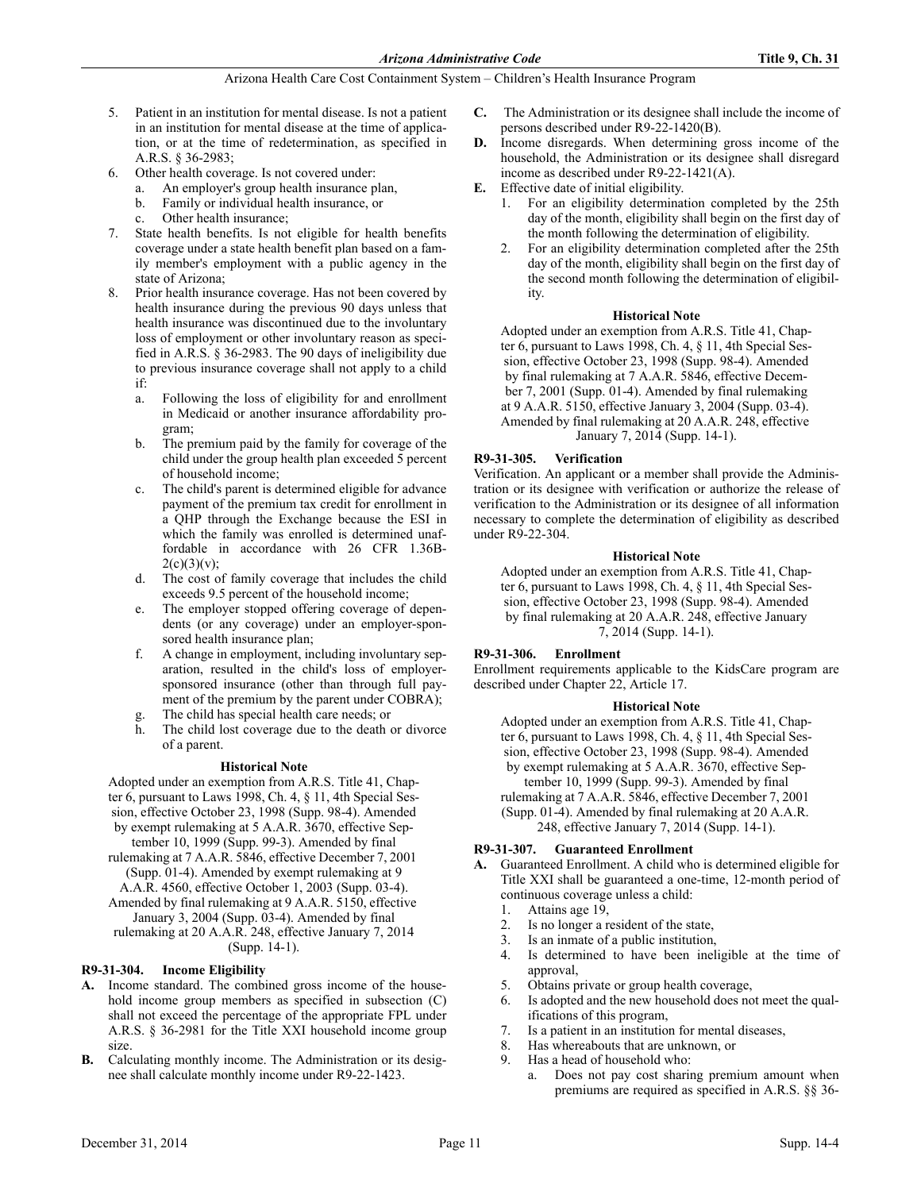- 5. Patient in an institution for mental disease. Is not a patient in an institution for mental disease at the time of application, or at the time of redetermination, as specified in A.R.S. § 36-2983;
- 6. Other health coverage. Is not covered under:
	- An employer's group health insurance plan,
	- b. Family or individual health insurance, or
	- Other health insurance;
- State health benefits. Is not eligible for health benefits coverage under a state health benefit plan based on a family member's employment with a public agency in the state of Arizona;
- 8. Prior health insurance coverage. Has not been covered by health insurance during the previous 90 days unless that health insurance was discontinued due to the involuntary loss of employment or other involuntary reason as specified in A.R.S. § 36-2983. The 90 days of ineligibility due to previous insurance coverage shall not apply to a child if:
	- a. Following the loss of eligibility for and enrollment in Medicaid or another insurance affordability program;
	- b. The premium paid by the family for coverage of the child under the group health plan exceeded 5 percent of household income;
	- c. The child's parent is determined eligible for advance payment of the premium tax credit for enrollment in a QHP through the Exchange because the ESI in which the family was enrolled is determined unaffordable in accordance with 26 CFR 1.36B- $2(c)(3)(v);$
	- d. The cost of family coverage that includes the child exceeds 9.5 percent of the household income;
	- e. The employer stopped offering coverage of dependents (or any coverage) under an employer-sponsored health insurance plan;
	- f. A change in employment, including involuntary separation, resulted in the child's loss of employersponsored insurance (other than through full payment of the premium by the parent under COBRA);
	- The child has special health care needs; or
	- h. The child lost coverage due to the death or divorce of a parent.

# **Historical Note**

Adopted under an exemption from A.R.S. Title 41, Chapter 6, pursuant to Laws 1998, Ch. 4, § 11, 4th Special Session, effective October 23, 1998 (Supp. 98-4). Amended by exempt rulemaking at 5 A.A.R. 3670, effective September 10, 1999 (Supp. 99-3). Amended by final

- rulemaking at 7 A.A.R. 5846, effective December 7, 2001 (Supp. 01-4). Amended by exempt rulemaking at 9
- A.A.R. 4560, effective October 1, 2003 (Supp. 03-4). Amended by final rulemaking at 9 A.A.R. 5150, effective January 3, 2004 (Supp. 03-4). Amended by final
- rulemaking at 20 A.A.R. 248, effective January 7, 2014 (Supp. 14-1).

# **R9-31-304. Income Eligibility**

- **A.** Income standard. The combined gross income of the household income group members as specified in subsection (C) shall not exceed the percentage of the appropriate FPL under A.R.S. § 36-2981 for the Title XXI household income group size.
- **B.** Calculating monthly income. The Administration or its designee shall calculate monthly income under R9-22-1423.
- **C.** The Administration or its designee shall include the income of persons described under R9-22-1420(B).
- **D.** Income disregards. When determining gross income of the household, the Administration or its designee shall disregard income as described under R9-22-1421(A).
- **E.** Effective date of initial eligibility.
	- 1. For an eligibility determination completed by the 25th day of the month, eligibility shall begin on the first day of the month following the determination of eligibility.
	- 2. For an eligibility determination completed after the 25th day of the month, eligibility shall begin on the first day of the second month following the determination of eligibility.

# **Historical Note**

Adopted under an exemption from A.R.S. Title 41, Chapter 6, pursuant to Laws 1998, Ch. 4, § 11, 4th Special Session, effective October 23, 1998 (Supp. 98-4). Amended by final rulemaking at 7 A.A.R. 5846, effective December 7, 2001 (Supp. 01-4). Amended by final rulemaking at 9 A.A.R. 5150, effective January 3, 2004 (Supp. 03-4). Amended by final rulemaking at 20 A.A.R. 248, effective January 7, 2014 (Supp. 14-1).

# **R9-31-305. Verification**

Verification. An applicant or a member shall provide the Administration or its designee with verification or authorize the release of verification to the Administration or its designee of all information necessary to complete the determination of eligibility as described under R9-22-304.

# **Historical Note**

Adopted under an exemption from A.R.S. Title 41, Chapter 6, pursuant to Laws 1998, Ch. 4, § 11, 4th Special Session, effective October 23, 1998 (Supp. 98-4). Amended by final rulemaking at 20 A.A.R. 248, effective January 7, 2014 (Supp. 14-1).

# **R9-31-306. Enrollment**

Enrollment requirements applicable to the KidsCare program are described under Chapter 22, Article 17.

# **Historical Note**

Adopted under an exemption from A.R.S. Title 41, Chapter 6, pursuant to Laws 1998, Ch. 4, § 11, 4th Special Session, effective October 23, 1998 (Supp. 98-4). Amended by exempt rulemaking at 5 A.A.R. 3670, effective September 10, 1999 (Supp. 99-3). Amended by final rulemaking at 7 A.A.R. 5846, effective December 7, 2001 (Supp. 01-4). Amended by final rulemaking at 20 A.A.R. 248, effective January 7, 2014 (Supp. 14-1).

# **R9-31-307. Guaranteed Enrollment**

- **A.** Guaranteed Enrollment. A child who is determined eligible for Title XXI shall be guaranteed a one-time, 12-month period of continuous coverage unless a child:
	- 1. Attains age 19,
	- 2. Is no longer a resident of the state,
	- 3. Is an inmate of a public institution,
	- 4. Is determined to have been ineligible at the time of approval,
	- 5. Obtains private or group health coverage,
	- 6. Is adopted and the new household does not meet the qualifications of this program,
	- 7. Is a patient in an institution for mental diseases,
	- 8. Has whereabouts that are unknown, or
	- 9. Has a head of household who:
		- a. Does not pay cost sharing premium amount when premiums are required as specified in A.R.S. §§ 36-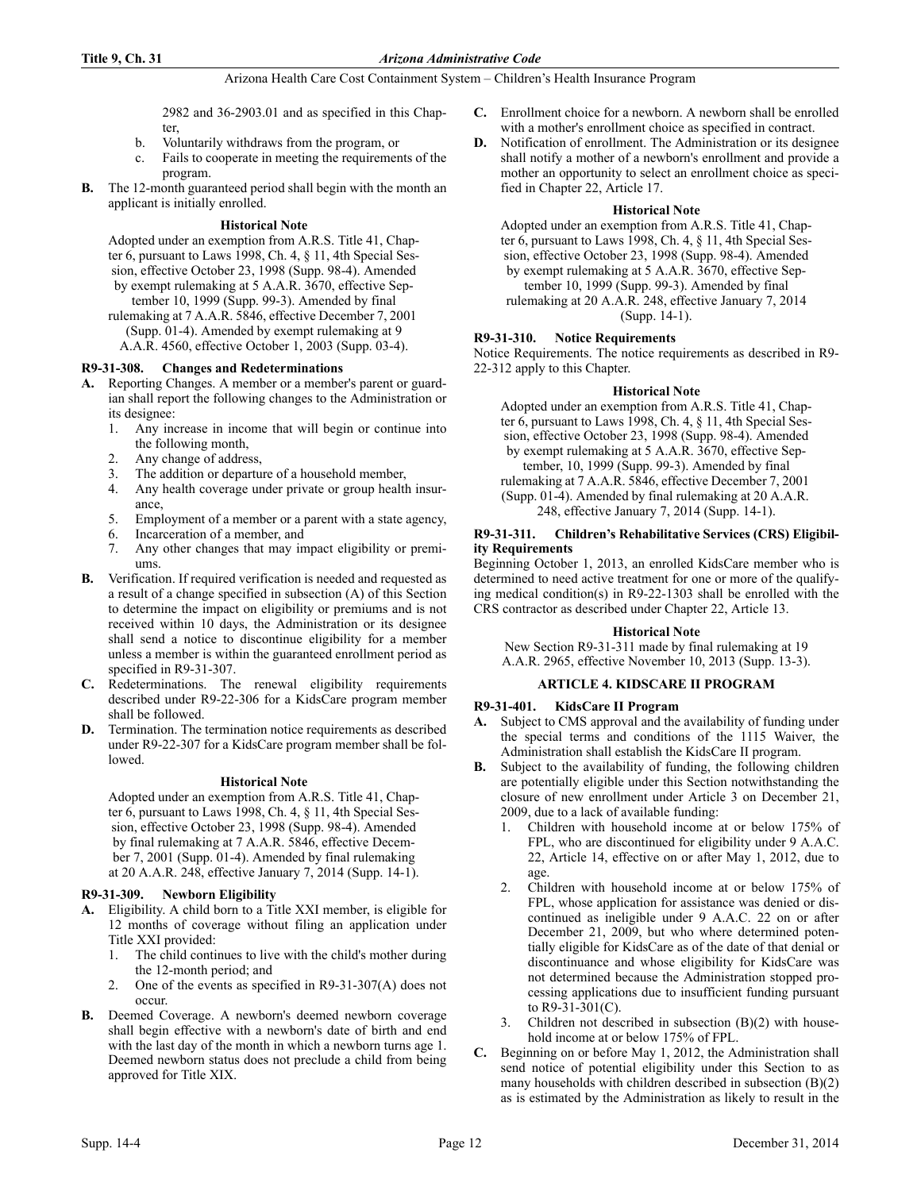2982 and 36-2903.01 and as specified in this Chapter,

- b. Voluntarily withdraws from the program, or
- c. Fails to cooperate in meeting the requirements of the program.
- **B.** The 12-month guaranteed period shall begin with the month an applicant is initially enrolled.

# **Historical Note**

Adopted under an exemption from A.R.S. Title 41, Chapter 6, pursuant to Laws 1998, Ch. 4, § 11, 4th Special Session, effective October 23, 1998 (Supp. 98-4). Amended by exempt rulemaking at 5 A.A.R. 3670, effective September 10, 1999 (Supp. 99-3). Amended by final

- rulemaking at 7 A.A.R. 5846, effective December 7, 2001 (Supp. 01-4). Amended by exempt rulemaking at 9
	- A.A.R. 4560, effective October 1, 2003 (Supp. 03-4).

# **R9-31-308. Changes and Redeterminations**

- **A.** Reporting Changes. A member or a member's parent or guardian shall report the following changes to the Administration or its designee:
	- 1. Any increase in income that will begin or continue into the following month,
	- 2. Any change of address,
	- 3. The addition or departure of a household member,
	- 4. Any health coverage under private or group health insurance,
	- 5. Employment of a member or a parent with a state agency,
	- 6. Incarceration of a member, and
	- 7. Any other changes that may impact eligibility or premiums.
- **B.** Verification. If required verification is needed and requested as a result of a change specified in subsection (A) of this Section to determine the impact on eligibility or premiums and is not received within 10 days, the Administration or its designee shall send a notice to discontinue eligibility for a member unless a member is within the guaranteed enrollment period as specified in R9-31-307.
- **C.** Redeterminations. The renewal eligibility requirements described under R9-22-306 for a KidsCare program member shall be followed.
- **D.** Termination. The termination notice requirements as described under R9-22-307 for a KidsCare program member shall be followed.

# **Historical Note**

Adopted under an exemption from A.R.S. Title 41, Chapter 6, pursuant to Laws 1998, Ch. 4, § 11, 4th Special Session, effective October 23, 1998 (Supp. 98-4). Amended by final rulemaking at 7 A.A.R. 5846, effective December 7, 2001 (Supp. 01-4). Amended by final rulemaking at 20 A.A.R. 248, effective January 7, 2014 (Supp. 14-1).

# **R9-31-309. Newborn Eligibility**

- **A.** Eligibility. A child born to a Title XXI member, is eligible for 12 months of coverage without filing an application under Title XXI provided:
	- 1. The child continues to live with the child's mother during the 12-month period; and
	- 2. One of the events as specified in R9-31-307(A) does not occur.
- **B.** Deemed Coverage. A newborn's deemed newborn coverage shall begin effective with a newborn's date of birth and end with the last day of the month in which a newborn turns age 1. Deemed newborn status does not preclude a child from being approved for Title XIX.
- **C.** Enrollment choice for a newborn. A newborn shall be enrolled with a mother's enrollment choice as specified in contract.
- **D.** Notification of enrollment. The Administration or its designee shall notify a mother of a newborn's enrollment and provide a mother an opportunity to select an enrollment choice as specified in Chapter 22, Article 17.

# **Historical Note**

Adopted under an exemption from A.R.S. Title 41, Chapter 6, pursuant to Laws 1998, Ch. 4, § 11, 4th Special Session, effective October 23, 1998 (Supp. 98-4). Amended by exempt rulemaking at 5 A.A.R. 3670, effective September 10, 1999 (Supp. 99-3). Amended by final rulemaking at 20 A.A.R. 248, effective January 7, 2014 (Supp. 14-1).

# **R9-31-310. Notice Requirements**

Notice Requirements. The notice requirements as described in R9- 22-312 apply to this Chapter.

# **Historical Note**

Adopted under an exemption from A.R.S. Title 41, Chapter 6, pursuant to Laws 1998, Ch. 4, § 11, 4th Special Session, effective October 23, 1998 (Supp. 98-4). Amended by exempt rulemaking at 5 A.A.R. 3670, effective September, 10, 1999 (Supp. 99-3). Amended by final rulemaking at 7 A.A.R. 5846, effective December 7, 2001 (Supp. 01-4). Amended by final rulemaking at 20 A.A.R. 248, effective January 7, 2014 (Supp. 14-1).

# **R9-31-311. Children's Rehabilitative Services (CRS) Eligibility Requirements**

Beginning October 1, 2013, an enrolled KidsCare member who is determined to need active treatment for one or more of the qualifying medical condition(s) in R9-22-1303 shall be enrolled with the CRS contractor as described under Chapter 22, Article 13.

# **Historical Note**

New Section R9-31-311 made by final rulemaking at 19 A.A.R. 2965, effective November 10, 2013 (Supp. 13-3).

# **ARTICLE 4. KIDSCARE II PROGRAM**

# **R9-31-401. KidsCare II Program**

- **A.** Subject to CMS approval and the availability of funding under the special terms and conditions of the 1115 Waiver, the Administration shall establish the KidsCare II program.
- **B.** Subject to the availability of funding, the following children are potentially eligible under this Section notwithstanding the closure of new enrollment under Article 3 on December 21, 2009, due to a lack of available funding:
	- 1. Children with household income at or below 175% of FPL, who are discontinued for eligibility under 9 A.A.C. 22, Article 14, effective on or after May 1, 2012, due to age.
	- 2. Children with household income at or below 175% of FPL, whose application for assistance was denied or discontinued as ineligible under 9 A.A.C. 22 on or after December 21, 2009, but who where determined potentially eligible for KidsCare as of the date of that denial or discontinuance and whose eligibility for KidsCare was not determined because the Administration stopped processing applications due to insufficient funding pursuant to R9-31-301(C).
	- Children not described in subsection  $(B)(2)$  with household income at or below 175% of FPL.
- **C.** Beginning on or before May 1, 2012, the Administration shall send notice of potential eligibility under this Section to as many households with children described in subsection (B)(2) as is estimated by the Administration as likely to result in the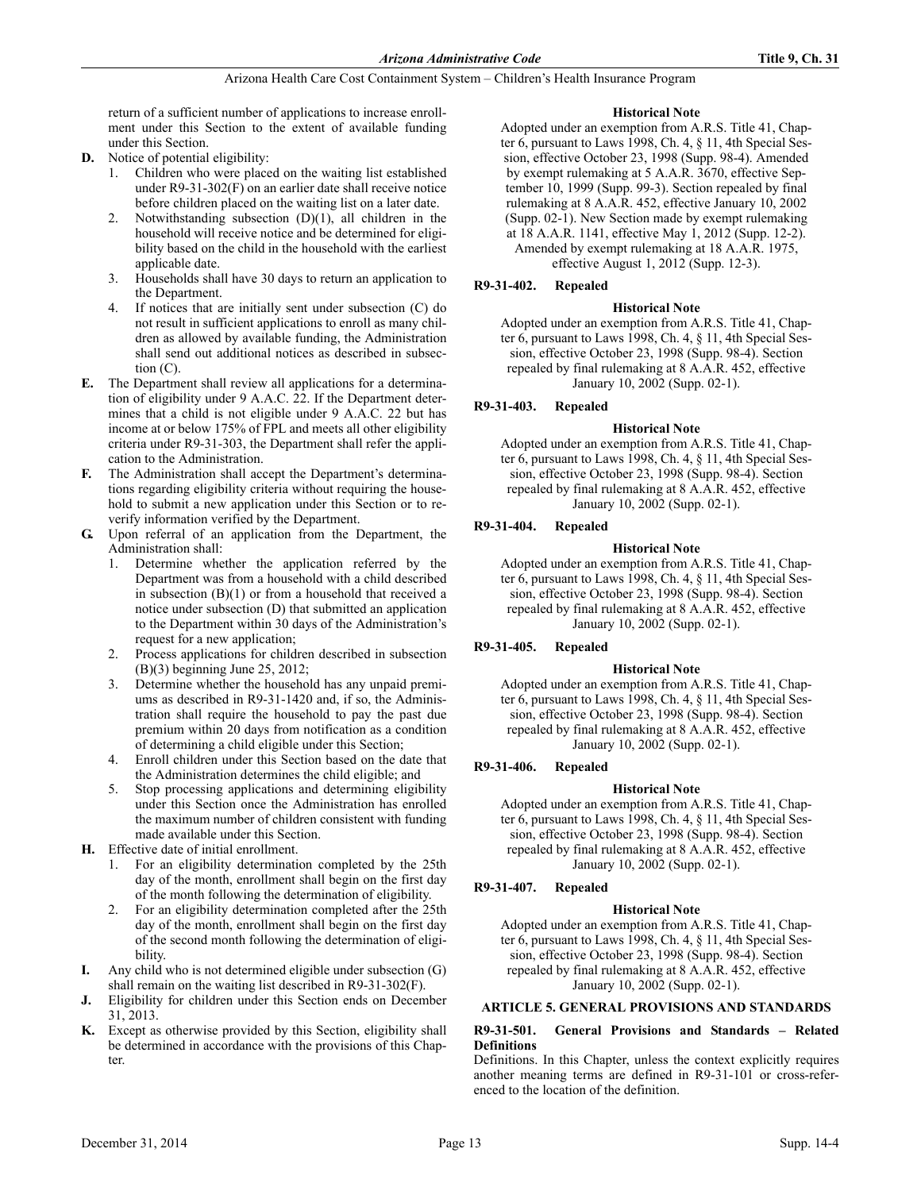return of a sufficient number of applications to increase enrollment under this Section to the extent of available funding under this Section.

- **D.** Notice of potential eligibility:
	- 1. Children who were placed on the waiting list established under R9-31-302(F) on an earlier date shall receive notice before children placed on the waiting list on a later date.
	- Notwithstanding subsection  $(D)(1)$ , all children in the household will receive notice and be determined for eligibility based on the child in the household with the earliest applicable date.
	- 3. Households shall have 30 days to return an application to the Department.
	- 4. If notices that are initially sent under subsection (C) do not result in sufficient applications to enroll as many children as allowed by available funding, the Administration shall send out additional notices as described in subsection (C).
- **E.** The Department shall review all applications for a determination of eligibility under 9 A.A.C. 22. If the Department determines that a child is not eligible under 9 A.A.C. 22 but has income at or below 175% of FPL and meets all other eligibility criteria under R9-31-303, the Department shall refer the application to the Administration.
- **F.** The Administration shall accept the Department's determinations regarding eligibility criteria without requiring the household to submit a new application under this Section or to reverify information verified by the Department.
- **G.** Upon referral of an application from the Department, the Administration shall:
	- 1. Determine whether the application referred by the Department was from a household with a child described in subsection  $(B)(1)$  or from a household that received a notice under subsection (D) that submitted an application to the Department within 30 days of the Administration's request for a new application;
	- 2. Process applications for children described in subsection (B)(3) beginning June 25, 2012;
	- 3. Determine whether the household has any unpaid premiums as described in R9-31-1420 and, if so, the Administration shall require the household to pay the past due premium within 20 days from notification as a condition of determining a child eligible under this Section;
	- 4. Enroll children under this Section based on the date that the Administration determines the child eligible; and
	- 5. Stop processing applications and determining eligibility under this Section once the Administration has enrolled the maximum number of children consistent with funding made available under this Section.
- **H.** Effective date of initial enrollment.
	- 1. For an eligibility determination completed by the 25th day of the month, enrollment shall begin on the first day of the month following the determination of eligibility.
	- 2. For an eligibility determination completed after the 25th day of the month, enrollment shall begin on the first day of the second month following the determination of eligibility.
- **I.** Any child who is not determined eligible under subsection (G) shall remain on the waiting list described in R9-31-302(F).
- **J.** Eligibility for children under this Section ends on December 31, 2013.
- **K.** Except as otherwise provided by this Section, eligibility shall be determined in accordance with the provisions of this Chapter.

# **Historical Note**

Adopted under an exemption from A.R.S. Title 41, Chapter 6, pursuant to Laws 1998, Ch. 4, § 11, 4th Special Session, effective October 23, 1998 (Supp. 98-4). Amended by exempt rulemaking at 5 A.A.R. 3670, effective September 10, 1999 (Supp. 99-3). Section repealed by final rulemaking at 8 A.A.R. 452, effective January 10, 2002 (Supp. 02-1). New Section made by exempt rulemaking at 18 A.A.R. 1141, effective May 1, 2012 (Supp. 12-2). Amended by exempt rulemaking at 18 A.A.R. 1975, effective August 1, 2012 (Supp. 12-3).

# **R9-31-402. Repealed**

# **Historical Note**

Adopted under an exemption from A.R.S. Title 41, Chapter 6, pursuant to Laws 1998, Ch. 4, § 11, 4th Special Session, effective October 23, 1998 (Supp. 98-4). Section repealed by final rulemaking at 8 A.A.R. 452, effective January 10, 2002 (Supp. 02-1).

# **R9-31-403. Repealed**

# **Historical Note**

Adopted under an exemption from A.R.S. Title 41, Chapter 6, pursuant to Laws 1998, Ch. 4, § 11, 4th Special Session, effective October 23, 1998 (Supp. 98-4). Section repealed by final rulemaking at 8 A.A.R. 452, effective January 10, 2002 (Supp. 02-1).

# **R9-31-404. Repealed**

# **Historical Note**

Adopted under an exemption from A.R.S. Title 41, Chapter 6, pursuant to Laws 1998, Ch. 4, § 11, 4th Special Session, effective October 23, 1998 (Supp. 98-4). Section repealed by final rulemaking at 8 A.A.R. 452, effective January 10, 2002 (Supp. 02-1).

# **R9-31-405. Repealed**

# **Historical Note**

Adopted under an exemption from A.R.S. Title 41, Chapter  $6$ , pursuant to Laws 1998, Ch. 4, § 11, 4th Special Session, effective October 23, 1998 (Supp. 98-4). Section repealed by final rulemaking at 8 A.A.R. 452, effective January 10, 2002 (Supp. 02-1).

# **R9-31-406. Repealed**

# **Historical Note**

Adopted under an exemption from A.R.S. Title 41, Chapter 6, pursuant to Laws 1998, Ch. 4, § 11, 4th Special Session, effective October 23, 1998 (Supp. 98-4). Section repealed by final rulemaking at 8 A.A.R. 452, effective January 10, 2002 (Supp. 02-1).

# **R9-31-407. Repealed**

# **Historical Note**

Adopted under an exemption from A.R.S. Title 41, Chapter 6, pursuant to Laws 1998, Ch. 4, § 11, 4th Special Session, effective October 23, 1998 (Supp. 98-4). Section repealed by final rulemaking at 8 A.A.R. 452, effective January 10, 2002 (Supp. 02-1).

# **ARTICLE 5. GENERAL PROVISIONS AND STANDARDS**

# **R9-31-501. General Provisions and Standards – Related Definitions**

Definitions. In this Chapter, unless the context explicitly requires another meaning terms are defined in R9-31-101 or cross-referenced to the location of the definition.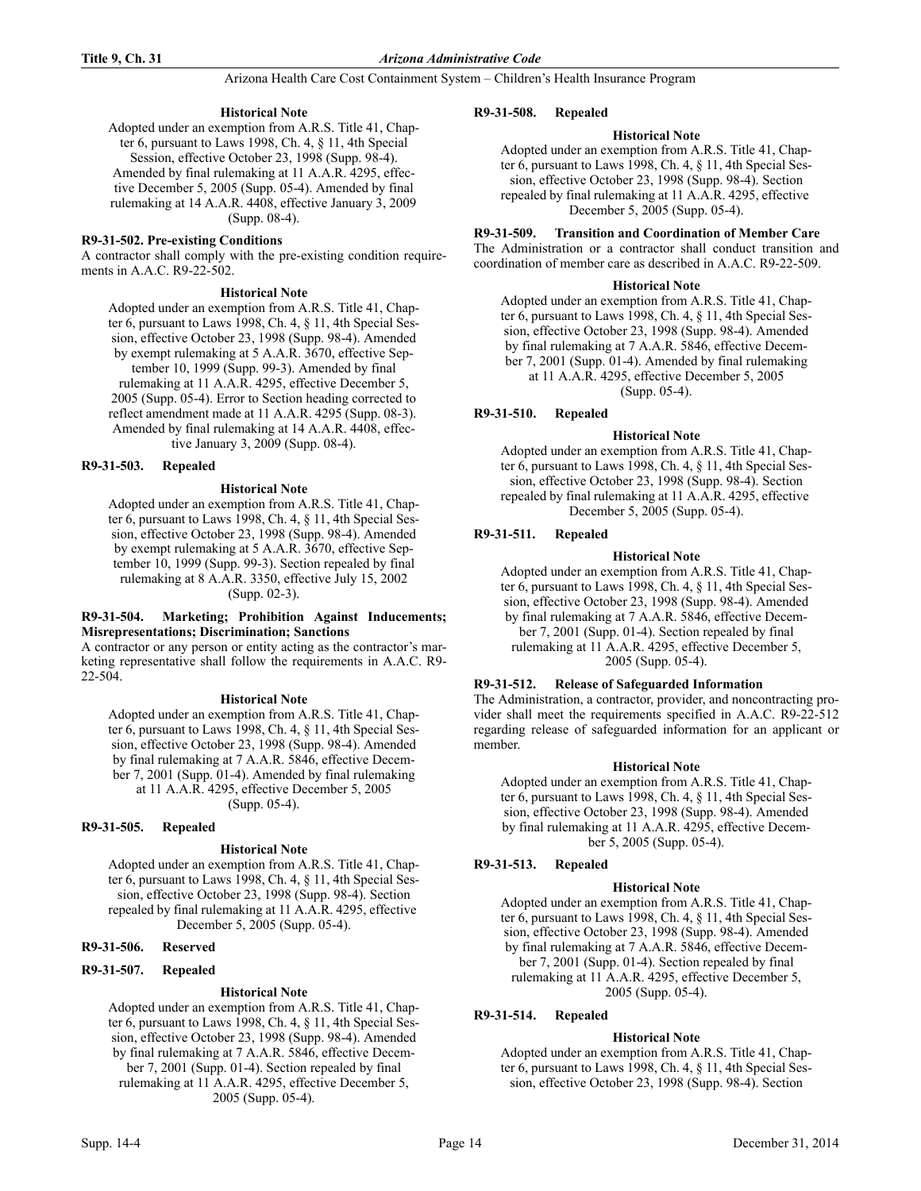# **Historical Note**

Adopted under an exemption from A.R.S. Title 41, Chapter 6, pursuant to Laws 1998, Ch. 4, § 11, 4th Special Session, effective October 23, 1998 (Supp. 98-4). Amended by final rulemaking at 11 A.A.R. 4295, effective December 5, 2005 (Supp. 05-4). Amended by final rulemaking at 14 A.A.R. 4408, effective January 3, 2009 (Supp. 08-4).

# **R9-31-502. Pre-existing Conditions**

A contractor shall comply with the pre-existing condition requirements in A.A.C. R9-22-502.

# **Historical Note**

Adopted under an exemption from A.R.S. Title 41, Chapter 6, pursuant to Laws 1998, Ch. 4, § 11, 4th Special Session, effective October 23, 1998 (Supp. 98-4). Amended by exempt rulemaking at 5 A.A.R. 3670, effective September 10, 1999 (Supp. 99-3). Amended by final rulemaking at 11 A.A.R. 4295, effective December 5, 2005 (Supp. 05-4). Error to Section heading corrected to reflect amendment made at 11 A.A.R. 4295 (Supp. 08-3). Amended by final rulemaking at 14 A.A.R. 4408, effective January 3, 2009 (Supp. 08-4).

# **R9-31-503. Repealed**

#### **Historical Note**

Adopted under an exemption from A.R.S. Title 41, Chapter 6, pursuant to Laws 1998, Ch. 4, § 11, 4th Special Session, effective October 23, 1998 (Supp. 98-4). Amended by exempt rulemaking at 5 A.A.R. 3670, effective September 10, 1999 (Supp. 99-3). Section repealed by final rulemaking at 8 A.A.R. 3350, effective July 15, 2002 (Supp. 02-3).

#### **R9-31-504. Marketing; Prohibition Against Inducements; Misrepresentations; Discrimination; Sanctions**

A contractor or any person or entity acting as the contractor's marketing representative shall follow the requirements in A.A.C. R9- 22-504.

# **Historical Note**

Adopted under an exemption from A.R.S. Title 41, Chapter 6, pursuant to Laws 1998, Ch. 4, § 11, 4th Special Session, effective October 23, 1998 (Supp. 98-4). Amended by final rulemaking at 7 A.A.R. 5846, effective December 7, 2001 (Supp. 01-4). Amended by final rulemaking at 11 A.A.R. 4295, effective December 5, 2005 (Supp. 05-4).

# **R9-31-505. Repealed**

# **Historical Note**

Adopted under an exemption from A.R.S. Title 41, Chapter 6, pursuant to Laws 1998, Ch. 4, § 11, 4th Special Session, effective October 23, 1998 (Supp. 98-4). Section repealed by final rulemaking at 11 A.A.R. 4295, effective December 5, 2005 (Supp. 05-4).

# **R9-31-506. Reserved**

#### **R9-31-507. Repealed**

# **Historical Note**

Adopted under an exemption from A.R.S. Title 41, Chapter 6, pursuant to Laws 1998, Ch. 4, § 11, 4th Special Session, effective October 23, 1998 (Supp. 98-4). Amended by final rulemaking at 7 A.A.R. 5846, effective December 7, 2001 (Supp. 01-4). Section repealed by final rulemaking at 11 A.A.R. 4295, effective December 5, 2005 (Supp. 05-4).

#### **R9-31-508. Repealed**

### **Historical Note**

Adopted under an exemption from A.R.S. Title 41, Chapter 6, pursuant to Laws 1998, Ch. 4, § 11, 4th Special Session, effective October 23, 1998 (Supp. 98-4). Section repealed by final rulemaking at 11 A.A.R. 4295, effective December 5, 2005 (Supp. 05-4).

**R9-31-509. Transition and Coordination of Member Care** The Administration or a contractor shall conduct transition and coordination of member care as described in A.A.C. R9-22-509.

#### **Historical Note**

Adopted under an exemption from A.R.S. Title 41, Chapter 6, pursuant to Laws 1998, Ch. 4, § 11, 4th Special Session, effective October 23, 1998 (Supp. 98-4). Amended by final rulemaking at 7 A.A.R. 5846, effective December 7, 2001 (Supp. 01-4). Amended by final rulemaking at 11 A.A.R. 4295, effective December 5, 2005 (Supp. 05-4).

**R9-31-510. Repealed**

#### **Historical Note**

Adopted under an exemption from A.R.S. Title 41, Chapter 6, pursuant to Laws 1998, Ch. 4, § 11, 4th Special Session, effective October 23, 1998 (Supp. 98-4). Section repealed by final rulemaking at 11 A.A.R. 4295, effective December 5, 2005 (Supp. 05-4).

# **R9-31-511. Repealed**

# **Historical Note**

Adopted under an exemption from A.R.S. Title 41, Chapter 6, pursuant to Laws 1998, Ch. 4, § 11, 4th Special Session, effective October 23, 1998 (Supp. 98-4). Amended by final rulemaking at 7 A.A.R. 5846, effective December 7, 2001 (Supp. 01-4). Section repealed by final rulemaking at 11 A.A.R. 4295, effective December 5, 2005 (Supp. 05-4).

# **R9-31-512. Release of Safeguarded Information**

The Administration, a contractor, provider, and noncontracting provider shall meet the requirements specified in A.A.C. R9-22-512 regarding release of safeguarded information for an applicant or member.

#### **Historical Note**

Adopted under an exemption from A.R.S. Title 41, Chapter 6, pursuant to Laws 1998, Ch. 4, § 11, 4th Special Session, effective October 23, 1998 (Supp. 98-4). Amended by final rulemaking at 11 A.A.R. 4295, effective December 5, 2005 (Supp. 05-4).

# **R9-31-513. Repealed**

# **Historical Note**

Adopted under an exemption from A.R.S. Title 41, Chapter 6, pursuant to Laws 1998, Ch. 4, § 11, 4th Special Session, effective October 23, 1998 (Supp. 98-4). Amended by final rulemaking at 7 A.A.R. 5846, effective December 7, 2001 (Supp. 01-4). Section repealed by final rulemaking at 11 A.A.R. 4295, effective December 5, 2005 (Supp. 05-4).

# **R9-31-514. Repealed**

# **Historical Note**

Adopted under an exemption from A.R.S. Title 41, Chapter 6, pursuant to Laws 1998, Ch. 4, § 11, 4th Special Session, effective October 23, 1998 (Supp. 98-4). Section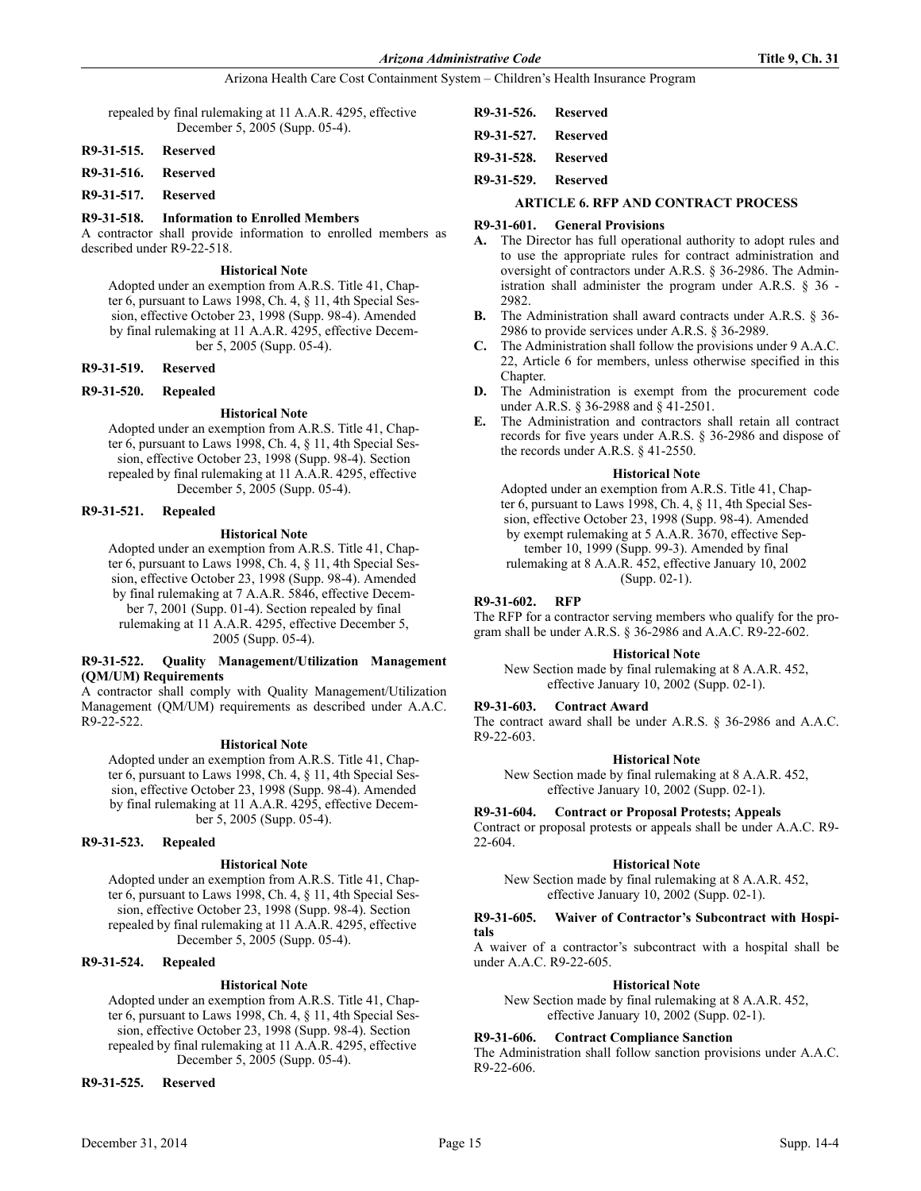repealed by final rulemaking at 11 A.A.R. 4295, effective December 5, 2005 (Supp. 05-4).

# **R9-31-515. Reserved**

#### **R9-31-516. Reserved**

# **R9-31-517. Reserved**

#### **R9-31-518. Information to Enrolled Members**

A contractor shall provide information to enrolled members as described under R9-22-518.

# **Historical Note**

Adopted under an exemption from A.R.S. Title 41, Chapter 6, pursuant to Laws 1998, Ch. 4, § 11, 4th Special Session, effective October 23, 1998 (Supp. 98-4). Amended by final rulemaking at 11 A.A.R. 4295, effective December 5, 2005 (Supp. 05-4).

#### **R9-31-519. Reserved**

#### **R9-31-520. Repealed**

#### **Historical Note**

Adopted under an exemption from A.R.S. Title 41, Chapter 6, pursuant to Laws 1998, Ch. 4, § 11, 4th Special Session, effective October 23, 1998 (Supp. 98-4). Section repealed by final rulemaking at 11 A.A.R. 4295, effective December 5, 2005 (Supp. 05-4).

#### **R9-31-521. Repealed**

#### **Historical Note**

Adopted under an exemption from A.R.S. Title 41, Chapter 6, pursuant to Laws 1998, Ch. 4, § 11, 4th Special Session, effective October 23, 1998 (Supp. 98-4). Amended by final rulemaking at 7 A.A.R. 5846, effective December 7, 2001 (Supp. 01-4). Section repealed by final rulemaking at 11 A.A.R. 4295, effective December 5, 2005 (Supp. 05-4).

# **R9-31-522. Quality Management/Utilization Management (QM/UM) Requirements**

A contractor shall comply with Quality Management/Utilization Management (QM/UM) requirements as described under A.A.C. R9-22-522.

#### **Historical Note**

Adopted under an exemption from A.R.S. Title 41, Chapter 6, pursuant to Laws 1998, Ch. 4, § 11, 4th Special Session, effective October 23, 1998 (Supp. 98-4). Amended by final rulemaking at 11 A.A.R. 4295, effective December 5, 2005 (Supp. 05-4).

# **R9-31-523. Repealed**

#### **Historical Note**

Adopted under an exemption from A.R.S. Title 41, Chapter 6, pursuant to Laws 1998, Ch. 4, § 11, 4th Special Session, effective October 23, 1998 (Supp. 98-4). Section repealed by final rulemaking at 11 A.A.R. 4295, effective December 5, 2005 (Supp. 05-4).

# **R9-31-524. Repealed**

# **Historical Note**

Adopted under an exemption from A.R.S. Title 41, Chapter 6, pursuant to Laws 1998, Ch. 4, § 11, 4th Special Session, effective October 23, 1998 (Supp. 98-4). Section repealed by final rulemaking at 11 A.A.R. 4295, effective December 5, 2005 (Supp. 05-4).

**R9-31-525. Reserved**

| R9-31-526. Reserved |  |
|---------------------|--|
| R9-31-527. Reserved |  |
| R9-31-528. Reserved |  |
| R9-31-529. Reserved |  |

#### **ARTICLE 6. RFP AND CONTRACT PROCESS**

# **R9-31-601. General Provisions**

- **A.** The Director has full operational authority to adopt rules and to use the appropriate rules for contract administration and oversight of contractors under A.R.S. § 36-2986. The Administration shall administer the program under A.R.S. § 36 - 2982.
- **B.** The Administration shall award contracts under A.R.S. § 36- 2986 to provide services under A.R.S. § 36-2989.
- **C.** The Administration shall follow the provisions under 9 A.A.C. 22, Article 6 for members, unless otherwise specified in this Chapter.
- **D.** The Administration is exempt from the procurement code under A.R.S. § 36-2988 and § 41-2501.
- **E.** The Administration and contractors shall retain all contract records for five years under A.R.S. § 36-2986 and dispose of the records under A.R.S. § 41-2550.

#### **Historical Note**

Adopted under an exemption from A.R.S. Title 41, Chapter 6, pursuant to Laws 1998, Ch. 4, § 11, 4th Special Session, effective October 23, 1998 (Supp. 98-4). Amended by exempt rulemaking at 5 A.A.R. 3670, effective September 10, 1999 (Supp. 99-3). Amended by final rulemaking at 8 A.A.R. 452, effective January 10, 2002 (Supp. 02-1).

#### **R9-31-602. RFP**

The RFP for a contractor serving members who qualify for the program shall be under A.R.S. § 36-2986 and A.A.C. R9-22-602.

#### **Historical Note**

New Section made by final rulemaking at 8 A.A.R. 452, effective January 10, 2002 (Supp. 02-1).

#### **R9-31-603. Contract Award**

The contract award shall be under A.R.S. § 36-2986 and A.A.C. R9-22-603.

#### **Historical Note**

New Section made by final rulemaking at 8 A.A.R. 452, effective January 10, 2002 (Supp. 02-1).

#### **R9-31-604. Contract or Proposal Protests; Appeals**

Contract or proposal protests or appeals shall be under A.A.C. R9- 22-604.

# **Historical Note**

New Section made by final rulemaking at 8 A.A.R. 452, effective January 10, 2002 (Supp. 02-1).

#### **R9-31-605. Waiver of Contractor's Subcontract with Hospitals**

A waiver of a contractor's subcontract with a hospital shall be under A.A.C. R9-22-605.

#### **Historical Note**

New Section made by final rulemaking at 8 A.A.R. 452, effective January 10, 2002 (Supp. 02-1).

#### **R9-31-606. Contract Compliance Sanction**

The Administration shall follow sanction provisions under A.A.C. R9-22-606.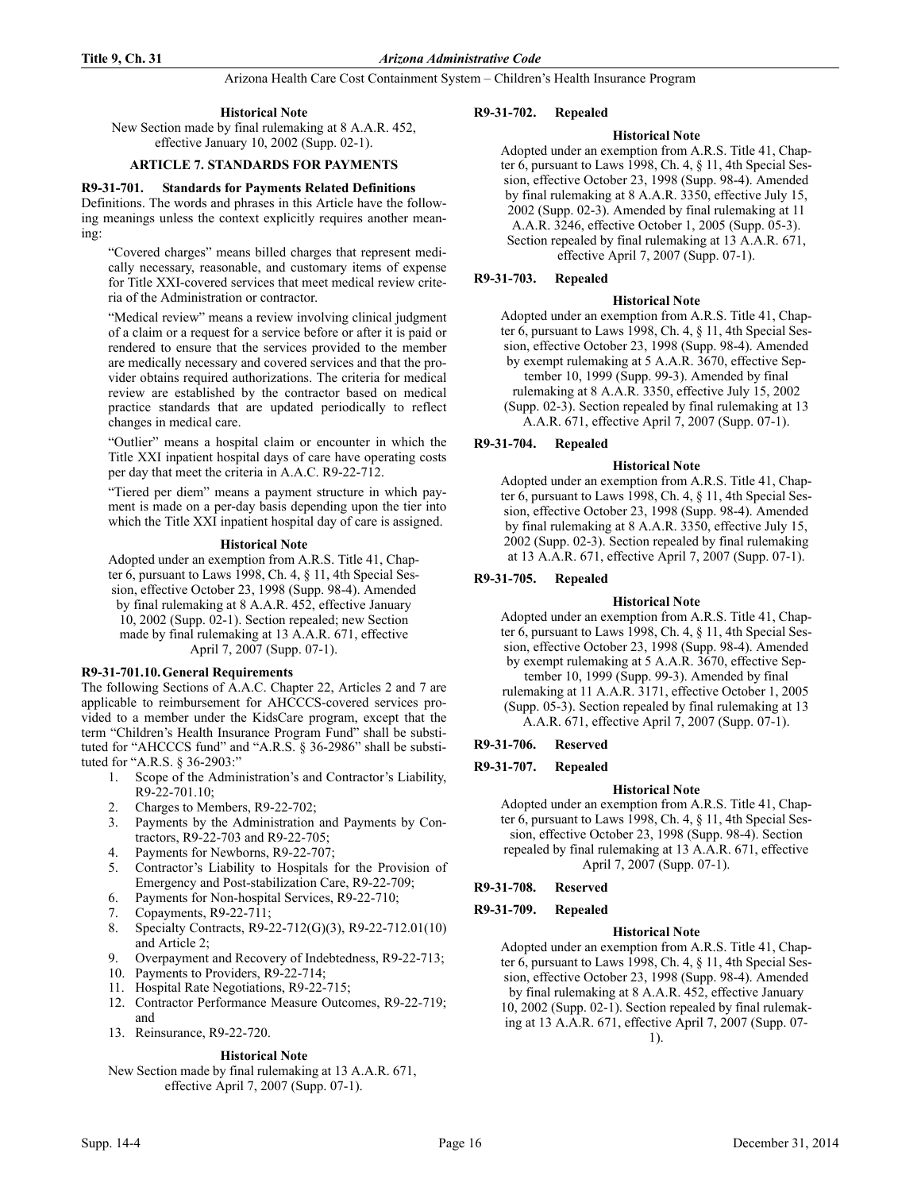# **Historical Note**

New Section made by final rulemaking at 8 A.A.R. 452, effective January 10, 2002 (Supp. 02-1).

# **ARTICLE 7. STANDARDS FOR PAYMENTS**

#### **R9-31-701. Standards for Payments Related Definitions**

Definitions. The words and phrases in this Article have the following meanings unless the context explicitly requires another meaning:

"Covered charges" means billed charges that represent medically necessary, reasonable, and customary items of expense for Title XXI-covered services that meet medical review criteria of the Administration or contractor.

"Medical review" means a review involving clinical judgment of a claim or a request for a service before or after it is paid or rendered to ensure that the services provided to the member are medically necessary and covered services and that the provider obtains required authorizations. The criteria for medical review are established by the contractor based on medical practice standards that are updated periodically to reflect changes in medical care.

"Outlier" means a hospital claim or encounter in which the Title XXI inpatient hospital days of care have operating costs per day that meet the criteria in A.A.C. R9-22-712.

"Tiered per diem" means a payment structure in which payment is made on a per-day basis depending upon the tier into which the Title XXI inpatient hospital day of care is assigned.

#### **Historical Note**

Adopted under an exemption from A.R.S. Title 41, Chapter 6, pursuant to Laws 1998, Ch. 4, § 11, 4th Special Session, effective October 23, 1998 (Supp. 98-4). Amended by final rulemaking at 8 A.A.R. 452, effective January 10, 2002 (Supp. 02-1). Section repealed; new Section made by final rulemaking at 13 A.A.R. 671, effective April 7, 2007 (Supp. 07-1).

# **R9-31-701.10.General Requirements**

The following Sections of A.A.C. Chapter 22, Articles 2 and 7 are applicable to reimbursement for AHCCCS-covered services provided to a member under the KidsCare program, except that the term "Children's Health Insurance Program Fund" shall be substituted for "AHCCCS fund" and "A.R.S. § 36-2986" shall be substituted for "A.R.S. § 36-2903:"

- 1. Scope of the Administration's and Contractor's Liability, R9-22-701.10;
- 2. Charges to Members, R9-22-702;
- 3. Payments by the Administration and Payments by Contractors, R9-22-703 and R9-22-705;
- 4. Payments for Newborns, R9-22-707;
- 5. Contractor's Liability to Hospitals for the Provision of Emergency and Post-stabilization Care, R9-22-709;
- 6. Payments for Non-hospital Services, R9-22-710;
- 7. Copayments, R9-22-711;
- 8. Specialty Contracts, R9-22-712(G)(3), R9-22-712.01(10) and Article 2;
- 9. Overpayment and Recovery of Indebtedness, R9-22-713;
- 10. Payments to Providers, R9-22-714;
- 11. Hospital Rate Negotiations, R9-22-715;
- 12. Contractor Performance Measure Outcomes, R9-22-719; and
- 13. Reinsurance, R9-22-720.

# **Historical Note**

New Section made by final rulemaking at 13 A.A.R. 671, effective April 7, 2007 (Supp. 07-1).

# **R9-31-702. Repealed**

# **Historical Note**

Adopted under an exemption from A.R.S. Title 41, Chapter 6, pursuant to Laws 1998, Ch. 4, § 11, 4th Special Session, effective October 23, 1998 (Supp. 98-4). Amended by final rulemaking at 8 A.A.R. 3350, effective July 15, 2002 (Supp. 02-3). Amended by final rulemaking at 11 A.A.R. 3246, effective October 1, 2005 (Supp. 05-3). Section repealed by final rulemaking at 13 A.A.R. 671, effective April 7, 2007 (Supp. 07-1).

# **R9-31-703. Repealed**

# **Historical Note**

Adopted under an exemption from A.R.S. Title 41, Chapter 6, pursuant to Laws 1998, Ch. 4, § 11, 4th Special Session, effective October 23, 1998 (Supp. 98-4). Amended by exempt rulemaking at 5 A.A.R. 3670, effective September 10, 1999 (Supp. 99-3). Amended by final rulemaking at 8 A.A.R. 3350, effective July 15, 2002 (Supp. 02-3). Section repealed by final rulemaking at 13 A.A.R. 671, effective April 7, 2007 (Supp. 07-1).

# **R9-31-704. Repealed**

# **Historical Note**

Adopted under an exemption from A.R.S. Title 41, Chapter 6, pursuant to Laws 1998, Ch. 4, § 11, 4th Special Session, effective October 23, 1998 (Supp. 98-4). Amended by final rulemaking at 8 A.A.R. 3350, effective July 15, 2002 (Supp. 02-3). Section repealed by final rulemaking at 13 A.A.R. 671, effective April 7, 2007 (Supp. 07-1).

# **R9-31-705. Repealed**

# **Historical Note**

Adopted under an exemption from A.R.S. Title 41, Chapter 6, pursuant to Laws 1998, Ch. 4, § 11, 4th Special Session, effective October 23, 1998 (Supp. 98-4). Amended by exempt rulemaking at 5 A.A.R. 3670, effective Sep-

tember 10, 1999 (Supp. 99-3). Amended by final rulemaking at 11 A.A.R. 3171, effective October 1, 2005 (Supp. 05-3). Section repealed by final rulemaking at 13 A.A.R. 671, effective April 7, 2007 (Supp. 07-1).

# **R9-31-706. Reserved**

# **R9-31-707. Repealed**

# **Historical Note**

Adopted under an exemption from A.R.S. Title 41, Chapter 6, pursuant to Laws 1998, Ch. 4, § 11, 4th Special Session, effective October 23, 1998 (Supp. 98-4). Section repealed by final rulemaking at 13 A.A.R. 671, effective April 7, 2007 (Supp. 07-1).

# **R9-31-708. Reserved**

# **R9-31-709. Repealed**

# **Historical Note**

Adopted under an exemption from A.R.S. Title 41, Chapter 6, pursuant to Laws 1998, Ch. 4, § 11, 4th Special Session, effective October 23, 1998 (Supp. 98-4). Amended by final rulemaking at 8 A.A.R. 452, effective January 10, 2002 (Supp. 02-1). Section repealed by final rulemaking at 13 A.A.R. 671, effective April 7, 2007 (Supp. 07- 1).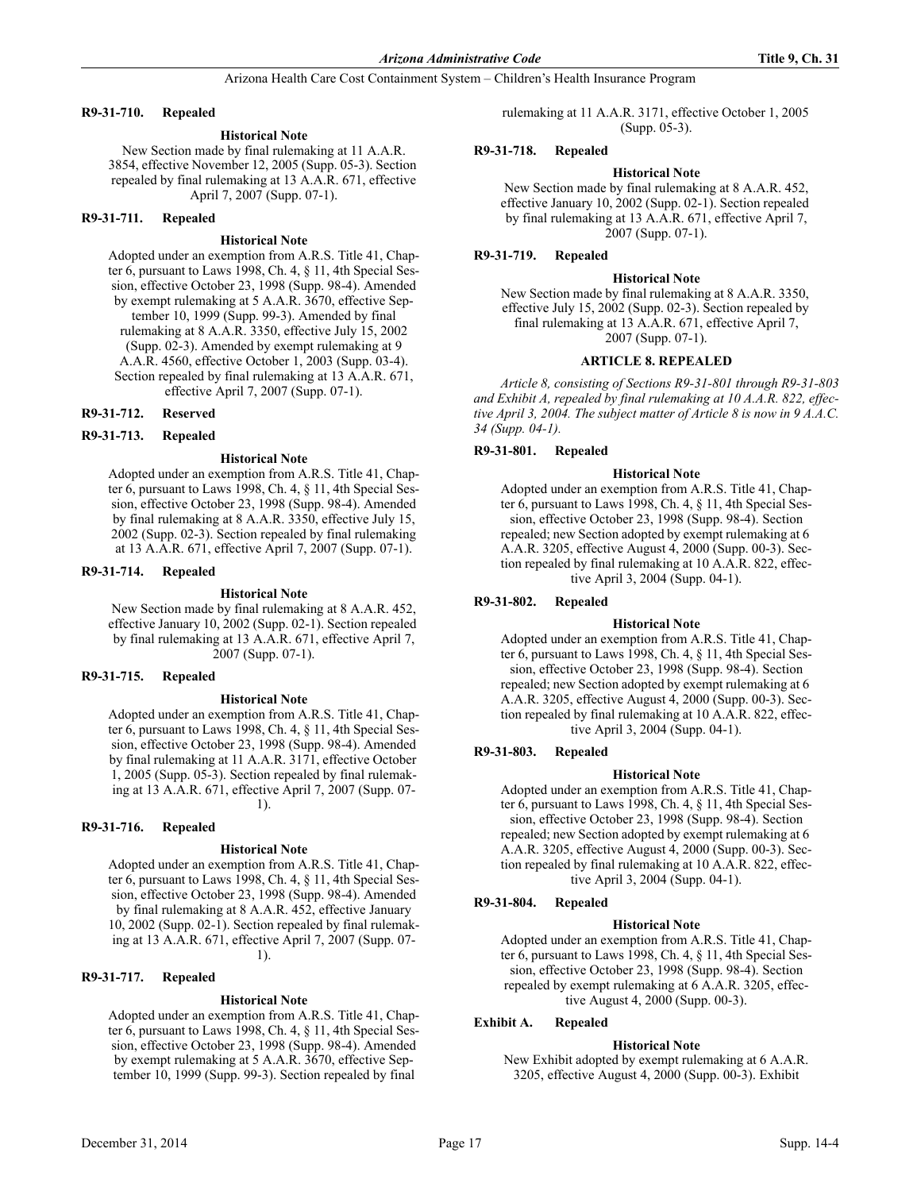# **R9-31-710. Repealed**

# **Historical Note**

New Section made by final rulemaking at 11 A.A.R. 3854, effective November 12, 2005 (Supp. 05-3). Section repealed by final rulemaking at 13 A.A.R. 671, effective April 7, 2007 (Supp. 07-1).

### **R9-31-711. Repealed**

#### **Historical Note**

Adopted under an exemption from A.R.S. Title 41, Chapter 6, pursuant to Laws 1998, Ch. 4, § 11, 4th Special Session, effective October 23, 1998 (Supp. 98-4). Amended by exempt rulemaking at 5 A.A.R. 3670, effective September 10, 1999 (Supp. 99-3). Amended by final rulemaking at 8 A.A.R. 3350, effective July 15, 2002 (Supp. 02-3). Amended by exempt rulemaking at 9 A.A.R. 4560, effective October 1, 2003 (Supp. 03-4). Section repealed by final rulemaking at 13 A.A.R. 671, effective April 7, 2007 (Supp. 07-1).

#### **R9-31-712. Reserved**

# **R9-31-713. Repealed**

#### **Historical Note**

Adopted under an exemption from A.R.S. Title 41, Chapter 6, pursuant to Laws 1998, Ch. 4, § 11, 4th Special Session, effective October 23, 1998 (Supp. 98-4). Amended by final rulemaking at 8 A.A.R. 3350, effective July 15, 2002 (Supp. 02-3). Section repealed by final rulemaking at 13 A.A.R. 671, effective April 7, 2007 (Supp. 07-1).

#### **R9-31-714. Repealed**

#### **Historical Note**

New Section made by final rulemaking at 8 A.A.R. 452, effective January 10, 2002 (Supp. 02-1). Section repealed by final rulemaking at 13 A.A.R. 671, effective April 7, 2007 (Supp. 07-1).

#### **R9-31-715. Repealed**

#### **Historical Note**

Adopted under an exemption from A.R.S. Title 41, Chapter 6, pursuant to Laws 1998, Ch. 4, § 11, 4th Special Session, effective October 23, 1998 (Supp. 98-4). Amended by final rulemaking at 11 A.A.R. 3171, effective October 1, 2005 (Supp. 05-3). Section repealed by final rulemaking at 13 A.A.R. 671, effective April 7, 2007 (Supp. 07-

1).

# **R9-31-716. Repealed**

#### **Historical Note**

Adopted under an exemption from A.R.S. Title 41, Chapter 6, pursuant to Laws 1998, Ch. 4, § 11, 4th Special Session, effective October 23, 1998 (Supp. 98-4). Amended by final rulemaking at 8 A.A.R. 452, effective January 10, 2002 (Supp. 02-1). Section repealed by final rulemaking at 13 A.A.R. 671, effective April 7, 2007 (Supp. 07- 1).

# **R9-31-717. Repealed**

# **Historical Note**

Adopted under an exemption from A.R.S. Title 41, Chapter 6, pursuant to Laws 1998, Ch. 4, § 11, 4th Special Session, effective October 23, 1998 (Supp. 98-4). Amended by exempt rulemaking at 5 A.A.R. 3670, effective September 10, 1999 (Supp. 99-3). Section repealed by final

rulemaking at 11 A.A.R. 3171, effective October 1, 2005 (Supp. 05-3).

### **R9-31-718. Repealed**

#### **Historical Note**

New Section made by final rulemaking at 8 A.A.R. 452, effective January 10, 2002 (Supp. 02-1). Section repealed by final rulemaking at 13 A.A.R. 671, effective April 7, 2007 (Supp. 07-1).

# **R9-31-719. Repealed**

#### **Historical Note**

New Section made by final rulemaking at 8 A.A.R. 3350, effective July 15, 2002 (Supp. 02-3). Section repealed by final rulemaking at 13 A.A.R. 671, effective April 7, 2007 (Supp. 07-1).

#### **ARTICLE 8. REPEALED**

*Article 8, consisting of Sections R9-31-801 through R9-31-803 and Exhibit A, repealed by final rulemaking at 10 A.A.R. 822, effective April 3, 2004. The subject matter of Article 8 is now in 9 A.A.C. 34 (Supp. 04-1).*

#### **R9-31-801. Repealed**

#### **Historical Note**

Adopted under an exemption from A.R.S. Title 41, Chapter 6, pursuant to Laws 1998, Ch. 4, § 11, 4th Special Session, effective October 23, 1998 (Supp. 98-4). Section repealed; new Section adopted by exempt rulemaking at 6 A.A.R. 3205, effective August 4, 2000 (Supp. 00-3). Section repealed by final rulemaking at 10 A.A.R. 822, effective April 3, 2004 (Supp. 04-1).

### **R9-31-802. Repealed**

#### **Historical Note**

Adopted under an exemption from A.R.S. Title 41, Chapter 6, pursuant to Laws 1998, Ch. 4, § 11, 4th Special Session, effective October 23, 1998 (Supp. 98-4). Section repealed; new Section adopted by exempt rulemaking at 6 A.A.R. 3205, effective August 4, 2000 (Supp. 00-3). Section repealed by final rulemaking at 10 A.A.R. 822, effective April 3, 2004 (Supp. 04-1).

# **R9-31-803. Repealed**

#### **Historical Note**

Adopted under an exemption from A.R.S. Title 41, Chapter 6, pursuant to Laws 1998, Ch. 4, § 11, 4th Special Session, effective October 23, 1998 (Supp. 98-4). Section repealed; new Section adopted by exempt rulemaking at 6 A.A.R. 3205, effective August 4, 2000 (Supp. 00-3). Section repealed by final rulemaking at 10 A.A.R. 822, effective April 3, 2004 (Supp. 04-1).

# **R9-31-804. Repealed**

#### **Historical Note**

Adopted under an exemption from A.R.S. Title 41, Chapter 6, pursuant to Laws 1998, Ch. 4, § 11, 4th Special Session, effective October 23, 1998 (Supp. 98-4). Section repealed by exempt rulemaking at 6 A.A.R. 3205, effective August 4, 2000 (Supp. 00-3).

# **Exhibit A. Repealed**

#### **Historical Note**

New Exhibit adopted by exempt rulemaking at 6 A.A.R. 3205, effective August 4, 2000 (Supp. 00-3). Exhibit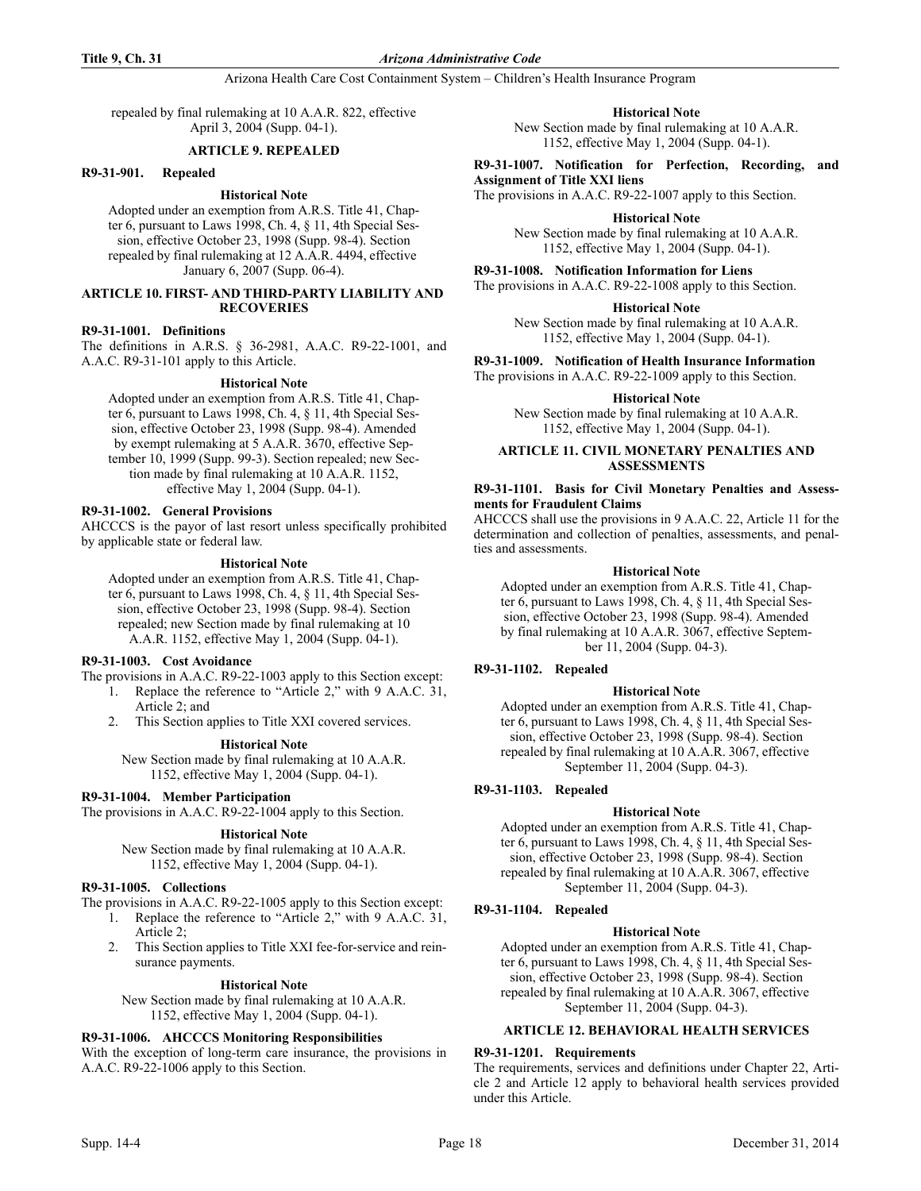#### **Title 9, Ch. 31** *Arizona Administrative Code*

### Arizona Health Care Cost Containment System – Children's Health Insurance Program

repealed by final rulemaking at 10 A.A.R. 822, effective April 3, 2004 (Supp. 04-1).

### **ARTICLE 9. REPEALED**

#### **R9-31-901. Repealed**

# **Historical Note**

Adopted under an exemption from A.R.S. Title 41, Chapter 6, pursuant to Laws 1998, Ch. 4, § 11, 4th Special Session, effective October 23, 1998 (Supp. 98-4). Section repealed by final rulemaking at 12 A.A.R. 4494, effective January 6, 2007 (Supp. 06-4).

#### **ARTICLE 10. FIRST- AND THIRD-PARTY LIABILITY AND RECOVERIES**

### **R9-31-1001. Definitions**

The definitions in A.R.S. § 36-2981, A.A.C. R9-22-1001, and A.A.C. R9-31-101 apply to this Article.

#### **Historical Note**

Adopted under an exemption from A.R.S. Title 41, Chapter 6, pursuant to Laws 1998, Ch. 4, § 11, 4th Special Session, effective October 23, 1998 (Supp. 98-4). Amended by exempt rulemaking at 5 A.A.R. 3670, effective September 10, 1999 (Supp. 99-3). Section repealed; new Section made by final rulemaking at 10 A.A.R. 1152, effective May 1, 2004 (Supp. 04-1).

### **R9-31-1002. General Provisions**

AHCCCS is the payor of last resort unless specifically prohibited by applicable state or federal law.

#### **Historical Note**

Adopted under an exemption from A.R.S. Title 41, Chapter 6, pursuant to Laws 1998, Ch. 4, § 11, 4th Special Session, effective October 23, 1998 (Supp. 98-4). Section repealed; new Section made by final rulemaking at 10 A.A.R. 1152, effective May 1, 2004 (Supp. 04-1).

#### **R9-31-1003. Cost Avoidance**

The provisions in A.A.C. R9-22-1003 apply to this Section except:

- 1. Replace the reference to "Article 2," with 9 A.A.C. 31, Article 2; and
- 2. This Section applies to Title XXI covered services.

#### **Historical Note**

New Section made by final rulemaking at 10 A.A.R. 1152, effective May 1, 2004 (Supp. 04-1).

#### **R9-31-1004. Member Participation**

The provisions in A.A.C. R9-22-1004 apply to this Section.

# **Historical Note**

New Section made by final rulemaking at 10 A.A.R. 1152, effective May 1, 2004 (Supp. 04-1).

#### **R9-31-1005. Collections**

The provisions in A.A.C. R9-22-1005 apply to this Section except:

- 1. Replace the reference to "Article 2," with 9 A.A.C. 31, Article 2;
- 2. This Section applies to Title XXI fee-for-service and reinsurance payments.

#### **Historical Note**

New Section made by final rulemaking at 10 A.A.R. 1152, effective May 1, 2004 (Supp. 04-1).

# **R9-31-1006. AHCCCS Monitoring Responsibilities**

With the exception of long-term care insurance, the provisions in A.A.C. R9-22-1006 apply to this Section.

**Historical Note**

New Section made by final rulemaking at 10 A.A.R. 1152, effective May 1, 2004 (Supp. 04-1).

**R9-31-1007. Notification for Perfection, Recording, and Assignment of Title XXI liens**

The provisions in A.A.C. R9-22-1007 apply to this Section.

**Historical Note**

New Section made by final rulemaking at 10 A.A.R. 1152, effective May 1, 2004 (Supp. 04-1).

**R9-31-1008. Notification Information for Liens**

The provisions in A.A.C. R9-22-1008 apply to this Section.

**Historical Note** New Section made by final rulemaking at 10 A.A.R.

1152, effective May 1, 2004 (Supp. 04-1).

**R9-31-1009. Notification of Health Insurance Information**

The provisions in A.A.C. R9-22-1009 apply to this Section.

**Historical Note**

New Section made by final rulemaking at 10 A.A.R. 1152, effective May 1, 2004 (Supp. 04-1).

#### **ARTICLE 11. CIVIL MONETARY PENALTIES AND ASSESSMENTS**

### **R9-31-1101. Basis for Civil Monetary Penalties and Assessments for Fraudulent Claims**

AHCCCS shall use the provisions in 9 A.A.C. 22, Article 11 for the determination and collection of penalties, assessments, and penalties and assessments.

#### **Historical Note**

Adopted under an exemption from A.R.S. Title 41, Chapter 6, pursuant to Laws 1998, Ch. 4, § 11, 4th Special Session, effective October 23, 1998 (Supp. 98-4). Amended by final rulemaking at 10 A.A.R. 3067, effective September 11, 2004 (Supp. 04-3).

# **R9-31-1102. Repealed**

# **Historical Note**

Adopted under an exemption from A.R.S. Title 41, Chapter 6, pursuant to Laws 1998, Ch. 4, § 11, 4th Special Session, effective October 23, 1998 (Supp. 98-4). Section repealed by final rulemaking at 10 A.A.R. 3067, effective September 11, 2004 (Supp. 04-3).

#### **R9-31-1103. Repealed**

#### **Historical Note**

Adopted under an exemption from A.R.S. Title 41, Chapter 6, pursuant to Laws 1998, Ch. 4, § 11, 4th Special Session, effective October 23, 1998 (Supp. 98-4). Section repealed by final rulemaking at 10 A.A.R. 3067, effective September 11, 2004 (Supp. 04-3).

### **R9-31-1104. Repealed**

### **Historical Note**

Adopted under an exemption from A.R.S. Title 41, Chapter 6, pursuant to Laws 1998, Ch. 4, § 11, 4th Special Session, effective October 23, 1998 (Supp. 98-4). Section repealed by final rulemaking at 10 A.A.R. 3067, effective September 11, 2004 (Supp. 04-3).

#### **ARTICLE 12. BEHAVIORAL HEALTH SERVICES**

#### **R9-31-1201. Requirements**

The requirements, services and definitions under Chapter 22, Article 2 and Article 12 apply to behavioral health services provided under this Article.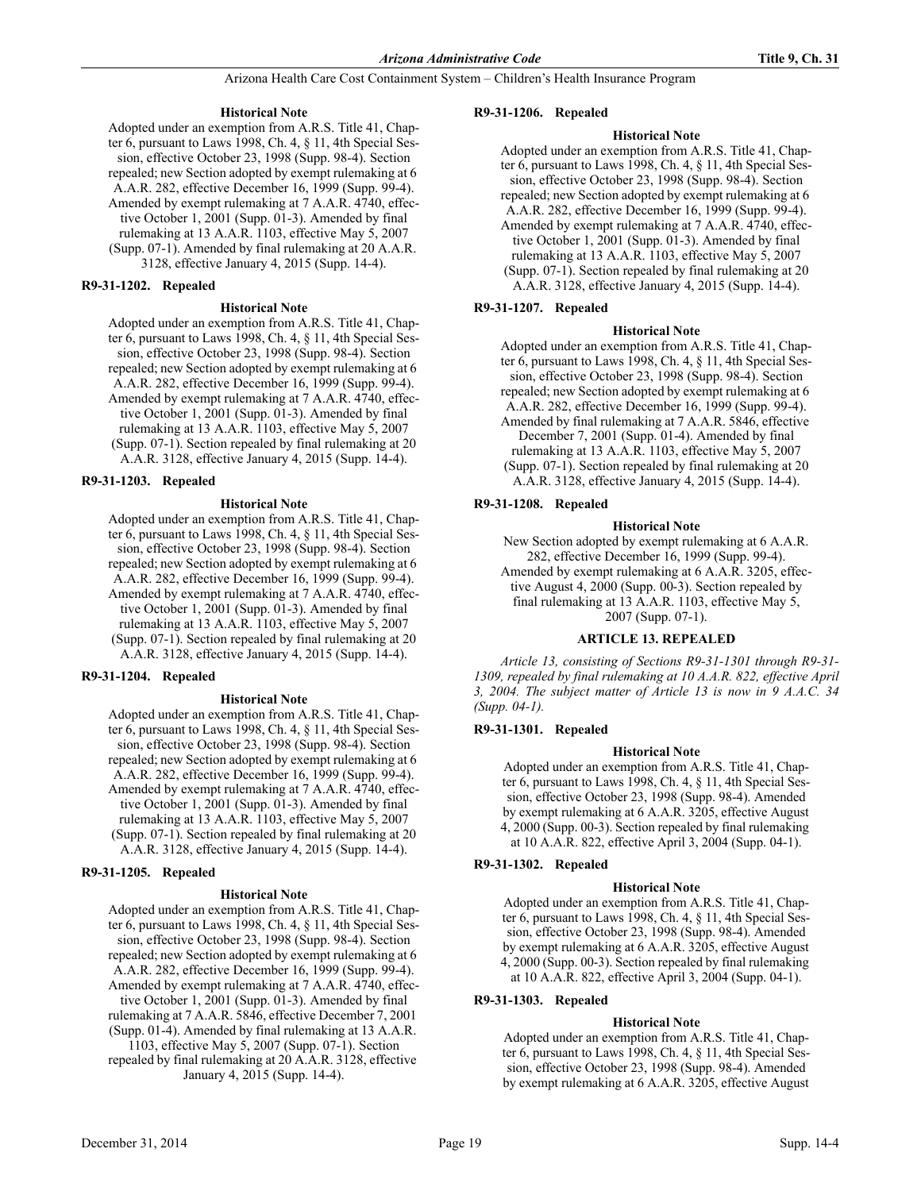# **Historical Note**

Adopted under an exemption from A.R.S. Title 41, Chapter 6, pursuant to Laws 1998, Ch. 4, § 11, 4th Special Session, effective October 23, 1998 (Supp. 98-4). Section repealed; new Section adopted by exempt rulemaking at 6 A.A.R. 282, effective December 16, 1999 (Supp. 99-4). Amended by exempt rulemaking at 7 A.A.R. 4740, effective October 1, 2001 (Supp. 01-3). Amended by final rulemaking at 13 A.A.R. 1103, effective May 5, 2007 (Supp. 07-1). Amended by final rulemaking at 20 A.A.R. 3128, effective January 4, 2015 (Supp. 14-4).

# **R9-31-1202. Repealed**

# **Historical Note**

Adopted under an exemption from A.R.S. Title 41, Chapter 6, pursuant to Laws 1998, Ch. 4, § 11, 4th Special Session, effective October 23, 1998 (Supp. 98-4). Section repealed; new Section adopted by exempt rulemaking at 6 A.A.R. 282, effective December 16, 1999 (Supp. 99-4). Amended by exempt rulemaking at 7 A.A.R. 4740, effective October 1, 2001 (Supp. 01-3). Amended by final rulemaking at 13 A.A.R. 1103, effective May 5, 2007 (Supp. 07-1). Section repealed by final rulemaking at 20 A.A.R. 3128, effective January 4, 2015 (Supp. 14-4).

# **R9-31-1203. Repealed**

# **Historical Note**

Adopted under an exemption from A.R.S. Title 41, Chapter 6, pursuant to Laws 1998, Ch. 4, § 11, 4th Special Session, effective October 23, 1998 (Supp. 98-4). Section repealed; new Section adopted by exempt rulemaking at 6 A.A.R. 282, effective December 16, 1999 (Supp. 99-4). Amended by exempt rulemaking at 7 A.A.R. 4740, effective October 1, 2001 (Supp. 01-3). Amended by final rulemaking at 13 A.A.R. 1103, effective May 5, 2007 (Supp. 07-1). Section repealed by final rulemaking at 20 A.A.R. 3128, effective January 4, 2015 (Supp. 14-4).

# **R9-31-1204. Repealed**

# **Historical Note**

Adopted under an exemption from A.R.S. Title 41, Chapter 6, pursuant to Laws 1998, Ch. 4, § 11, 4th Special Session, effective October 23, 1998 (Supp. 98-4). Section repealed; new Section adopted by exempt rulemaking at 6 A.A.R. 282, effective December 16, 1999 (Supp. 99-4). Amended by exempt rulemaking at 7 A.A.R. 4740, effective October 1, 2001 (Supp. 01-3). Amended by final rulemaking at 13 A.A.R. 1103, effective May 5, 2007 (Supp. 07-1). Section repealed by final rulemaking at 20 A.A.R. 3128, effective January 4, 2015 (Supp. 14-4).

# **R9-31-1205. Repealed**

# **Historical Note**

Adopted under an exemption from A.R.S. Title 41, Chapter 6, pursuant to Laws 1998, Ch. 4, § 11, 4th Special Session, effective October 23, 1998 (Supp. 98-4). Section repealed; new Section adopted by exempt rulemaking at 6 A.A.R. 282, effective December 16, 1999 (Supp. 99-4). Amended by exempt rulemaking at 7 A.A.R. 4740, effective October 1, 2001 (Supp. 01-3). Amended by final rulemaking at 7 A.A.R. 5846, effective December 7, 2001 (Supp. 01-4). Amended by final rulemaking at 13 A.A.R. 1103, effective May 5, 2007 (Supp. 07-1). Section

repealed by final rulemaking at 20 A.A.R. 3128, effective January 4, 2015 (Supp. 14-4).

# **R9-31-1206. Repealed**

# **Historical Note**

Adopted under an exemption from A.R.S. Title 41, Chapter 6, pursuant to Laws 1998, Ch. 4, § 11, 4th Special Session, effective October 23, 1998 (Supp. 98-4). Section repealed; new Section adopted by exempt rulemaking at 6 A.A.R. 282, effective December 16, 1999 (Supp. 99-4). Amended by exempt rulemaking at 7 A.A.R. 4740, effective October 1, 2001 (Supp. 01-3). Amended by final rulemaking at 13 A.A.R. 1103, effective May 5, 2007 (Supp. 07-1). Section repealed by final rulemaking at 20 A.A.R. 3128, effective January 4, 2015 (Supp. 14-4).

# **R9-31-1207. Repealed**

# **Historical Note**

Adopted under an exemption from A.R.S. Title 41, Chapter 6, pursuant to Laws 1998, Ch. 4, § 11, 4th Special Session, effective October 23, 1998 (Supp. 98-4). Section repealed; new Section adopted by exempt rulemaking at 6 A.A.R. 282, effective December 16, 1999 (Supp. 99-4). Amended by final rulemaking at 7 A.A.R. 5846, effective December 7, 2001 (Supp. 01-4). Amended by final rulemaking at 13 A.A.R. 1103, effective May 5, 2007 (Supp. 07-1). Section repealed by final rulemaking at 20 A.A.R. 3128, effective January 4, 2015 (Supp. 14-4).

# **R9-31-1208. Repealed**

#### **Historical Note**

New Section adopted by exempt rulemaking at 6 A.A.R. 282, effective December 16, 1999 (Supp. 99-4). Amended by exempt rulemaking at 6 A.A.R. 3205, effective August 4, 2000 (Supp. 00-3). Section repealed by final rulemaking at 13 A.A.R. 1103, effective May 5, 2007 (Supp. 07-1).

# **ARTICLE 13. REPEALED**

*Article 13, consisting of Sections R9-31-1301 through R9-31- 1309, repealed by final rulemaking at 10 A.A.R. 822, effective April 3, 2004. The subject matter of Article 13 is now in 9 A.A.C. 34 (Supp. 04-1).*

# **R9-31-1301. Repealed**

# **Historical Note**

Adopted under an exemption from A.R.S. Title 41, Chapter 6, pursuant to Laws 1998, Ch. 4, § 11, 4th Special Session, effective October 23, 1998 (Supp. 98-4). Amended by exempt rulemaking at 6 A.A.R. 3205, effective August 4, 2000 (Supp. 00-3). Section repealed by final rulemaking at 10 A.A.R. 822, effective April 3, 2004 (Supp. 04-1).

# **R9-31-1302. Repealed**

# **Historical Note**

Adopted under an exemption from A.R.S. Title 41, Chapter 6, pursuant to Laws 1998, Ch. 4, § 11, 4th Special Session, effective October 23, 1998 (Supp. 98-4). Amended by exempt rulemaking at 6 A.A.R. 3205, effective August 4, 2000 (Supp. 00-3). Section repealed by final rulemaking at 10 A.A.R. 822, effective April 3, 2004 (Supp. 04-1).

# **R9-31-1303. Repealed**

# **Historical Note**

Adopted under an exemption from A.R.S. Title 41, Chapter 6, pursuant to Laws 1998, Ch. 4, § 11, 4th Special Session, effective October 23, 1998 (Supp. 98-4). Amended by exempt rulemaking at 6 A.A.R. 3205, effective August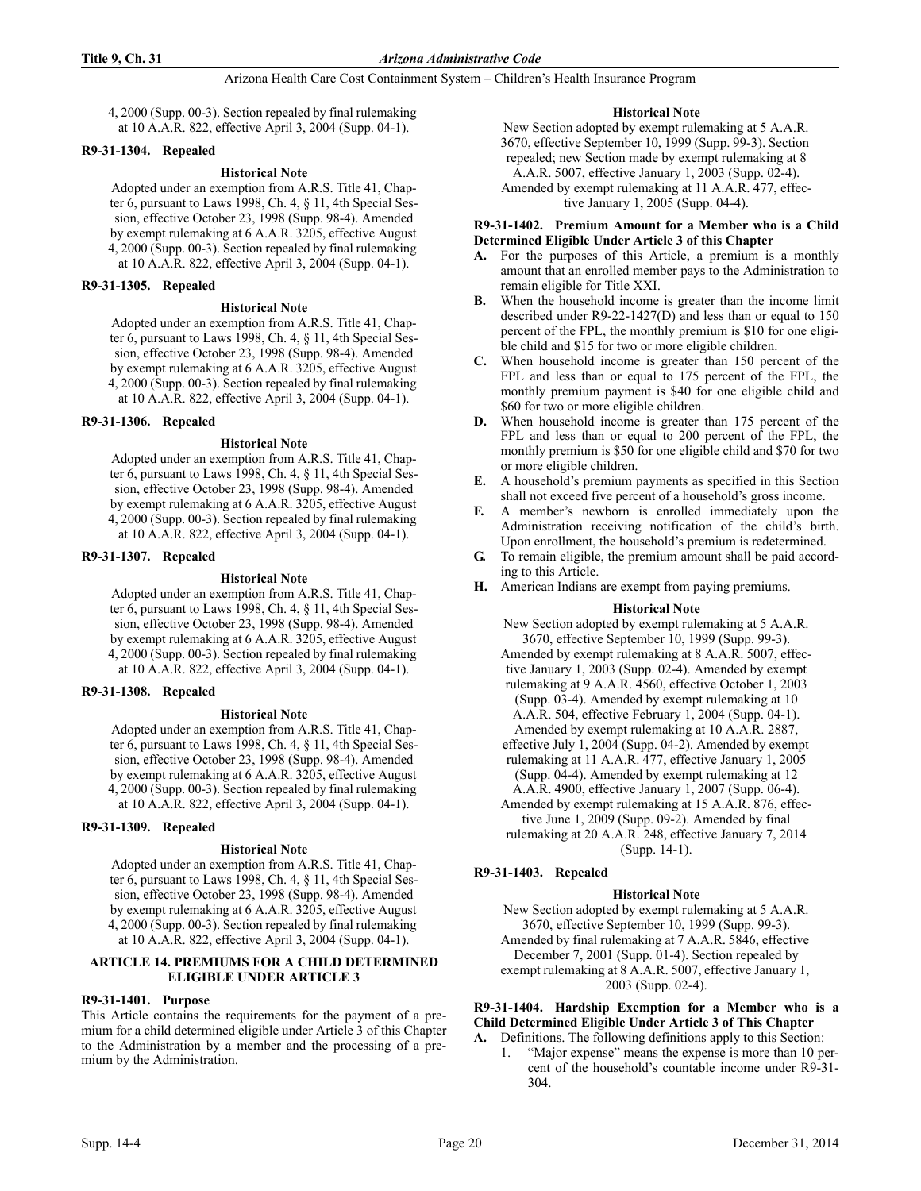4, 2000 (Supp. 00-3). Section repealed by final rulemaking at 10 A.A.R. 822, effective April 3, 2004 (Supp. 04-1).

# **R9-31-1304. Repealed**

# **Historical Note**

Adopted under an exemption from A.R.S. Title 41, Chapter 6, pursuant to Laws 1998, Ch. 4, § 11, 4th Special Session, effective October 23, 1998 (Supp. 98-4). Amended by exempt rulemaking at 6 A.A.R. 3205, effective August 4, 2000 (Supp. 00-3). Section repealed by final rulemaking at 10 A.A.R. 822, effective April 3, 2004 (Supp. 04-1).

# **R9-31-1305. Repealed**

#### **Historical Note**

Adopted under an exemption from A.R.S. Title 41, Chapter 6, pursuant to Laws 1998, Ch. 4, § 11, 4th Special Session, effective October 23, 1998 (Supp. 98-4). Amended by exempt rulemaking at 6 A.A.R. 3205, effective August 4, 2000 (Supp. 00-3). Section repealed by final rulemaking at 10 A.A.R. 822, effective April 3, 2004 (Supp. 04-1).

#### **R9-31-1306. Repealed**

#### **Historical Note**

Adopted under an exemption from A.R.S. Title 41, Chapter 6, pursuant to Laws 1998, Ch. 4, § 11, 4th Special Session, effective October 23, 1998 (Supp. 98-4). Amended by exempt rulemaking at 6 A.A.R. 3205, effective August 4, 2000 (Supp. 00-3). Section repealed by final rulemaking at 10 A.A.R. 822, effective April 3, 2004 (Supp. 04-1).

#### **R9-31-1307. Repealed**

#### **Historical Note**

Adopted under an exemption from A.R.S. Title 41, Chapter 6, pursuant to Laws 1998, Ch. 4, § 11, 4th Special Session, effective October 23, 1998 (Supp. 98-4). Amended by exempt rulemaking at 6 A.A.R. 3205, effective August 4, 2000 (Supp. 00-3). Section repealed by final rulemaking at 10 A.A.R. 822, effective April 3, 2004 (Supp. 04-1).

# **R9-31-1308. Repealed**

#### **Historical Note**

Adopted under an exemption from A.R.S. Title 41, Chapter 6, pursuant to Laws 1998, Ch. 4, § 11, 4th Special Session, effective October 23, 1998 (Supp. 98-4). Amended by exempt rulemaking at 6 A.A.R. 3205, effective August 4, 2000 (Supp. 00-3). Section repealed by final rulemaking at 10 A.A.R. 822, effective April 3, 2004 (Supp. 04-1).

# **R9-31-1309. Repealed**

# **Historical Note**

Adopted under an exemption from A.R.S. Title 41, Chapter 6, pursuant to Laws 1998, Ch. 4, § 11, 4th Special Session, effective October 23, 1998 (Supp. 98-4). Amended by exempt rulemaking at 6 A.A.R. 3205, effective August 4, 2000 (Supp. 00-3). Section repealed by final rulemaking at 10 A.A.R. 822, effective April 3, 2004 (Supp. 04-1).

# **ARTICLE 14. PREMIUMS FOR A CHILD DETERMINED ELIGIBLE UNDER ARTICLE 3**

# **R9-31-1401. Purpose**

This Article contains the requirements for the payment of a premium for a child determined eligible under Article 3 of this Chapter to the Administration by a member and the processing of a premium by the Administration.

# **Historical Note**

New Section adopted by exempt rulemaking at 5 A.A.R. 3670, effective September 10, 1999 (Supp. 99-3). Section repealed; new Section made by exempt rulemaking at 8 A.A.R. 5007, effective January 1, 2003 (Supp. 02-4). Amended by exempt rulemaking at 11 A.A.R. 477, effective January 1, 2005 (Supp. 04-4).

#### **R9-31-1402. Premium Amount for a Member who is a Child Determined Eligible Under Article 3 of this Chapter**

- **A.** For the purposes of this Article, a premium is a monthly amount that an enrolled member pays to the Administration to remain eligible for Title XXI.
- **B.** When the household income is greater than the income limit described under R9-22-1427(D) and less than or equal to 150 percent of the FPL, the monthly premium is \$10 for one eligible child and \$15 for two or more eligible children.
- **C.** When household income is greater than 150 percent of the FPL and less than or equal to 175 percent of the FPL, the monthly premium payment is \$40 for one eligible child and \$60 for two or more eligible children.
- **D.** When household income is greater than 175 percent of the FPL and less than or equal to 200 percent of the FPL, the monthly premium is \$50 for one eligible child and \$70 for two or more eligible children.
- **E.** A household's premium payments as specified in this Section shall not exceed five percent of a household's gross income.
- **F.** A member's newborn is enrolled immediately upon the Administration receiving notification of the child's birth. Upon enrollment, the household's premium is redetermined.
- **G.** To remain eligible, the premium amount shall be paid according to this Article.
- **H.** American Indians are exempt from paying premiums.

# **Historical Note**

New Section adopted by exempt rulemaking at 5 A.A.R. 3670, effective September 10, 1999 (Supp. 99-3). Amended by exempt rulemaking at 8 A.A.R. 5007, effective January 1, 2003 (Supp. 02-4). Amended by exempt rulemaking at 9 A.A.R. 4560, effective October 1, 2003 (Supp. 03-4). Amended by exempt rulemaking at 10 A.A.R. 504, effective February 1, 2004 (Supp. 04-1). Amended by exempt rulemaking at 10 A.A.R. 2887, effective July 1, 2004 (Supp. 04-2). Amended by exempt rulemaking at 11 A.A.R. 477, effective January 1, 2005 (Supp. 04-4). Amended by exempt rulemaking at 12 A.A.R. 4900, effective January 1, 2007 (Supp. 06-4). Amended by exempt rulemaking at 15 A.A.R. 876, effective June 1, 2009 (Supp. 09-2). Amended by final rulemaking at 20 A.A.R. 248, effective January 7, 2014 (Supp. 14-1).

# **R9-31-1403. Repealed**

# **Historical Note**

New Section adopted by exempt rulemaking at 5 A.A.R. 3670, effective September 10, 1999 (Supp. 99-3). Amended by final rulemaking at 7 A.A.R. 5846, effective December 7, 2001 (Supp. 01-4). Section repealed by exempt rulemaking at 8 A.A.R. 5007, effective January 1, 2003 (Supp. 02-4).

**R9-31-1404. Hardship Exemption for a Member who is a Child Determined Eligible Under Article 3 of This Chapter A.** Definitions. The following definitions apply to this Section:

1. "Major expense" means the expense is more than 10 percent of the household's countable income under R9-31- 304.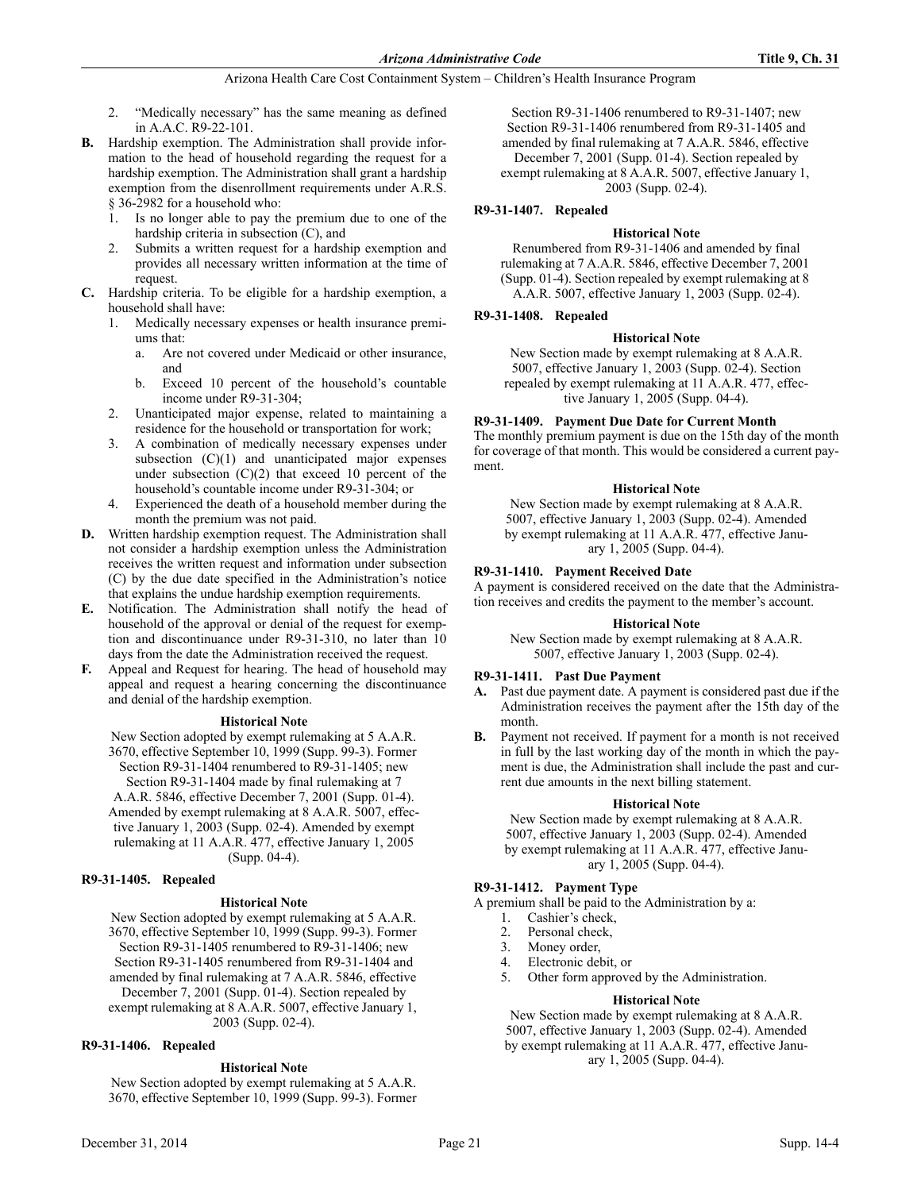- 2. "Medically necessary" has the same meaning as defined in A.A.C. R9-22-101.
- **B.** Hardship exemption. The Administration shall provide information to the head of household regarding the request for a hardship exemption. The Administration shall grant a hardship exemption from the disenrollment requirements under A.R.S. § 36-2982 for a household who:
	- 1. Is no longer able to pay the premium due to one of the hardship criteria in subsection (C), and
	- 2. Submits a written request for a hardship exemption and provides all necessary written information at the time of request.
- **C.** Hardship criteria. To be eligible for a hardship exemption, a household shall have:
	- 1. Medically necessary expenses or health insurance premiums that:
		- a. Are not covered under Medicaid or other insurance, and
		- b. Exceed 10 percent of the household's countable income under R9-31-304;
	- 2. Unanticipated major expense, related to maintaining a residence for the household or transportation for work;
	- 3. A combination of medically necessary expenses under subsection  $(C)(1)$  and unanticipated major expenses under subsection  $(C)(2)$  that exceed 10 percent of the household's countable income under R9-31-304; or
	- Experienced the death of a household member during the month the premium was not paid.
- **D.** Written hardship exemption request. The Administration shall not consider a hardship exemption unless the Administration receives the written request and information under subsection (C) by the due date specified in the Administration's notice that explains the undue hardship exemption requirements.
- **E.** Notification. The Administration shall notify the head of household of the approval or denial of the request for exemption and discontinuance under R9-31-310, no later than 10 days from the date the Administration received the request.
- **F.** Appeal and Request for hearing. The head of household may appeal and request a hearing concerning the discontinuance and denial of the hardship exemption.

# **Historical Note**

New Section adopted by exempt rulemaking at 5 A.A.R. 3670, effective September 10, 1999 (Supp. 99-3). Former Section R9-31-1404 renumbered to R9-31-1405; new Section R9-31-1404 made by final rulemaking at 7 A.A.R. 5846, effective December 7, 2001 (Supp. 01-4). Amended by exempt rulemaking at 8 A.A.R. 5007, effective January 1, 2003 (Supp. 02-4). Amended by exempt rulemaking at 11 A.A.R. 477, effective January 1, 2005

(Supp. 04-4).

# **R9-31-1405. Repealed**

# **Historical Note**

New Section adopted by exempt rulemaking at 5 A.A.R. 3670, effective September 10, 1999 (Supp. 99-3). Former Section R9-31-1405 renumbered to R9-31-1406; new Section R9-31-1405 renumbered from R9-31-1404 and amended by final rulemaking at 7 A.A.R. 5846, effective December 7, 2001 (Supp. 01-4). Section repealed by exempt rulemaking at 8 A.A.R. 5007, effective January 1, 2003 (Supp. 02-4).

#### **R9-31-1406. Repealed**

# **Historical Note**

New Section adopted by exempt rulemaking at 5 A.A.R. 3670, effective September 10, 1999 (Supp. 99-3). Former

Section R9-31-1406 renumbered to R9-31-1407; new Section R9-31-1406 renumbered from R9-31-1405 and amended by final rulemaking at 7 A.A.R. 5846, effective December 7, 2001 (Supp. 01-4). Section repealed by exempt rulemaking at 8 A.A.R. 5007, effective January 1, 2003 (Supp. 02-4).

# **R9-31-1407. Repealed**

# **Historical Note**

Renumbered from R9-31-1406 and amended by final rulemaking at 7 A.A.R. 5846, effective December 7, 2001 (Supp. 01-4). Section repealed by exempt rulemaking at 8 A.A.R. 5007, effective January 1, 2003 (Supp. 02-4).

# **R9-31-1408. Repealed**

#### **Historical Note**

New Section made by exempt rulemaking at 8 A.A.R. 5007, effective January 1, 2003 (Supp. 02-4). Section repealed by exempt rulemaking at 11 A.A.R. 477, effective January 1, 2005 (Supp. 04-4).

# **R9-31-1409. Payment Due Date for Current Month**

The monthly premium payment is due on the 15th day of the month for coverage of that month. This would be considered a current payment.

#### **Historical Note**

New Section made by exempt rulemaking at 8 A.A.R. 5007, effective January 1, 2003 (Supp. 02-4). Amended by exempt rulemaking at 11 A.A.R. 477, effective January 1, 2005 (Supp. 04-4).

### **R9-31-1410. Payment Received Date**

A payment is considered received on the date that the Administration receives and credits the payment to the member's account.

#### **Historical Note**

New Section made by exempt rulemaking at 8 A.A.R. 5007, effective January 1, 2003 (Supp. 02-4).

#### **R9-31-1411. Past Due Payment**

- **A.** Past due payment date. A payment is considered past due if the Administration receives the payment after the 15th day of the month.
- **B.** Payment not received. If payment for a month is not received in full by the last working day of the month in which the payment is due, the Administration shall include the past and current due amounts in the next billing statement.

#### **Historical Note**

New Section made by exempt rulemaking at 8 A.A.R. 5007, effective January 1, 2003 (Supp. 02-4). Amended by exempt rulemaking at 11 A.A.R. 477, effective January 1, 2005 (Supp. 04-4).

#### **R9-31-1412. Payment Type**

A premium shall be paid to the Administration by a:

- 1. Cashier's check,
- 2. Personal check,
- 3. Money order,
- Electronic debit, or
- 5. Other form approved by the Administration.

#### **Historical Note**

New Section made by exempt rulemaking at 8 A.A.R. 5007, effective January 1, 2003 (Supp. 02-4). Amended by exempt rulemaking at 11 A.A.R. 477, effective January 1, 2005 (Supp. 04-4).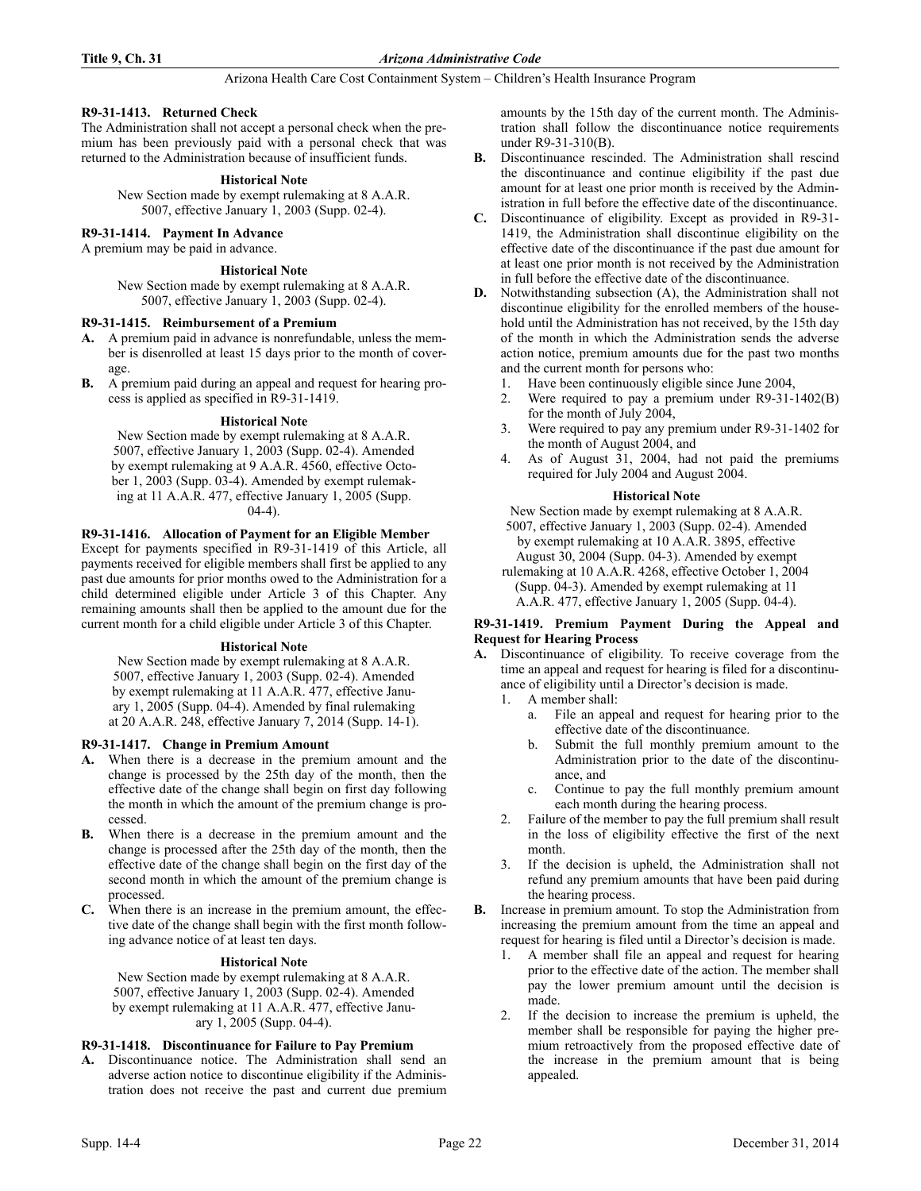# **R9-31-1413. Returned Check**

The Administration shall not accept a personal check when the premium has been previously paid with a personal check that was returned to the Administration because of insufficient funds.

# **Historical Note**

New Section made by exempt rulemaking at 8 A.A.R. 5007, effective January 1, 2003 (Supp. 02-4).

# **R9-31-1414. Payment In Advance**

A premium may be paid in advance.

# **Historical Note**

New Section made by exempt rulemaking at 8 A.A.R. 5007, effective January 1, 2003 (Supp. 02-4).

# **R9-31-1415. Reimbursement of a Premium**

- **A.** A premium paid in advance is nonrefundable, unless the member is disenrolled at least 15 days prior to the month of coverage.
- **B.** A premium paid during an appeal and request for hearing process is applied as specified in R9-31-1419.

# **Historical Note**

New Section made by exempt rulemaking at 8 A.A.R. 5007, effective January 1, 2003 (Supp. 02-4). Amended by exempt rulemaking at 9 A.A.R. 4560, effective October 1, 2003 (Supp. 03-4). Amended by exempt rulemaking at 11 A.A.R. 477, effective January 1, 2005 (Supp.  $(04-4)$ .

# **R9-31-1416. Allocation of Payment for an Eligible Member**

Except for payments specified in R9-31-1419 of this Article, all payments received for eligible members shall first be applied to any past due amounts for prior months owed to the Administration for a child determined eligible under Article 3 of this Chapter. Any remaining amounts shall then be applied to the amount due for the current month for a child eligible under Article 3 of this Chapter.

# **Historical Note**

New Section made by exempt rulemaking at 8 A.A.R. 5007, effective January 1, 2003 (Supp. 02-4). Amended by exempt rulemaking at 11 A.A.R. 477, effective January 1, 2005 (Supp. 04-4). Amended by final rulemaking at 20 A.A.R. 248, effective January 7, 2014 (Supp. 14-1).

# **R9-31-1417. Change in Premium Amount**

- **A.** When there is a decrease in the premium amount and the change is processed by the 25th day of the month, then the effective date of the change shall begin on first day following the month in which the amount of the premium change is processed.
- **B.** When there is a decrease in the premium amount and the change is processed after the 25th day of the month, then the effective date of the change shall begin on the first day of the second month in which the amount of the premium change is processed.
- **C.** When there is an increase in the premium amount, the effective date of the change shall begin with the first month following advance notice of at least ten days.

# **Historical Note**

New Section made by exempt rulemaking at 8 A.A.R. 5007, effective January 1, 2003 (Supp. 02-4). Amended by exempt rulemaking at 11 A.A.R. 477, effective January 1, 2005 (Supp. 04-4).

# **R9-31-1418. Discontinuance for Failure to Pay Premium**

**A.** Discontinuance notice. The Administration shall send an adverse action notice to discontinue eligibility if the Administration does not receive the past and current due premium amounts by the 15th day of the current month. The Administration shall follow the discontinuance notice requirements under R9-31-310(B).

- **B.** Discontinuance rescinded. The Administration shall rescind the discontinuance and continue eligibility if the past due amount for at least one prior month is received by the Administration in full before the effective date of the discontinuance.
- **C.** Discontinuance of eligibility. Except as provided in R9-31- 1419, the Administration shall discontinue eligibility on the effective date of the discontinuance if the past due amount for at least one prior month is not received by the Administration in full before the effective date of the discontinuance.
- **D.** Notwithstanding subsection (A), the Administration shall not discontinue eligibility for the enrolled members of the household until the Administration has not received, by the 15th day of the month in which the Administration sends the adverse action notice, premium amounts due for the past two months and the current month for persons who:
	- 1. Have been continuously eligible since June 2004,
	- 2. Were required to pay a premium under R9-31-1402(B) for the month of July 2004,
	- 3. Were required to pay any premium under R9-31-1402 for the month of August 2004, and
	- 4. As of August 31, 2004, had not paid the premiums required for July 2004 and August 2004.

# **Historical Note**

New Section made by exempt rulemaking at 8 A.A.R. 5007, effective January 1, 2003 (Supp. 02-4). Amended

by exempt rulemaking at 10 A.A.R. 3895, effective August 30, 2004 (Supp. 04-3). Amended by exempt

rulemaking at 10 A.A.R. 4268, effective October 1, 2004 (Supp. 04-3). Amended by exempt rulemaking at 11 A.A.R. 477, effective January 1, 2005 (Supp. 04-4).

# **R9-31-1419. Premium Payment During the Appeal and Request for Hearing Process**

- **A.** Discontinuance of eligibility. To receive coverage from the time an appeal and request for hearing is filed for a discontinuance of eligibility until a Director's decision is made.
	- 1. A member shall:
		- a. File an appeal and request for hearing prior to the effective date of the discontinuance.
		- b. Submit the full monthly premium amount to the Administration prior to the date of the discontinuance, and
		- c. Continue to pay the full monthly premium amount each month during the hearing process.
	- 2. Failure of the member to pay the full premium shall result in the loss of eligibility effective the first of the next month.
	- 3. If the decision is upheld, the Administration shall not refund any premium amounts that have been paid during the hearing process.
- **B.** Increase in premium amount. To stop the Administration from increasing the premium amount from the time an appeal and request for hearing is filed until a Director's decision is made.
	- 1. A member shall file an appeal and request for hearing prior to the effective date of the action. The member shall pay the lower premium amount until the decision is made.
	- 2. If the decision to increase the premium is upheld, the member shall be responsible for paying the higher premium retroactively from the proposed effective date of the increase in the premium amount that is being appealed.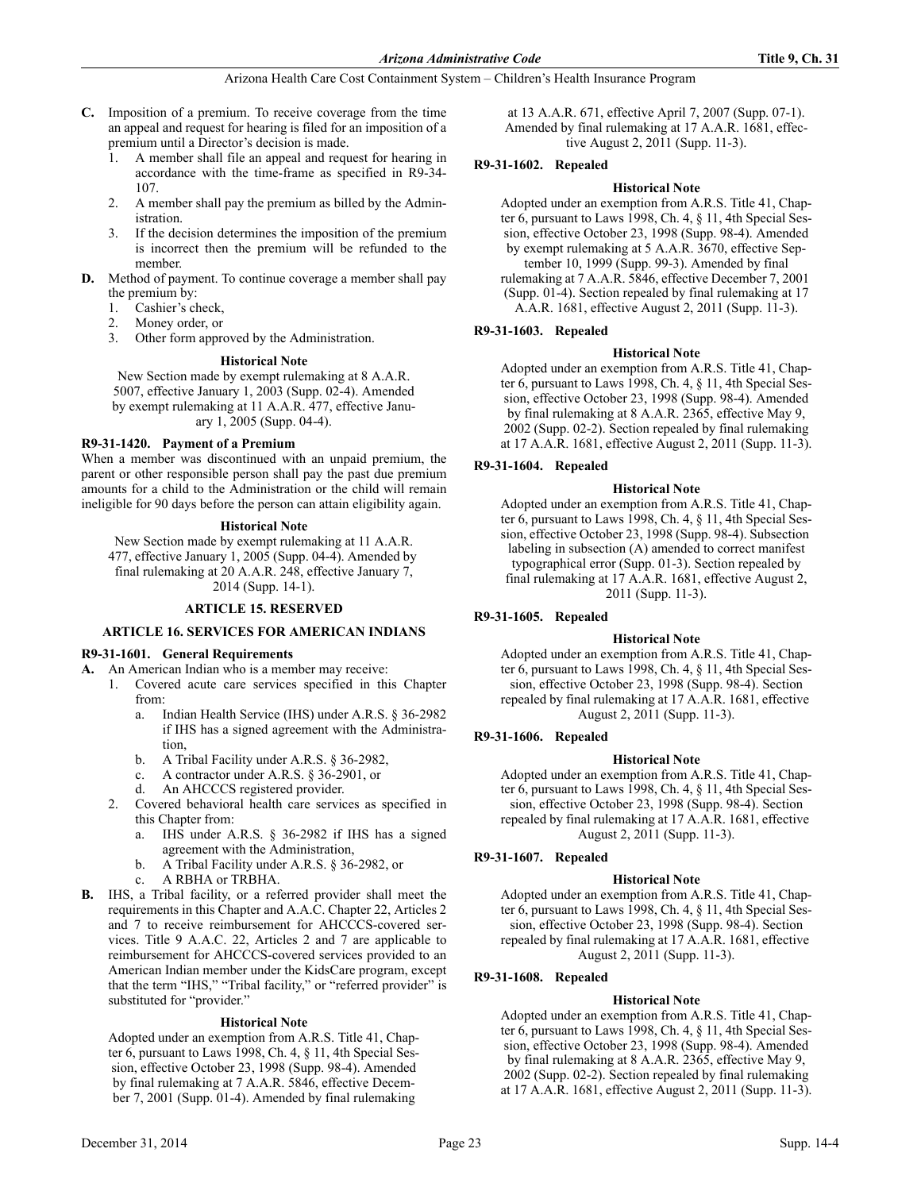- **C.** Imposition of a premium. To receive coverage from the time an appeal and request for hearing is filed for an imposition of a premium until a Director's decision is made.
	- 1. A member shall file an appeal and request for hearing in accordance with the time-frame as specified in R9-34- 107.
	- 2. A member shall pay the premium as billed by the Administration.
	- 3. If the decision determines the imposition of the premium is incorrect then the premium will be refunded to the member.
- **D.** Method of payment. To continue coverage a member shall pay the premium by:
	- 1. Cashier's check,
	- 2. Money order, or
	- 3. Other form approved by the Administration.

# **Historical Note**

New Section made by exempt rulemaking at 8 A.A.R. 5007, effective January 1, 2003 (Supp. 02-4). Amended by exempt rulemaking at 11 A.A.R. 477, effective January 1, 2005 (Supp. 04-4).

# **R9-31-1420. Payment of a Premium**

When a member was discontinued with an unpaid premium, the parent or other responsible person shall pay the past due premium amounts for a child to the Administration or the child will remain ineligible for 90 days before the person can attain eligibility again.

# **Historical Note**

New Section made by exempt rulemaking at 11 A.A.R. 477, effective January 1, 2005 (Supp. 04-4). Amended by final rulemaking at 20 A.A.R. 248, effective January 7, 2014 (Supp. 14-1).

# **ARTICLE 15. RESERVED**

# **ARTICLE 16. SERVICES FOR AMERICAN INDIANS**

# **R9-31-1601. General Requirements**

**A.** An American Indian who is a member may receive:

- 1. Covered acute care services specified in this Chapter from:
	- a. Indian Health Service (IHS) under A.R.S. § 36-2982 if IHS has a signed agreement with the Administration,
	- b. A Tribal Facility under A.R.S. § 36-2982,
	- c. A contractor under A.R.S. § 36-2901, or
	- d. An AHCCCS registered provider.
- 2. Covered behavioral health care services as specified in this Chapter from:
	- a. IHS under A.R.S. § 36-2982 if IHS has a signed agreement with the Administration,
	- b. A Tribal Facility under A.R.S. § 36-2982, or
	- c. A RBHA or TRBHA.
- **B.** IHS, a Tribal facility, or a referred provider shall meet the requirements in this Chapter and A.A.C. Chapter 22, Articles 2 and 7 to receive reimbursement for AHCCCS-covered services. Title 9 A.A.C. 22, Articles 2 and 7 are applicable to reimbursement for AHCCCS-covered services provided to an American Indian member under the KidsCare program, except that the term "IHS," "Tribal facility," or "referred provider" is substituted for "provider."

# **Historical Note**

Adopted under an exemption from A.R.S. Title 41, Chapter 6, pursuant to Laws 1998, Ch. 4, § 11, 4th Special Session, effective October 23, 1998 (Supp. 98-4). Amended by final rulemaking at 7 A.A.R. 5846, effective December 7, 2001 (Supp. 01-4). Amended by final rulemaking

at 13 A.A.R. 671, effective April 7, 2007 (Supp. 07-1). Amended by final rulemaking at 17 A.A.R. 1681, effective August 2, 2011 (Supp. 11-3).

# **R9-31-1602. Repealed**

# **Historical Note**

Adopted under an exemption from A.R.S. Title 41, Chapter 6, pursuant to Laws 1998, Ch. 4, § 11, 4th Special Session, effective October 23, 1998 (Supp. 98-4). Amended by exempt rulemaking at 5 A.A.R. 3670, effective September 10, 1999 (Supp. 99-3). Amended by final

rulemaking at 7 A.A.R. 5846, effective December 7, 2001 (Supp. 01-4). Section repealed by final rulemaking at 17 A.A.R. 1681, effective August 2, 2011 (Supp. 11-3).

# **R9-31-1603. Repealed**

# **Historical Note**

Adopted under an exemption from A.R.S. Title 41, Chapter 6, pursuant to Laws 1998, Ch. 4, § 11, 4th Special Session, effective October 23, 1998 (Supp. 98-4). Amended by final rulemaking at 8 A.A.R. 2365, effective May 9, 2002 (Supp. 02-2). Section repealed by final rulemaking at 17 A.A.R. 1681, effective August 2, 2011 (Supp. 11-3).

# **R9-31-1604. Repealed**

# **Historical Note**

Adopted under an exemption from A.R.S. Title 41, Chapter 6, pursuant to Laws 1998, Ch. 4, § 11, 4th Special Session, effective October 23, 1998 (Supp. 98-4). Subsection labeling in subsection (A) amended to correct manifest typographical error (Supp. 01-3). Section repealed by final rulemaking at 17 A.A.R. 1681, effective August 2, 2011 (Supp. 11-3).

# **R9-31-1605. Repealed**

# **Historical Note**

Adopted under an exemption from A.R.S. Title 41, Chapter 6, pursuant to Laws 1998, Ch. 4, § 11, 4th Special Session, effective October 23, 1998 (Supp. 98-4). Section repealed by final rulemaking at 17 A.A.R. 1681, effective August 2, 2011 (Supp. 11-3).

# **R9-31-1606. Repealed**

# **Historical Note**

Adopted under an exemption from A.R.S. Title 41, Chapter 6, pursuant to Laws 1998, Ch. 4, § 11, 4th Special Session, effective October 23, 1998 (Supp. 98-4). Section repealed by final rulemaking at 17 A.A.R. 1681, effective August 2, 2011 (Supp. 11-3).

# **R9-31-1607. Repealed**

# **Historical Note**

Adopted under an exemption from A.R.S. Title 41, Chapter 6, pursuant to Laws 1998, Ch. 4, § 11, 4th Special Session, effective October 23, 1998 (Supp. 98-4). Section repealed by final rulemaking at 17 A.A.R. 1681, effective August 2, 2011 (Supp. 11-3).

# **R9-31-1608. Repealed**

# **Historical Note**

Adopted under an exemption from A.R.S. Title 41, Chapter 6, pursuant to Laws 1998, Ch. 4, § 11, 4th Special Session, effective October 23, 1998 (Supp. 98-4). Amended by final rulemaking at 8 A.A.R. 2365, effective May 9, 2002 (Supp. 02-2). Section repealed by final rulemaking at 17 A.A.R. 1681, effective August 2, 2011 (Supp. 11-3).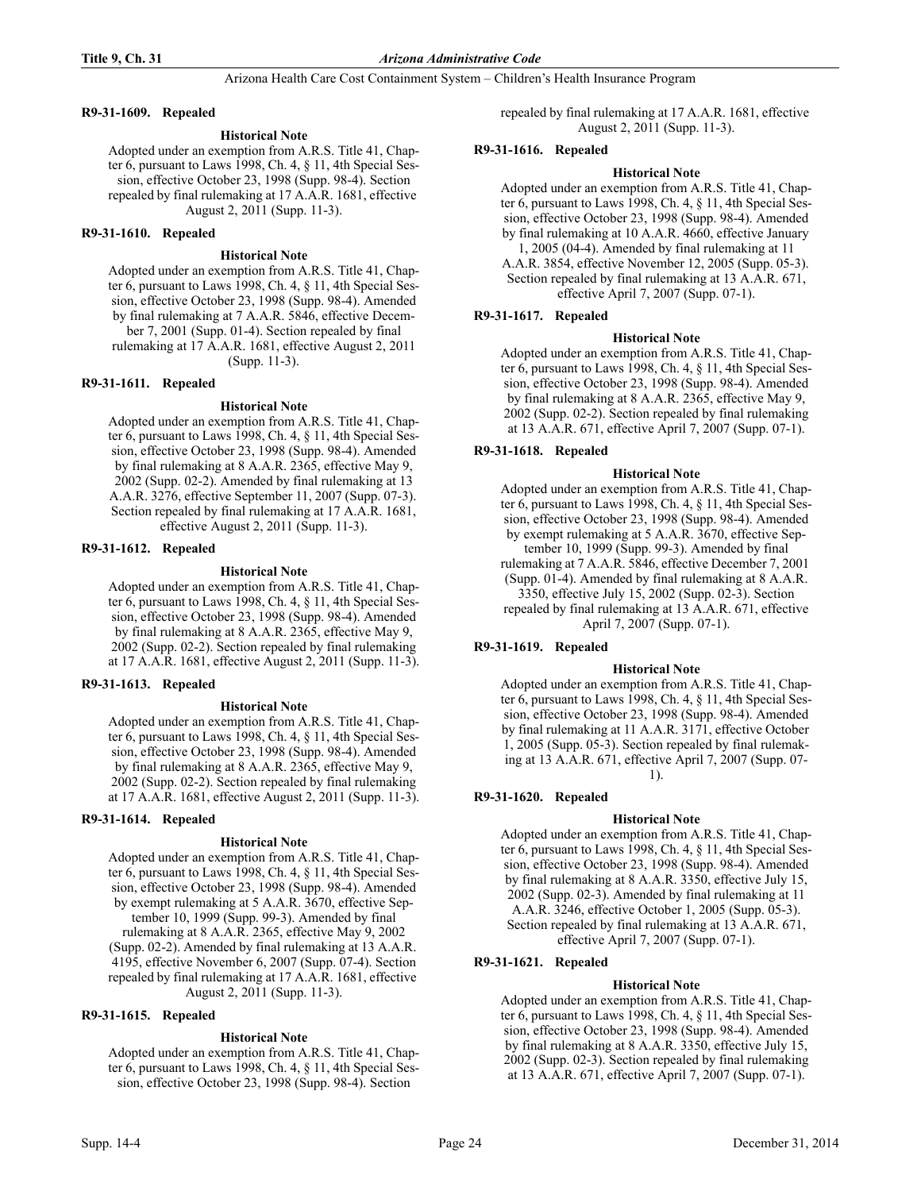# **R9-31-1609. Repealed**

### **Historical Note**

Adopted under an exemption from A.R.S. Title 41, Chapter 6, pursuant to Laws 1998, Ch. 4, § 11, 4th Special Session, effective October 23, 1998 (Supp. 98-4). Section repealed by final rulemaking at 17 A.A.R. 1681, effective August 2, 2011 (Supp. 11-3).

### **R9-31-1610. Repealed**

#### **Historical Note**

Adopted under an exemption from A.R.S. Title 41, Chapter 6, pursuant to Laws 1998, Ch. 4, § 11, 4th Special Session, effective October 23, 1998 (Supp. 98-4). Amended by final rulemaking at 7 A.A.R. 5846, effective December 7, 2001 (Supp. 01-4). Section repealed by final rulemaking at 17 A.A.R. 1681, effective August 2, 2011 (Supp. 11-3).

#### **R9-31-1611. Repealed**

#### **Historical Note**

Adopted under an exemption from A.R.S. Title 41, Chapter 6, pursuant to Laws 1998, Ch. 4, § 11, 4th Special Session, effective October 23, 1998 (Supp. 98-4). Amended by final rulemaking at 8 A.A.R. 2365, effective May 9, 2002 (Supp. 02-2). Amended by final rulemaking at 13 A.A.R. 3276, effective September 11, 2007 (Supp. 07-3). Section repealed by final rulemaking at 17 A.A.R. 1681, effective August 2, 2011 (Supp. 11-3).

# **R9-31-1612. Repealed**

#### **Historical Note**

Adopted under an exemption from A.R.S. Title 41, Chapter 6, pursuant to Laws 1998, Ch. 4, § 11, 4th Special Session, effective October 23, 1998 (Supp. 98-4). Amended by final rulemaking at 8 A.A.R. 2365, effective May 9, 2002 (Supp. 02-2). Section repealed by final rulemaking at 17 A.A.R. 1681, effective August 2, 2011 (Supp. 11-3).

# **R9-31-1613. Repealed**

#### **Historical Note**

Adopted under an exemption from A.R.S. Title 41, Chapter 6, pursuant to Laws 1998, Ch. 4, § 11, 4th Special Session, effective October 23, 1998 (Supp. 98-4). Amended by final rulemaking at 8 A.A.R. 2365, effective May 9, 2002 (Supp. 02-2). Section repealed by final rulemaking at 17 A.A.R. 1681, effective August 2, 2011 (Supp. 11-3).

# **R9-31-1614. Repealed**

#### **Historical Note**

Adopted under an exemption from A.R.S. Title 41, Chapter 6, pursuant to Laws 1998, Ch. 4, § 11, 4th Special Session, effective October 23, 1998 (Supp. 98-4). Amended by exempt rulemaking at 5 A.A.R. 3670, effective September 10, 1999 (Supp. 99-3). Amended by final rulemaking at 8 A.A.R. 2365, effective May 9, 2002 (Supp. 02-2). Amended by final rulemaking at 13 A.A.R. 4195, effective November 6, 2007 (Supp. 07-4). Section repealed by final rulemaking at 17 A.A.R. 1681, effective August 2, 2011 (Supp. 11-3).

# **R9-31-1615. Repealed**

#### **Historical Note**

Adopted under an exemption from A.R.S. Title 41, Chapter 6, pursuant to Laws 1998, Ch. 4, § 11, 4th Special Session, effective October 23, 1998 (Supp. 98-4). Section

repealed by final rulemaking at 17 A.A.R. 1681, effective August 2, 2011 (Supp. 11-3).

### **R9-31-1616. Repealed**

#### **Historical Note**

Adopted under an exemption from A.R.S. Title 41, Chapter 6, pursuant to Laws 1998, Ch. 4, § 11, 4th Special Session, effective October 23, 1998 (Supp. 98-4). Amended by final rulemaking at 10 A.A.R. 4660, effective January

1, 2005 (04-4). Amended by final rulemaking at 11 A.A.R. 3854, effective November 12, 2005 (Supp. 05-3). Section repealed by final rulemaking at 13 A.A.R. 671, effective April 7, 2007 (Supp. 07-1).

# **R9-31-1617. Repealed**

#### **Historical Note**

Adopted under an exemption from A.R.S. Title 41, Chapter 6, pursuant to Laws 1998, Ch. 4, § 11, 4th Special Session, effective October 23, 1998 (Supp. 98-4). Amended by final rulemaking at 8 A.A.R. 2365, effective May 9, 2002 (Supp. 02-2). Section repealed by final rulemaking at 13 A.A.R. 671, effective April 7, 2007 (Supp. 07-1).

# **R9-31-1618. Repealed**

#### **Historical Note**

Adopted under an exemption from A.R.S. Title 41, Chapter 6, pursuant to Laws 1998, Ch. 4, § 11, 4th Special Session, effective October 23, 1998 (Supp. 98-4). Amended by exempt rulemaking at 5 A.A.R. 3670, effective September 10, 1999 (Supp. 99-3). Amended by final

rulemaking at 7 A.A.R. 5846, effective December 7, 2001

(Supp. 01-4). Amended by final rulemaking at 8 A.A.R. 3350, effective July 15, 2002 (Supp. 02-3). Section

repealed by final rulemaking at 13 A.A.R. 671, effective April 7, 2007 (Supp. 07-1).

# **R9-31-1619. Repealed**

#### **Historical Note**

Adopted under an exemption from A.R.S. Title 41, Chapter 6, pursuant to Laws 1998, Ch. 4, § 11, 4th Special Session, effective October 23, 1998 (Supp. 98-4). Amended by final rulemaking at 11 A.A.R. 3171, effective October 1, 2005 (Supp. 05-3). Section repealed by final rulemaking at 13 A.A.R. 671, effective April 7, 2007 (Supp. 07- 1).

# **R9-31-1620. Repealed**

#### **Historical Note**

Adopted under an exemption from A.R.S. Title 41, Chapter 6, pursuant to Laws 1998, Ch. 4, § 11, 4th Special Session, effective October 23, 1998 (Supp. 98-4). Amended by final rulemaking at 8 A.A.R. 3350, effective July 15, 2002 (Supp. 02-3). Amended by final rulemaking at 11 A.A.R. 3246, effective October 1, 2005 (Supp. 05-3). Section repealed by final rulemaking at 13 A.A.R. 671, effective April 7, 2007 (Supp. 07-1).

# **R9-31-1621. Repealed**

#### **Historical Note**

Adopted under an exemption from A.R.S. Title 41, Chapter 6, pursuant to Laws 1998, Ch. 4, § 11, 4th Special Session, effective October 23, 1998 (Supp. 98-4). Amended by final rulemaking at 8 A.A.R. 3350, effective July 15, 2002 (Supp. 02-3). Section repealed by final rulemaking at 13 A.A.R. 671, effective April 7, 2007 (Supp. 07-1).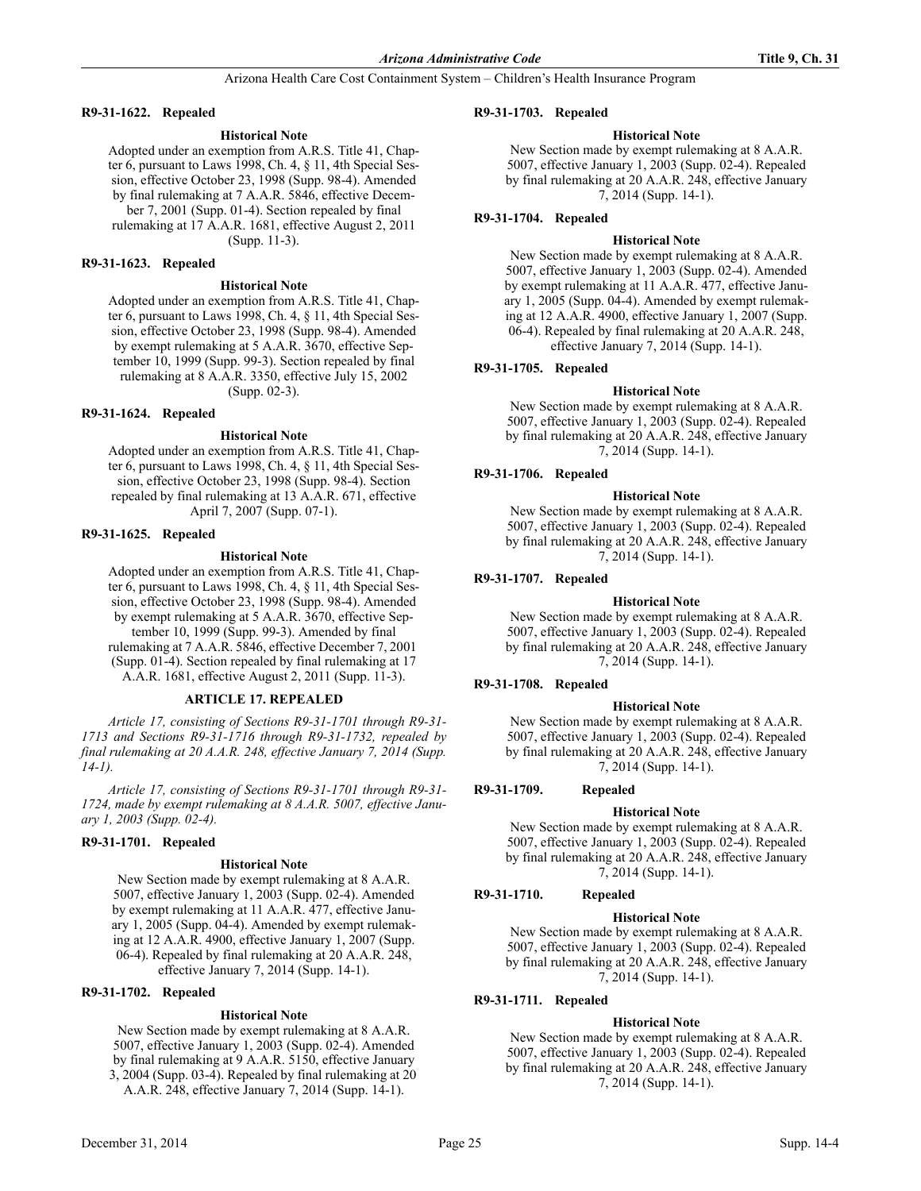### **R9-31-1622. Repealed**

### **Historical Note**

Adopted under an exemption from A.R.S. Title 41, Chapter 6, pursuant to Laws 1998, Ch. 4, § 11, 4th Special Session, effective October 23, 1998 (Supp. 98-4). Amended by final rulemaking at 7 A.A.R. 5846, effective December 7, 2001 (Supp. 01-4). Section repealed by final rulemaking at 17 A.A.R. 1681, effective August 2, 2011 (Supp. 11-3).

### **R9-31-1623. Repealed**

# **Historical Note**

Adopted under an exemption from A.R.S. Title 41, Chapter 6, pursuant to Laws 1998, Ch. 4, § 11, 4th Special Session, effective October 23, 1998 (Supp. 98-4). Amended by exempt rulemaking at 5 A.A.R. 3670, effective September 10, 1999 (Supp. 99-3). Section repealed by final rulemaking at 8 A.A.R. 3350, effective July 15, 2002 (Supp. 02-3).

#### **R9-31-1624. Repealed**

#### **Historical Note**

Adopted under an exemption from A.R.S. Title 41, Chapter 6, pursuant to Laws 1998, Ch. 4, § 11, 4th Special Session, effective October 23, 1998 (Supp. 98-4). Section repealed by final rulemaking at 13 A.A.R. 671, effective April 7, 2007 (Supp. 07-1).

#### **R9-31-1625. Repealed**

#### **Historical Note**

Adopted under an exemption from A.R.S. Title 41, Chapter 6, pursuant to Laws 1998, Ch. 4, § 11, 4th Special Session, effective October 23, 1998 (Supp. 98-4). Amended by exempt rulemaking at 5 A.A.R. 3670, effective September 10, 1999 (Supp. 99-3). Amended by final rulemaking at 7 A.A.R. 5846, effective December 7, 2001 (Supp. 01-4). Section repealed by final rulemaking at 17 A.A.R. 1681, effective August 2, 2011 (Supp. 11-3).

#### **ARTICLE 17. REPEALED**

*Article 17, consisting of Sections R9-31-1701 through R9-31- 1713 and Sections R9-31-1716 through R9-31-1732, repealed by final rulemaking at 20 A.A.R. 248, effective January 7, 2014 (Supp. 14-1).*

*Article 17, consisting of Sections R9-31-1701 through R9-31- 1724, made by exempt rulemaking at 8 A.A.R. 5007, effective January 1, 2003 (Supp. 02-4).*

# **R9-31-1701. Repealed**

#### **Historical Note**

New Section made by exempt rulemaking at 8 A.A.R. 5007, effective January 1, 2003 (Supp. 02-4). Amended by exempt rulemaking at 11 A.A.R. 477, effective January 1, 2005 (Supp. 04-4). Amended by exempt rulemaking at 12 A.A.R. 4900, effective January 1, 2007 (Supp. 06-4). Repealed by final rulemaking at 20 A.A.R. 248, effective January 7, 2014 (Supp. 14-1).

# **R9-31-1702. Repealed**

# **Historical Note**

New Section made by exempt rulemaking at 8 A.A.R. 5007, effective January 1, 2003 (Supp. 02-4). Amended by final rulemaking at 9 A.A.R. 5150, effective January 3, 2004 (Supp. 03-4). Repealed by final rulemaking at 20 A.A.R. 248, effective January 7, 2014 (Supp. 14-1).

### **R9-31-1703. Repealed**

### **Historical Note**

New Section made by exempt rulemaking at 8 A.A.R. 5007, effective January 1, 2003 (Supp. 02-4). Repealed by final rulemaking at 20 A.A.R. 248, effective January 7, 2014 (Supp. 14-1).

# **R9-31-1704. Repealed**

#### **Historical Note**

New Section made by exempt rulemaking at 8 A.A.R. 5007, effective January 1, 2003 (Supp. 02-4). Amended by exempt rulemaking at 11 A.A.R. 477, effective January 1, 2005 (Supp. 04-4). Amended by exempt rulemaking at 12 A.A.R. 4900, effective January 1, 2007 (Supp. 06-4). Repealed by final rulemaking at 20 A.A.R. 248, effective January 7, 2014 (Supp. 14-1).

# **R9-31-1705. Repealed**

#### **Historical Note**

New Section made by exempt rulemaking at 8 A.A.R. 5007, effective January 1, 2003 (Supp. 02-4). Repealed by final rulemaking at 20 A.A.R. 248, effective January 7, 2014 (Supp. 14-1).

# **R9-31-1706. Repealed**

### **Historical Note**

New Section made by exempt rulemaking at 8 A.A.R. 5007, effective January 1, 2003 (Supp. 02-4). Repealed by final rulemaking at 20 A.A.R. 248, effective January 7, 2014 (Supp. 14-1).

#### **R9-31-1707. Repealed**

### **Historical Note**

New Section made by exempt rulemaking at 8 A.A.R. 5007, effective January 1, 2003 (Supp. 02-4). Repealed by final rulemaking at 20 A.A.R. 248, effective January 7, 2014 (Supp. 14-1).

# **R9-31-1708. Repealed**

# **Historical Note**

New Section made by exempt rulemaking at 8 A.A.R. 5007, effective January 1, 2003 (Supp. 02-4). Repealed by final rulemaking at 20 A.A.R. 248, effective January 7, 2014 (Supp. 14-1).

# **R9-31-1709. Repealed**

# **Historical Note**

New Section made by exempt rulemaking at 8 A.A.R. 5007, effective January 1, 2003 (Supp. 02-4). Repealed by final rulemaking at 20 A.A.R. 248, effective January 7, 2014 (Supp. 14-1).

# **R9-31-1710. Repealed**

# **Historical Note**

New Section made by exempt rulemaking at 8 A.A.R. 5007, effective January 1, 2003 (Supp. 02-4). Repealed by final rulemaking at 20 A.A.R. 248, effective January 7, 2014 (Supp. 14-1).

# **R9-31-1711. Repealed**

#### **Historical Note**

New Section made by exempt rulemaking at 8 A.A.R. 5007, effective January 1, 2003 (Supp. 02-4). Repealed by final rulemaking at 20 A.A.R. 248, effective January 7, 2014 (Supp. 14-1).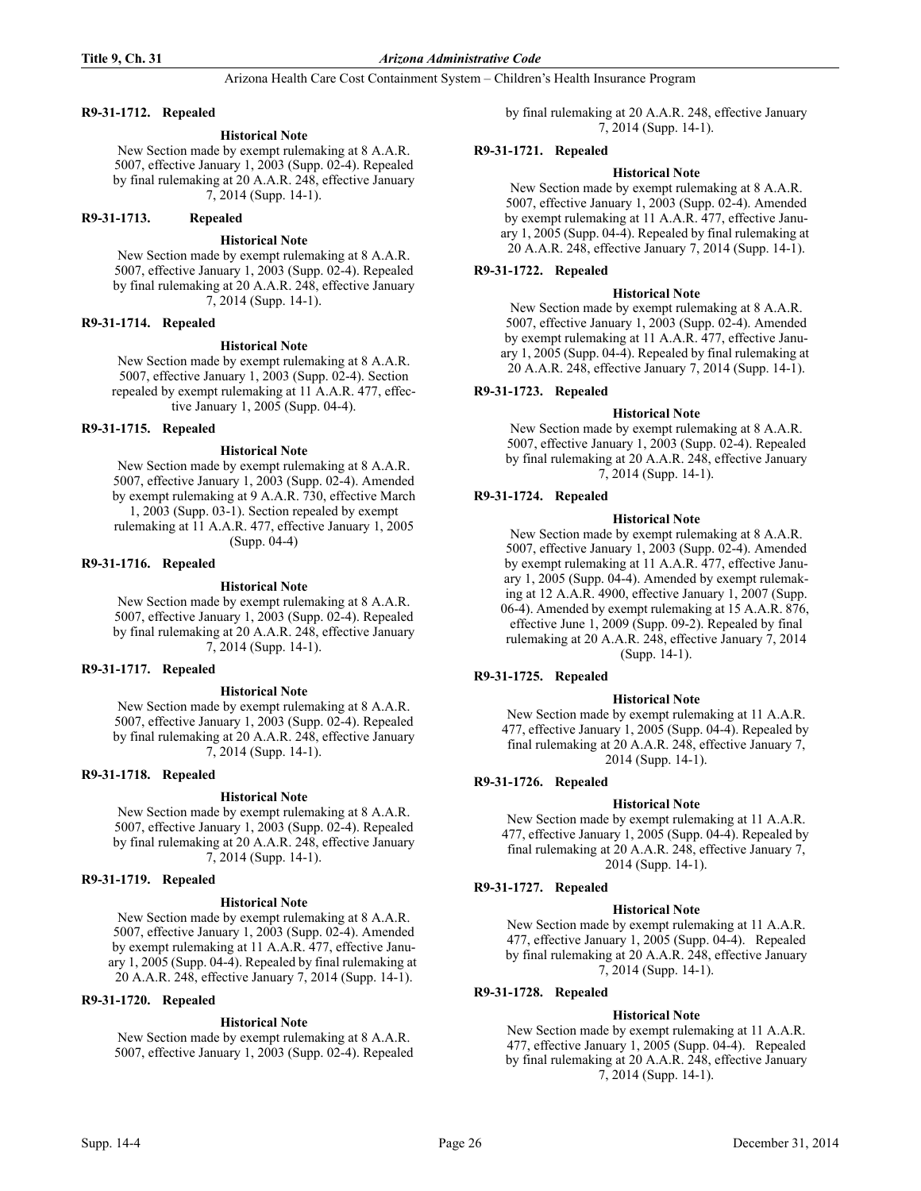# **R9-31-1712. Repealed**

# **Historical Note**

New Section made by exempt rulemaking at 8 A.A.R. 5007, effective January 1, 2003 (Supp. 02-4). Repealed by final rulemaking at 20 A.A.R. 248, effective January 7, 2014 (Supp. 14-1).

# **R9-31-1713. Repealed**

### **Historical Note**

New Section made by exempt rulemaking at 8 A.A.R. 5007, effective January 1, 2003 (Supp. 02-4). Repealed by final rulemaking at 20 A.A.R. 248, effective January 7, 2014 (Supp. 14-1).

# **R9-31-1714. Repealed**

#### **Historical Note**

New Section made by exempt rulemaking at 8 A.A.R. 5007, effective January 1, 2003 (Supp. 02-4). Section repealed by exempt rulemaking at 11 A.A.R. 477, effective January 1, 2005 (Supp. 04-4).

#### **R9-31-1715. Repealed**

#### **Historical Note**

New Section made by exempt rulemaking at 8 A.A.R. 5007, effective January 1, 2003 (Supp. 02-4). Amended by exempt rulemaking at 9 A.A.R. 730, effective March 1, 2003 (Supp. 03-1). Section repealed by exempt rulemaking at 11 A.A.R. 477, effective January 1, 2005 (Supp. 04-4)

#### **R9-31-1716. Repealed**

#### **Historical Note**

New Section made by exempt rulemaking at 8 A.A.R. 5007, effective January 1, 2003 (Supp. 02-4). Repealed by final rulemaking at 20 A.A.R. 248, effective January 7, 2014 (Supp. 14-1).

#### **R9-31-1717. Repealed**

**Historical Note**

New Section made by exempt rulemaking at 8 A.A.R. 5007, effective January 1, 2003 (Supp. 02-4). Repealed by final rulemaking at 20 A.A.R. 248, effective January 7, 2014 (Supp. 14-1).

# **R9-31-1718. Repealed**

# **Historical Note**

New Section made by exempt rulemaking at 8 A.A.R. 5007, effective January 1, 2003 (Supp. 02-4). Repealed by final rulemaking at 20 A.A.R. 248, effective January 7, 2014 (Supp. 14-1).

#### **R9-31-1719. Repealed**

# **Historical Note**

New Section made by exempt rulemaking at 8 A.A.R. 5007, effective January 1, 2003 (Supp. 02-4). Amended by exempt rulemaking at 11 A.A.R. 477, effective January 1, 2005 (Supp. 04-4). Repealed by final rulemaking at 20 A.A.R. 248, effective January 7, 2014 (Supp. 14-1).

### **R9-31-1720. Repealed**

# **Historical Note**

New Section made by exempt rulemaking at 8 A.A.R. 5007, effective January 1, 2003 (Supp. 02-4). Repealed by final rulemaking at 20 A.A.R. 248, effective January 7, 2014 (Supp. 14-1).

### **R9-31-1721. Repealed**

### **Historical Note**

New Section made by exempt rulemaking at 8 A.A.R. 5007, effective January 1, 2003 (Supp. 02-4). Amended by exempt rulemaking at 11 A.A.R. 477, effective January 1, 2005 (Supp. 04-4). Repealed by final rulemaking at 20 A.A.R. 248, effective January 7, 2014 (Supp. 14-1).

# **R9-31-1722. Repealed**

#### **Historical Note**

New Section made by exempt rulemaking at 8 A.A.R. 5007, effective January 1, 2003 (Supp. 02-4). Amended by exempt rulemaking at 11 A.A.R. 477, effective January 1, 2005 (Supp. 04-4). Repealed by final rulemaking at 20 A.A.R. 248, effective January 7, 2014 (Supp. 14-1).

# **R9-31-1723. Repealed**

# **Historical Note**

New Section made by exempt rulemaking at 8 A.A.R. 5007, effective January 1, 2003 (Supp. 02-4). Repealed by final rulemaking at 20 A.A.R. 248, effective January 7, 2014 (Supp. 14-1).

# **R9-31-1724. Repealed**

#### **Historical Note**

New Section made by exempt rulemaking at 8 A.A.R. 5007, effective January 1, 2003 (Supp. 02-4). Amended by exempt rulemaking at 11 A.A.R. 477, effective January 1, 2005 (Supp. 04-4). Amended by exempt rulemaking at 12 A.A.R. 4900, effective January 1, 2007 (Supp. 06-4). Amended by exempt rulemaking at 15 A.A.R. 876, effective June 1, 2009 (Supp. 09-2). Repealed by final rulemaking at 20 A.A.R. 248, effective January 7, 2014 (Supp. 14-1).

# **R9-31-1725. Repealed**

# **Historical Note**

New Section made by exempt rulemaking at 11 A.A.R. 477, effective January 1, 2005 (Supp. 04-4). Repealed by final rulemaking at 20 A.A.R. 248, effective January 7, 2014 (Supp. 14-1).

# **R9-31-1726. Repealed**

# **Historical Note**

New Section made by exempt rulemaking at 11 A.A.R. 477, effective January 1, 2005 (Supp. 04-4). Repealed by final rulemaking at 20 A.A.R. 248, effective January 7, 2014 (Supp. 14-1).

# **R9-31-1727. Repealed**

# **Historical Note**

New Section made by exempt rulemaking at 11 A.A.R. 477, effective January 1, 2005 (Supp. 04-4). Repealed by final rulemaking at 20 A.A.R. 248, effective January 7, 2014 (Supp. 14-1).

# **R9-31-1728. Repealed**

# **Historical Note**

New Section made by exempt rulemaking at 11 A.A.R. 477, effective January 1, 2005 (Supp. 04-4). Repealed by final rulemaking at 20 A.A.R. 248, effective January 7, 2014 (Supp. 14-1).